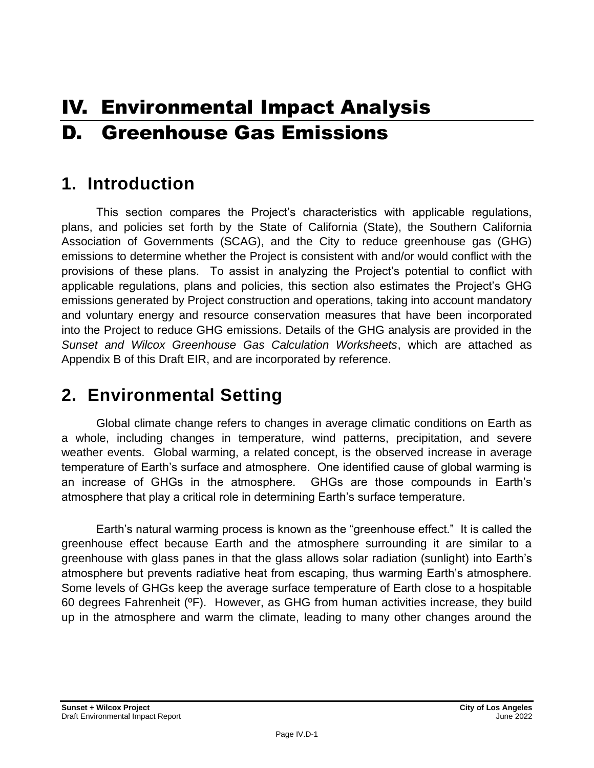# IV. Environmental Impact Analysis D. Greenhouse Gas Emissions

# **1. Introduction**

This section compares the Project's characteristics with applicable regulations, plans, and policies set forth by the State of California (State), the Southern California Association of Governments (SCAG), and the City to reduce greenhouse gas (GHG) emissions to determine whether the Project is consistent with and/or would conflict with the provisions of these plans. To assist in analyzing the Project's potential to conflict with applicable regulations, plans and policies, this section also estimates the Project's GHG emissions generated by Project construction and operations, taking into account mandatory and voluntary energy and resource conservation measures that have been incorporated into the Project to reduce GHG emissions. Details of the GHG analysis are provided in the *Sunset and Wilcox Greenhouse Gas Calculation Worksheets*, which are attached as Appendix B of this Draft EIR, and are incorporated by reference.

# **2. Environmental Setting**

Global climate change refers to changes in average climatic conditions on Earth as a whole, including changes in temperature, wind patterns, precipitation, and severe weather events. Global warming, a related concept, is the observed increase in average temperature of Earth's surface and atmosphere. One identified cause of global warming is an increase of GHGs in the atmosphere. GHGs are those compounds in Earth's atmosphere that play a critical role in determining Earth's surface temperature.

Earth's natural warming process is known as the "greenhouse effect." It is called the greenhouse effect because Earth and the atmosphere surrounding it are similar to a greenhouse with glass panes in that the glass allows solar radiation (sunlight) into Earth's atmosphere but prevents radiative heat from escaping, thus warming Earth's atmosphere. Some levels of GHGs keep the average surface temperature of Earth close to a hospitable 60 degrees Fahrenheit (ºF). However, as GHG from human activities increase, they build up in the atmosphere and warm the climate, leading to many other changes around the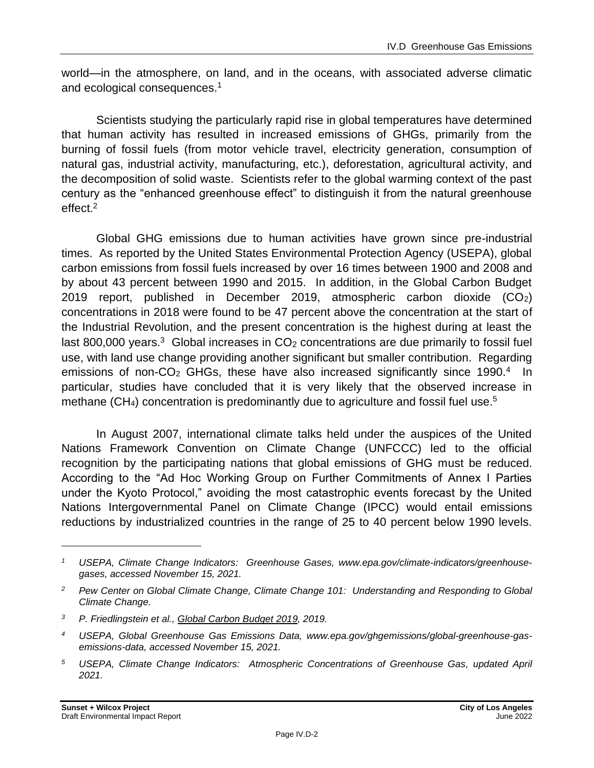world—in the atmosphere, on land, and in the oceans, with associated adverse climatic and ecological consequences.<sup>1</sup>

Scientists studying the particularly rapid rise in global temperatures have determined that human activity has resulted in increased emissions of GHGs, primarily from the burning of fossil fuels (from motor vehicle travel, electricity generation, consumption of natural gas, industrial activity, manufacturing, etc.), deforestation, agricultural activity, and the decomposition of solid waste. Scientists refer to the global warming context of the past century as the "enhanced greenhouse effect" to distinguish it from the natural greenhouse effect.<sup>2</sup>

Global GHG emissions due to human activities have grown since pre-industrial times. As reported by the United States Environmental Protection Agency (USEPA), global carbon emissions from fossil fuels increased by over 16 times between 1900 and 2008 and by about 43 percent between 1990 and 2015. In addition, in the Global Carbon Budget 2019 report, published in December 2019, atmospheric carbon dioxide (CO2) concentrations in 2018 were found to be 47 percent above the concentration at the start of the Industrial Revolution, and the present concentration is the highest during at least the last 800,000 years.<sup>3</sup> Global increases in  $CO<sub>2</sub>$  concentrations are due primarily to fossil fuel use, with land use change providing another significant but smaller contribution. Regarding emissions of non-CO<sub>2</sub> GHGs, these have also increased significantly since 1990.<sup>4</sup> In particular, studies have concluded that it is very likely that the observed increase in methane  $(CH<sub>4</sub>)$  concentration is predominantly due to agriculture and fossil fuel use.<sup>5</sup>

In August 2007, international climate talks held under the auspices of the United Nations Framework Convention on Climate Change (UNFCCC) led to the official recognition by the participating nations that global emissions of GHG must be reduced. According to the "Ad Hoc Working Group on Further Commitments of Annex I Parties under the Kyoto Protocol," avoiding the most catastrophic events forecast by the United Nations Intergovernmental Panel on Climate Change (IPCC) would entail emissions reductions by industrialized countries in the range of 25 to 40 percent below 1990 levels.

*<sup>1</sup> USEPA, Climate Change Indicators: Greenhouse Gases, www.epa.gov/climate-indicators/greenhousegases, accessed November 15, 2021.*

*<sup>2</sup> Pew Center on Global Climate Change, Climate Change 101: Understanding and Responding to Global Climate Change.*

*<sup>3</sup> P. Friedlingstein et al., Global Carbon Budget 2019, 2019.*

*<sup>4</sup> USEPA, Global Greenhouse Gas Emissions Data, www.epa.gov/ghgemissions/global-greenhouse-gasemissions-data, accessed November 15, 2021.*

*<sup>5</sup> USEPA, Climate Change Indicators: Atmospheric Concentrations of Greenhouse Gas, updated April 2021.*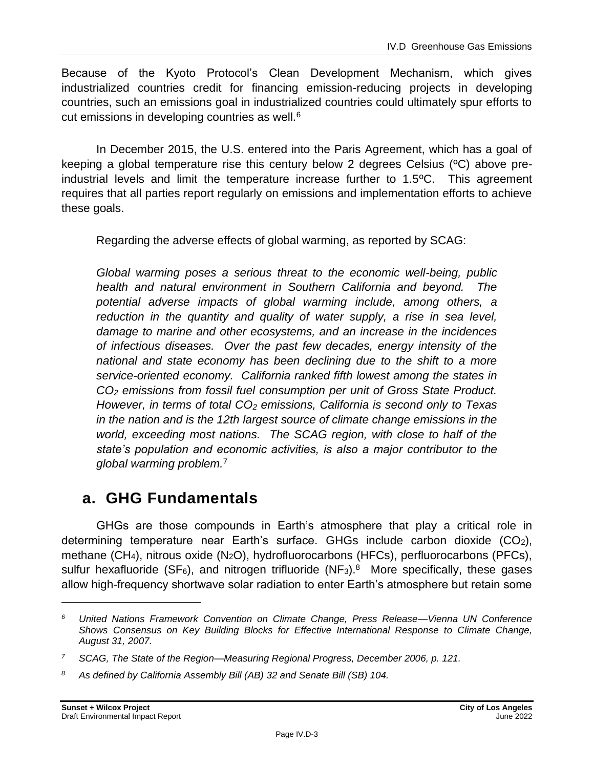Because of the Kyoto Protocol's Clean Development Mechanism, which gives industrialized countries credit for financing emission-reducing projects in developing countries, such an emissions goal in industrialized countries could ultimately spur efforts to cut emissions in developing countries as well.<sup>6</sup>

In December 2015, the U.S. entered into the Paris Agreement, which has a goal of keeping a global temperature rise this century below 2 degrees Celsius (ºC) above preindustrial levels and limit the temperature increase further to 1.5ºC. This agreement requires that all parties report regularly on emissions and implementation efforts to achieve these goals.

Regarding the adverse effects of global warming, as reported by SCAG:

*Global warming poses a serious threat to the economic well-being, public health and natural environment in Southern California and beyond. The potential adverse impacts of global warming include, among others, a*  reduction in the quantity and quality of water supply, a rise in sea level, *damage to marine and other ecosystems, and an increase in the incidences of infectious diseases. Over the past few decades, energy intensity of the national and state economy has been declining due to the shift to a more service-oriented economy. California ranked fifth lowest among the states in CO<sup>2</sup> emissions from fossil fuel consumption per unit of Gross State Product. However, in terms of total CO<sup>2</sup> emissions, California is second only to Texas in the nation and is the 12th largest source of climate change emissions in the world, exceeding most nations. The SCAG region, with close to half of the state's population and economic activities, is also a major contributor to the global warming problem.*<sup>7</sup>

# **a. GHG Fundamentals**

GHGs are those compounds in Earth's atmosphere that play a critical role in determining temperature near Earth's surface. GHGs include carbon dioxide (CO2), methane (CH4), nitrous oxide (N2O), hydrofluorocarbons (HFCs), perfluorocarbons (PFCs), sulfur hexafluoride (SF<sub>6</sub>), and nitrogen trifluoride (NF<sub>3</sub>).<sup>8</sup> More specifically, these gases allow high-frequency shortwave solar radiation to enter Earth's atmosphere but retain some

*<sup>6</sup> United Nations Framework Convention on Climate Change, Press Release—Vienna UN Conference Shows Consensus on Key Building Blocks for Effective International Response to Climate Change, August 31, 2007.*

*<sup>7</sup> SCAG, The State of the Region—Measuring Regional Progress, December 2006, p. 121.*

*<sup>8</sup> As defined by California Assembly Bill (AB) 32 and Senate Bill (SB) 104.*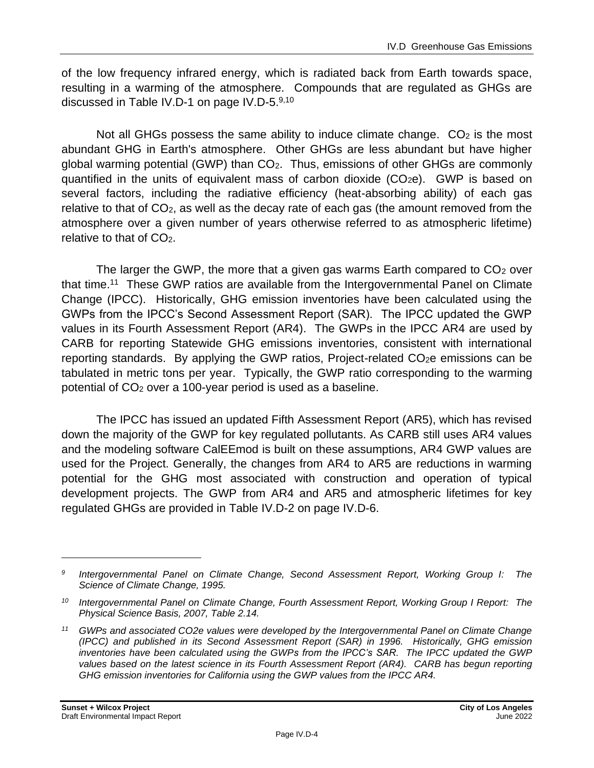of the low frequency infrared energy, which is radiated back from Earth towards space, resulting in a warming of the atmosphere. Compounds that are regulated as GHGs are discussed in Table IV.D-1 on page IV.D-5.<sup>9,10</sup>

Not all GHGs possess the same ability to induce climate change.  $CO<sub>2</sub>$  is the most abundant GHG in Earth's atmosphere. Other GHGs are less abundant but have higher global warming potential (GWP) than CO2. Thus, emissions of other GHGs are commonly quantified in the units of equivalent mass of carbon dioxide  $(CO<sub>2</sub>e)$ . GWP is based on several factors, including the radiative efficiency (heat-absorbing ability) of each gas relative to that of CO2, as well as the decay rate of each gas (the amount removed from the atmosphere over a given number of years otherwise referred to as atmospheric lifetime) relative to that of CO<sub>2</sub>.

The larger the GWP, the more that a given gas warms Earth compared to  $CO<sub>2</sub>$  over that time.<sup>11</sup> These GWP ratios are available from the Intergovernmental Panel on Climate Change (IPCC). Historically, GHG emission inventories have been calculated using the GWPs from the IPCC's Second Assessment Report (SAR). The IPCC updated the GWP values in its Fourth Assessment Report (AR4). The GWPs in the IPCC AR4 are used by CARB for reporting Statewide GHG emissions inventories, consistent with international reporting standards. By applying the GWP ratios, Project-related CO<sub>2</sub>e emissions can be tabulated in metric tons per year. Typically, the GWP ratio corresponding to the warming potential of CO<sup>2</sup> over a 100-year period is used as a baseline.

The IPCC has issued an updated Fifth Assessment Report (AR5), which has revised down the majority of the GWP for key regulated pollutants. As CARB still uses AR4 values and the modeling software CalEEmod is built on these assumptions, AR4 GWP values are used for the Project. Generally, the changes from AR4 to AR5 are reductions in warming potential for the GHG most associated with construction and operation of typical development projects. The GWP from AR4 and AR5 and atmospheric lifetimes for key regulated GHGs are provided in Table IV.D-2 on page IV.D-6.

*<sup>9</sup> Intergovernmental Panel on Climate Change, Second Assessment Report, Working Group I: The Science of Climate Change, 1995.*

*<sup>10</sup> Intergovernmental Panel on Climate Change, Fourth Assessment Report, Working Group I Report: The Physical Science Basis, 2007, Table 2.14.*

*<sup>11</sup> GWPs and associated CO2e values were developed by the Intergovernmental Panel on Climate Change (IPCC) and published in its Second Assessment Report (SAR) in 1996. Historically, GHG emission inventories have been calculated using the GWPs from the IPCC's SAR. The IPCC updated the GWP*  values based on the latest science in its Fourth Assessment Report (AR4). CARB has begun reporting *GHG emission inventories for California using the GWP values from the IPCC AR4.*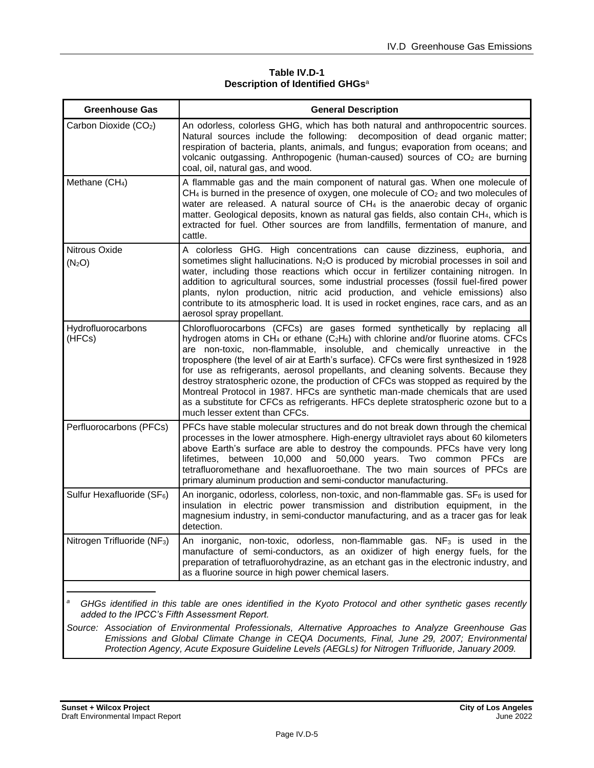#### **Table IV.D-1 Description of Identified GHGs**<sup>a</sup>

| <b>Greenhouse Gas</b>                   | <b>General Description</b>                                                                                                                                                                                                                                                                                                                                                                                                                                                                                                                                                                                                                                                                                                                   |
|-----------------------------------------|----------------------------------------------------------------------------------------------------------------------------------------------------------------------------------------------------------------------------------------------------------------------------------------------------------------------------------------------------------------------------------------------------------------------------------------------------------------------------------------------------------------------------------------------------------------------------------------------------------------------------------------------------------------------------------------------------------------------------------------------|
| Carbon Dioxide (CO <sub>2</sub> )       | An odorless, colorless GHG, which has both natural and anthropocentric sources.<br>Natural sources include the following: decomposition of dead organic matter;<br>respiration of bacteria, plants, animals, and fungus; evaporation from oceans; and<br>volcanic outgassing. Anthropogenic (human-caused) sources of CO <sub>2</sub> are burning<br>coal, oil, natural gas, and wood.                                                                                                                                                                                                                                                                                                                                                       |
| Methane (CH <sub>4</sub> )              | A flammable gas and the main component of natural gas. When one molecule of<br>CH <sub>4</sub> is burned in the presence of oxygen, one molecule of CO <sub>2</sub> and two molecules of<br>water are released. A natural source of CH <sub>4</sub> is the anaerobic decay of organic<br>matter. Geological deposits, known as natural gas fields, also contain CH <sub>4</sub> , which is<br>extracted for fuel. Other sources are from landfills, fermentation of manure, and<br>cattle.                                                                                                                                                                                                                                                   |
| Nitrous Oxide<br>(N <sub>2</sub> O)     | A colorless GHG. High concentrations can cause dizziness, euphoria, and<br>sometimes slight hallucinations. N <sub>2</sub> O is produced by microbial processes in soil and<br>water, including those reactions which occur in fertilizer containing nitrogen. In<br>addition to agricultural sources, some industrial processes (fossil fuel-fired power<br>plants, nylon production, nitric acid production, and vehicle emissions) also<br>contribute to its atmospheric load. It is used in rocket engines, race cars, and as an<br>aerosol spray propellant.                                                                                                                                                                            |
| Hydrofluorocarbons<br>(HFCs)            | Chlorofluorocarbons (CFCs) are gases formed synthetically by replacing all<br>hydrogen atoms in CH <sub>4</sub> or ethane ( $C_2H_6$ ) with chlorine and/or fluorine atoms. CFCs<br>are non-toxic, non-flammable, insoluble, and chemically unreactive in the<br>troposphere (the level of air at Earth's surface). CFCs were first synthesized in 1928<br>for use as refrigerants, aerosol propellants, and cleaning solvents. Because they<br>destroy stratospheric ozone, the production of CFCs was stopped as required by the<br>Montreal Protocol in 1987. HFCs are synthetic man-made chemicals that are used<br>as a substitute for CFCs as refrigerants. HFCs deplete stratospheric ozone but to a<br>much lesser extent than CFCs. |
| Perfluorocarbons (PFCs)                 | PFCs have stable molecular structures and do not break down through the chemical<br>processes in the lower atmosphere. High-energy ultraviolet rays about 60 kilometers<br>above Earth's surface are able to destroy the compounds. PFCs have very long<br>between 10,000 and 50,000 years. Two common PFCs are<br>lifetimes.<br>tetrafluoromethane and hexafluoroethane. The two main sources of PFCs are<br>primary aluminum production and semi-conductor manufacturing.                                                                                                                                                                                                                                                                  |
| Sulfur Hexafluoride (SF <sub>6</sub> )  | An inorganic, odorless, colorless, non-toxic, and non-flammable gas. $SF_6$ is used for<br>insulation in electric power transmission and distribution equipment, in the<br>magnesium industry, in semi-conductor manufacturing, and as a tracer gas for leak<br>detection.                                                                                                                                                                                                                                                                                                                                                                                                                                                                   |
| Nitrogen Trifluoride (NF <sub>3</sub> ) | An inorganic, non-toxic, odorless, non-flammable gas. NF <sub>3</sub> is used in the<br>manufacture of semi-conductors, as an oxidizer of high energy fuels, for the<br>preparation of tetrafluorohydrazine, as an etchant gas in the electronic industry, and<br>as a fluorine source in high power chemical lasers.                                                                                                                                                                                                                                                                                                                                                                                                                        |
|                                         |                                                                                                                                                                                                                                                                                                                                                                                                                                                                                                                                                                                                                                                                                                                                              |

*<sup>a</sup> GHGs identified in this table are ones identified in the Kyoto Protocol and other synthetic gases recently added to the IPCC's Fifth Assessment Report.*

*Source: Association of Environmental Professionals, Alternative Approaches to Analyze Greenhouse Gas Emissions and Global Climate Change in CEQA Documents, Final, June 29, 2007; Environmental Protection Agency, Acute Exposure Guideline Levels (AEGLs) for Nitrogen Trifluoride, January 2009.*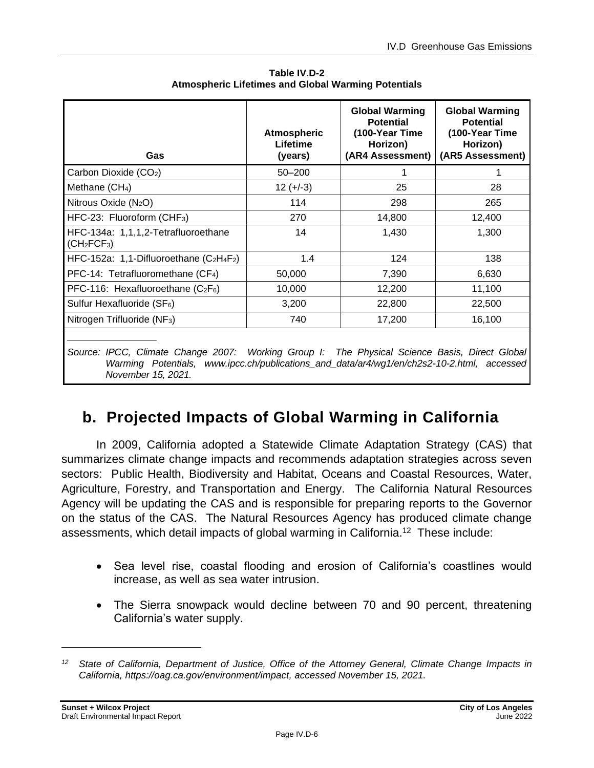| Gas                                                                                            | <b>Atmospheric</b><br>Lifetime<br>(years) | <b>Global Warming</b><br><b>Potential</b><br>(100-Year Time<br>Horizon)<br>(AR4 Assessment) | <b>Global Warming</b><br><b>Potential</b><br>(100-Year Time<br>Horizon)<br>(AR5 Assessment) |  |
|------------------------------------------------------------------------------------------------|-------------------------------------------|---------------------------------------------------------------------------------------------|---------------------------------------------------------------------------------------------|--|
| Carbon Dioxide (CO <sub>2</sub> )                                                              | $50 - 200$                                |                                                                                             |                                                                                             |  |
| Methane (CH <sub>4</sub> )                                                                     | $12 (+-3)$                                | 25                                                                                          | 28                                                                                          |  |
| Nitrous Oxide (N <sub>2</sub> O)                                                               | 114                                       | 298                                                                                         | 265                                                                                         |  |
| HFC-23: Fluoroform (CHF <sub>3</sub> )                                                         | 270                                       | 14,800                                                                                      | 12,400                                                                                      |  |
| HFC-134a: 1,1,1,2-Tetrafluoroethane<br>(CH <sub>2</sub> FCF <sub>3</sub> )                     | 14                                        | 1,430                                                                                       | 1,300                                                                                       |  |
| HFC-152a: 1,1-Difluoroethane $(C_2H_4F_2)$                                                     | 1.4                                       | 124                                                                                         | 138                                                                                         |  |
| PFC-14: Tetrafluoromethane (CF <sub>4</sub> )                                                  | 50,000                                    | 7,390                                                                                       | 6,630                                                                                       |  |
| PFC-116: Hexafluoroethane $(C_2F_6)$                                                           | 10,000                                    | 12,200                                                                                      | 11,100                                                                                      |  |
| Sulfur Hexafluoride (SF <sub>6</sub> )                                                         | 3,200                                     | 22,800                                                                                      | 22,500                                                                                      |  |
| Nitrogen Trifluoride (NF <sub>3</sub> )                                                        | 740                                       | 17,200                                                                                      | 16,100                                                                                      |  |
| Source: IDCC, Climate Change 2007; Marking Croup I: The Dhugiael Science Popie, Direct Clabell |                                           |                                                                                             |                                                                                             |  |

**Table IV.D-2 Atmospheric Lifetimes and Global Warming Potentials** 

*Source: IPCC, Climate Change 2007: Working Group I: The Physical Science Basis, Direct Global Warming Potentials, www.ipcc.ch/publications\_and\_data/ar4/wg1/en/ch2s2-10-2.html, accessed November 15, 2021.*

# **b. Projected Impacts of Global Warming in California**

In 2009, California adopted a Statewide Climate Adaptation Strategy (CAS) that summarizes climate change impacts and recommends adaptation strategies across seven sectors: Public Health, Biodiversity and Habitat, Oceans and Coastal Resources, Water, Agriculture, Forestry, and Transportation and Energy. The California Natural Resources Agency will be updating the CAS and is responsible for preparing reports to the Governor on the status of the CAS. The Natural Resources Agency has produced climate change assessments, which detail impacts of global warming in California.<sup>12</sup> These include:

- Sea level rise, coastal flooding and erosion of California's coastlines would increase, as well as sea water intrusion.
- The Sierra snowpack would decline between 70 and 90 percent, threatening California's water supply.

*<sup>12</sup> State of California, Department of Justice, Office of the Attorney General, Climate Change Impacts in California, https://oag.ca.gov/environment/impact, accessed November 15, 2021.*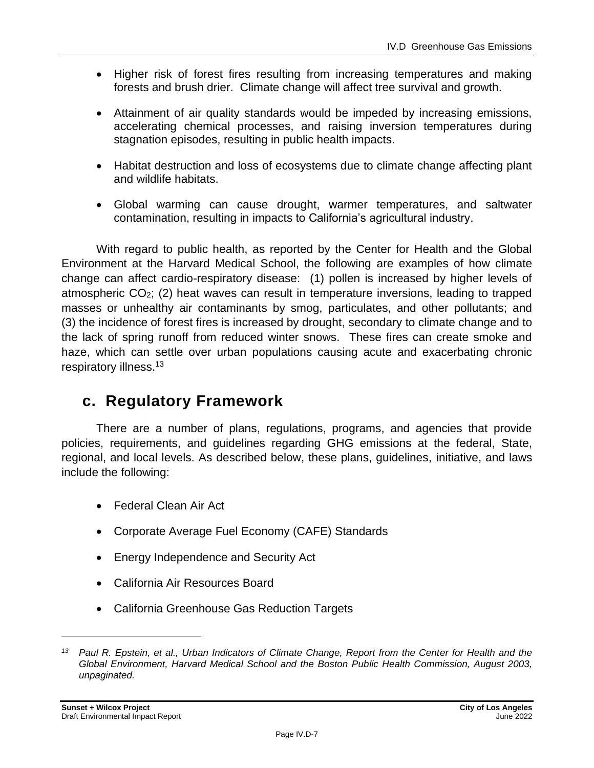- Higher risk of forest fires resulting from increasing temperatures and making forests and brush drier. Climate change will affect tree survival and growth.
- Attainment of air quality standards would be impeded by increasing emissions, accelerating chemical processes, and raising inversion temperatures during stagnation episodes, resulting in public health impacts.
- Habitat destruction and loss of ecosystems due to climate change affecting plant and wildlife habitats.
- Global warming can cause drought, warmer temperatures, and saltwater contamination, resulting in impacts to California's agricultural industry.

With regard to public health, as reported by the Center for Health and the Global Environment at the Harvard Medical School, the following are examples of how climate change can affect cardio-respiratory disease: (1) pollen is increased by higher levels of atmospheric CO2; (2) heat waves can result in temperature inversions, leading to trapped masses or unhealthy air contaminants by smog, particulates, and other pollutants; and (3) the incidence of forest fires is increased by drought, secondary to climate change and to the lack of spring runoff from reduced winter snows. These fires can create smoke and haze, which can settle over urban populations causing acute and exacerbating chronic respiratory illness.<sup>13</sup>

# **c. Regulatory Framework**

There are a number of plans, regulations, programs, and agencies that provide policies, requirements, and guidelines regarding GHG emissions at the federal, State, regional, and local levels. As described below, these plans, guidelines, initiative, and laws include the following:

- Federal Clean Air Act
- Corporate Average Fuel Economy (CAFE) Standards
- Energy Independence and Security Act
- California Air Resources Board
- California Greenhouse Gas Reduction Targets

*<sup>13</sup> Paul R. Epstein, et al., Urban Indicators of Climate Change, Report from the Center for Health and the*  Global Environment, Harvard Medical School and the Boston Public Health Commission, August 2003, *unpaginated.*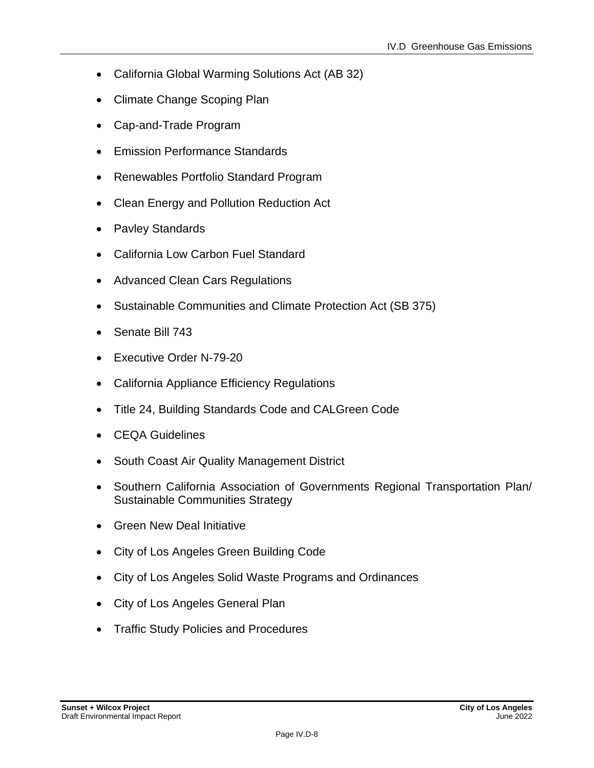- California Global Warming Solutions Act (AB 32)
- Climate Change Scoping Plan
- Cap-and-Trade Program
- Emission Performance Standards
- Renewables Portfolio Standard Program
- Clean Energy and Pollution Reduction Act
- Pavley Standards
- California Low Carbon Fuel Standard
- Advanced Clean Cars Regulations
- Sustainable Communities and Climate Protection Act (SB 375)
- Senate Bill 743
- Executive Order N-79-20
- California Appliance Efficiency Regulations
- Title 24, Building Standards Code and CALGreen Code
- CEQA Guidelines
- South Coast Air Quality Management District
- Southern California Association of Governments Regional Transportation Plan/ Sustainable Communities Strategy
- Green New Deal Initiative
- City of Los Angeles Green Building Code
- City of Los Angeles Solid Waste Programs and Ordinances
- City of Los Angeles General Plan
- Traffic Study Policies and Procedures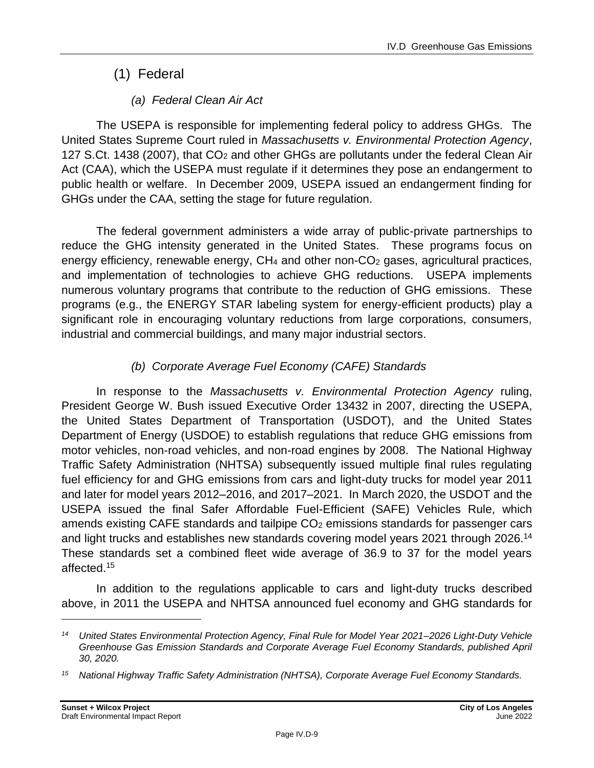# (1) Federal

### *(a) Federal Clean Air Act*

The USEPA is responsible for implementing federal policy to address GHGs. The United States Supreme Court ruled in *Massachusetts v. Environmental Protection Agency*, 127 S.Ct. 1438 (2007), that CO<sub>2</sub> and other GHGs are pollutants under the federal Clean Air Act (CAA), which the USEPA must regulate if it determines they pose an endangerment to public health or welfare. In December 2009, USEPA issued an endangerment finding for GHGs under the CAA, setting the stage for future regulation.

The federal government administers a wide array of public-private partnerships to reduce the GHG intensity generated in the United States. These programs focus on energy efficiency, renewable energy,  $CH_4$  and other non- $CO_2$  gases, agricultural practices, and implementation of technologies to achieve GHG reductions. USEPA implements numerous voluntary programs that contribute to the reduction of GHG emissions. These programs (e.g., the ENERGY STAR labeling system for energy-efficient products) play a significant role in encouraging voluntary reductions from large corporations, consumers, industrial and commercial buildings, and many major industrial sectors.

## *(b) Corporate Average Fuel Economy (CAFE) Standards*

In response to the *Massachusetts v. Environmental Protection Agency* ruling, President George W. Bush issued Executive Order 13432 in 2007, directing the USEPA, the United States Department of Transportation (USDOT), and the United States Department of Energy (USDOE) to establish regulations that reduce GHG emissions from motor vehicles, non-road vehicles, and non-road engines by 2008. The National Highway Traffic Safety Administration (NHTSA) subsequently issued multiple final rules regulating fuel efficiency for and GHG emissions from cars and light-duty trucks for model year 2011 and later for model years 2012–2016, and 2017–2021. In March 2020, the USDOT and the USEPA issued the final Safer Affordable Fuel-Efficient (SAFE) Vehicles Rule, which amends existing CAFE standards and tailpipe  $CO<sub>2</sub>$  emissions standards for passenger cars and light trucks and establishes new standards covering model years 2021 through 2026.<sup>14</sup> These standards set a combined fleet wide average of 36.9 to 37 for the model years affected.<sup>15</sup>

In addition to the regulations applicable to cars and light-duty trucks described above, in 2011 the USEPA and NHTSA announced fuel economy and GHG standards for

*<sup>14</sup> United States Environmental Protection Agency, Final Rule for Model Year 2021–2026 Light-Duty Vehicle Greenhouse Gas Emission Standards and Corporate Average Fuel Economy Standards, published April 30, 2020.*

*<sup>15</sup> National Highway Traffic Safety Administration (NHTSA), Corporate Average Fuel Economy Standards.*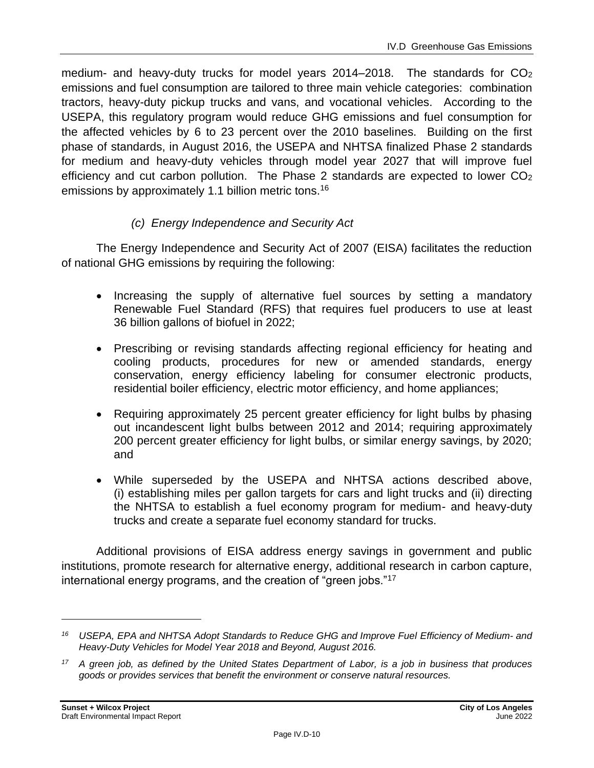medium- and heavy-duty trucks for model years  $2014-2018$ . The standards for  $CO<sub>2</sub>$ emissions and fuel consumption are tailored to three main vehicle categories: combination tractors, heavy-duty pickup trucks and vans, and vocational vehicles. According to the USEPA, this regulatory program would reduce GHG emissions and fuel consumption for the affected vehicles by 6 to 23 percent over the 2010 baselines. Building on the first phase of standards, in August 2016, the USEPA and NHTSA finalized Phase 2 standards for medium and heavy-duty vehicles through model year 2027 that will improve fuel efficiency and cut carbon pollution. The Phase 2 standards are expected to lower CO<sup>2</sup> emissions by approximately 1.1 billion metric tons.<sup>16</sup>

#### *(c) Energy Independence and Security Act*

The Energy Independence and Security Act of 2007 (EISA) facilitates the reduction of national GHG emissions by requiring the following:

- Increasing the supply of alternative fuel sources by setting a mandatory Renewable Fuel Standard (RFS) that requires fuel producers to use at least 36 billion gallons of biofuel in 2022;
- Prescribing or revising standards affecting regional efficiency for heating and cooling products, procedures for new or amended standards, energy conservation, energy efficiency labeling for consumer electronic products, residential boiler efficiency, electric motor efficiency, and home appliances;
- Requiring approximately 25 percent greater efficiency for light bulbs by phasing out incandescent light bulbs between 2012 and 2014; requiring approximately 200 percent greater efficiency for light bulbs, or similar energy savings, by 2020; and
- While superseded by the USEPA and NHTSA actions described above, (i) establishing miles per gallon targets for cars and light trucks and (ii) directing the NHTSA to establish a fuel economy program for medium- and heavy-duty trucks and create a separate fuel economy standard for trucks.

Additional provisions of EISA address energy savings in government and public institutions, promote research for alternative energy, additional research in carbon capture, international energy programs, and the creation of "green jobs."<sup>17</sup>

*<sup>16</sup> USEPA, EPA and NHTSA Adopt Standards to Reduce GHG and Improve Fuel Efficiency of Medium- and Heavy-Duty Vehicles for Model Year 2018 and Beyond, August 2016.*

*<sup>17</sup> A green job, as defined by the United States Department of Labor, is a job in business that produces goods or provides services that benefit the environment or conserve natural resources.*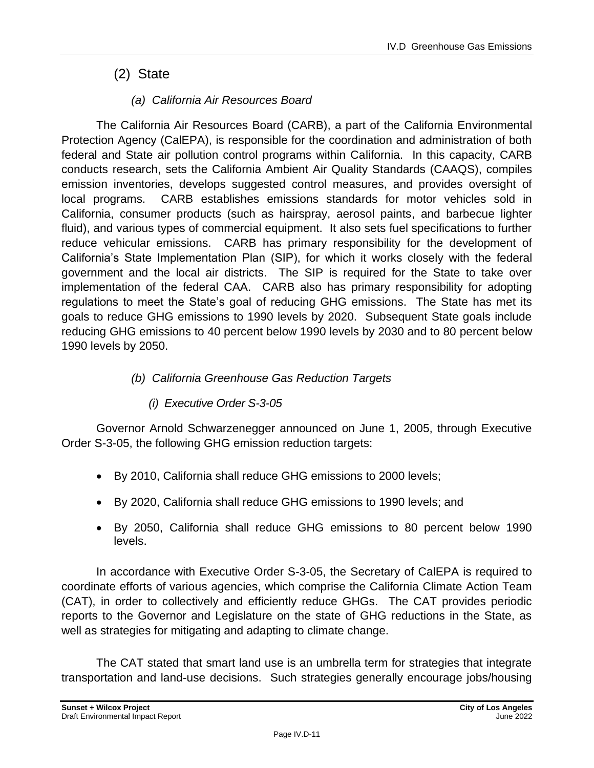# (2) State

### *(a) California Air Resources Board*

The California Air Resources Board (CARB), a part of the California Environmental Protection Agency (CalEPA), is responsible for the coordination and administration of both federal and State air pollution control programs within California. In this capacity, CARB conducts research, sets the California Ambient Air Quality Standards (CAAQS), compiles emission inventories, develops suggested control measures, and provides oversight of local programs. CARB establishes emissions standards for motor vehicles sold in California, consumer products (such as hairspray, aerosol paints, and barbecue lighter fluid), and various types of commercial equipment. It also sets fuel specifications to further reduce vehicular emissions. CARB has primary responsibility for the development of California's State Implementation Plan (SIP), for which it works closely with the federal government and the local air districts. The SIP is required for the State to take over implementation of the federal CAA. CARB also has primary responsibility for adopting regulations to meet the State's goal of reducing GHG emissions. The State has met its goals to reduce GHG emissions to 1990 levels by 2020. Subsequent State goals include reducing GHG emissions to 40 percent below 1990 levels by 2030 and to 80 percent below 1990 levels by 2050.

#### *(b) California Greenhouse Gas Reduction Targets*

#### *(i) Executive Order S-3-05*

Governor Arnold Schwarzenegger announced on June 1, 2005, through Executive Order S-3-05, the following GHG emission reduction targets:

- By 2010, California shall reduce GHG emissions to 2000 levels;
- By 2020, California shall reduce GHG emissions to 1990 levels; and
- By 2050, California shall reduce GHG emissions to 80 percent below 1990 levels.

In accordance with Executive Order S-3-05, the Secretary of CalEPA is required to coordinate efforts of various agencies, which comprise the California Climate Action Team (CAT), in order to collectively and efficiently reduce GHGs. The CAT provides periodic reports to the Governor and Legislature on the state of GHG reductions in the State, as well as strategies for mitigating and adapting to climate change.

The CAT stated that smart land use is an umbrella term for strategies that integrate transportation and land-use decisions. Such strategies generally encourage jobs/housing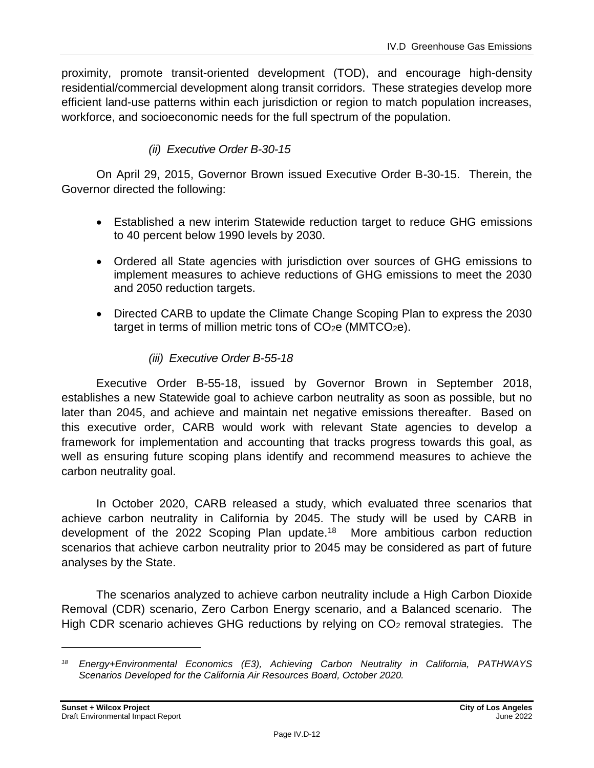proximity, promote transit-oriented development (TOD), and encourage high-density residential/commercial development along transit corridors. These strategies develop more efficient land-use patterns within each jurisdiction or region to match population increases, workforce, and socioeconomic needs for the full spectrum of the population.

#### *(ii) Executive Order B-30-15*

On April 29, 2015, Governor Brown issued Executive Order B-30-15. Therein, the Governor directed the following:

- Established a new interim Statewide reduction target to reduce GHG emissions to 40 percent below 1990 levels by 2030.
- Ordered all State agencies with jurisdiction over sources of GHG emissions to implement measures to achieve reductions of GHG emissions to meet the 2030 and 2050 reduction targets.
- Directed CARB to update the Climate Change Scoping Plan to express the 2030 target in terms of million metric tons of  $CO<sub>2</sub>e$  (MMTCO<sub>2</sub>e).

#### *(iii) Executive Order B-55-18*

Executive Order B-55-18, issued by Governor Brown in September 2018, establishes a new Statewide goal to achieve carbon neutrality as soon as possible, but no later than 2045, and achieve and maintain net negative emissions thereafter. Based on this executive order, CARB would work with relevant State agencies to develop a framework for implementation and accounting that tracks progress towards this goal, as well as ensuring future scoping plans identify and recommend measures to achieve the carbon neutrality goal.

In October 2020, CARB released a study, which evaluated three scenarios that achieve carbon neutrality in California by 2045. The study will be used by CARB in development of the 2022 Scoping Plan update.<sup>18</sup> More ambitious carbon reduction scenarios that achieve carbon neutrality prior to 2045 may be considered as part of future analyses by the State.

The scenarios analyzed to achieve carbon neutrality include a High Carbon Dioxide Removal (CDR) scenario, Zero Carbon Energy scenario, and a Balanced scenario. The High CDR scenario achieves GHG reductions by relying on  $CO<sub>2</sub>$  removal strategies. The

*<sup>18</sup> Energy+Environmental Economics (E3), Achieving Carbon Neutrality in California, PATHWAYS Scenarios Developed for the California Air Resources Board, October 2020.*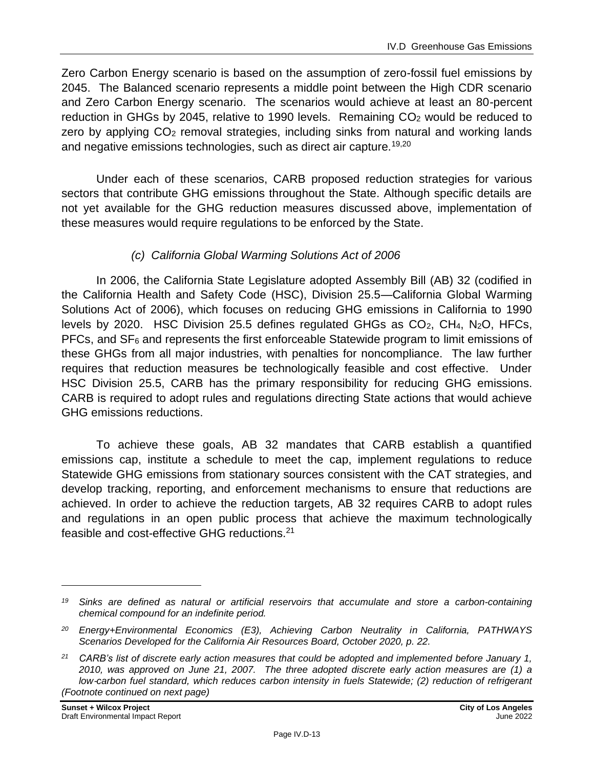Zero Carbon Energy scenario is based on the assumption of zero-fossil fuel emissions by 2045. The Balanced scenario represents a middle point between the High CDR scenario and Zero Carbon Energy scenario. The scenarios would achieve at least an 80-percent reduction in GHGs by 2045, relative to 1990 levels. Remaining CO<sub>2</sub> would be reduced to zero by applying  $CO<sub>2</sub>$  removal strategies, including sinks from natural and working lands and negative emissions technologies, such as direct air capture.<sup>19,20</sup>

Under each of these scenarios, CARB proposed reduction strategies for various sectors that contribute GHG emissions throughout the State. Although specific details are not yet available for the GHG reduction measures discussed above, implementation of these measures would require regulations to be enforced by the State.

#### *(c) California Global Warming Solutions Act of 2006*

In 2006, the California State Legislature adopted Assembly Bill (AB) 32 (codified in the California Health and Safety Code (HSC), Division 25.5—California Global Warming Solutions Act of 2006), which focuses on reducing GHG emissions in California to 1990 levels by 2020. HSC Division 25.5 defines regulated GHGs as  $CO<sub>2</sub>$ , CH<sub>4</sub>, N<sub>2</sub>O, HFCs,  $PFCs$ , and  $SF<sub>6</sub>$  and represents the first enforceable Statewide program to limit emissions of these GHGs from all major industries, with penalties for noncompliance. The law further requires that reduction measures be technologically feasible and cost effective. Under HSC Division 25.5, CARB has the primary responsibility for reducing GHG emissions. CARB is required to adopt rules and regulations directing State actions that would achieve GHG emissions reductions.

To achieve these goals, AB 32 mandates that CARB establish a quantified emissions cap, institute a schedule to meet the cap, implement regulations to reduce Statewide GHG emissions from stationary sources consistent with the CAT strategies, and develop tracking, reporting, and enforcement mechanisms to ensure that reductions are achieved. In order to achieve the reduction targets, AB 32 requires CARB to adopt rules and regulations in an open public process that achieve the maximum technologically feasible and cost-effective GHG reductions.<sup>21</sup>

*<sup>19</sup> Sinks are defined as natural or artificial reservoirs that accumulate and store a carbon-containing chemical compound for an indefinite period.*

*<sup>20</sup> Energy+Environmental Economics (E3), Achieving Carbon Neutrality in California, PATHWAYS Scenarios Developed for the California Air Resources Board, October 2020, p. 22.*

*<sup>21</sup> CARB's list of discrete early action measures that could be adopted and implemented before January 1, 2010, was approved on June 21, 2007. The three adopted discrete early action measures are (1) a low*‑*carbon fuel standard, which reduces carbon intensity in fuels Statewide; (2) reduction of refrigerant (Footnote continued on next page)*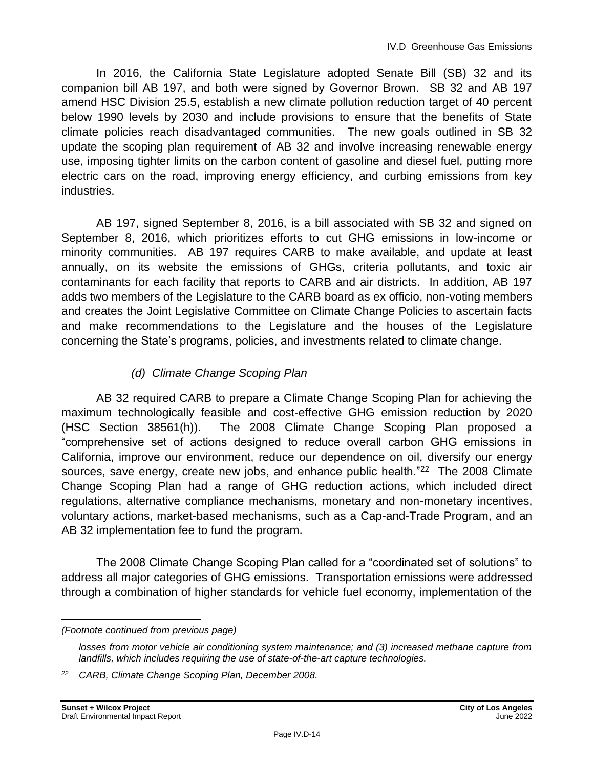In 2016, the California State Legislature adopted Senate Bill (SB) 32 and its companion bill AB 197, and both were signed by Governor Brown. SB 32 and AB 197 amend HSC Division 25.5, establish a new climate pollution reduction target of 40 percent below 1990 levels by 2030 and include provisions to ensure that the benefits of State climate policies reach disadvantaged communities. The new goals outlined in SB 32 update the scoping plan requirement of AB 32 and involve increasing renewable energy use, imposing tighter limits on the carbon content of gasoline and diesel fuel, putting more electric cars on the road, improving energy efficiency, and curbing emissions from key industries.

AB 197, signed September 8, 2016, is a bill associated with SB 32 and signed on September 8, 2016, which prioritizes efforts to cut GHG emissions in low-income or minority communities. AB 197 requires CARB to make available, and update at least annually, on its website the emissions of GHGs, criteria pollutants, and toxic air contaminants for each facility that reports to CARB and air districts. In addition, AB 197 adds two members of the Legislature to the CARB board as ex officio, non-voting members and creates the Joint Legislative Committee on Climate Change Policies to ascertain facts and make recommendations to the Legislature and the houses of the Legislature concerning the State's programs, policies, and investments related to climate change.

#### *(d) Climate Change Scoping Plan*

AB 32 required CARB to prepare a Climate Change Scoping Plan for achieving the maximum technologically feasible and cost-effective GHG emission reduction by 2020 (HSC Section 38561(h)). The 2008 Climate Change Scoping Plan proposed a "comprehensive set of actions designed to reduce overall carbon GHG emissions in California, improve our environment, reduce our dependence on oil, diversify our energy sources, save energy, create new jobs, and enhance public health."<sup>22</sup> The 2008 Climate Change Scoping Plan had a range of GHG reduction actions, which included direct regulations, alternative compliance mechanisms, monetary and non-monetary incentives, voluntary actions, market-based mechanisms, such as a Cap-and-Trade Program, and an AB 32 implementation fee to fund the program.

The 2008 Climate Change Scoping Plan called for a "coordinated set of solutions" to address all major categories of GHG emissions. Transportation emissions were addressed through a combination of higher standards for vehicle fuel economy, implementation of the

*<sup>(</sup>Footnote continued from previous page)*

*losses from motor vehicle air conditioning system maintenance; and (3) increased methane capture from landfills, which includes requiring the use of state-of-the-art capture technologies.*

*<sup>22</sup> CARB, Climate Change Scoping Plan, December 2008.*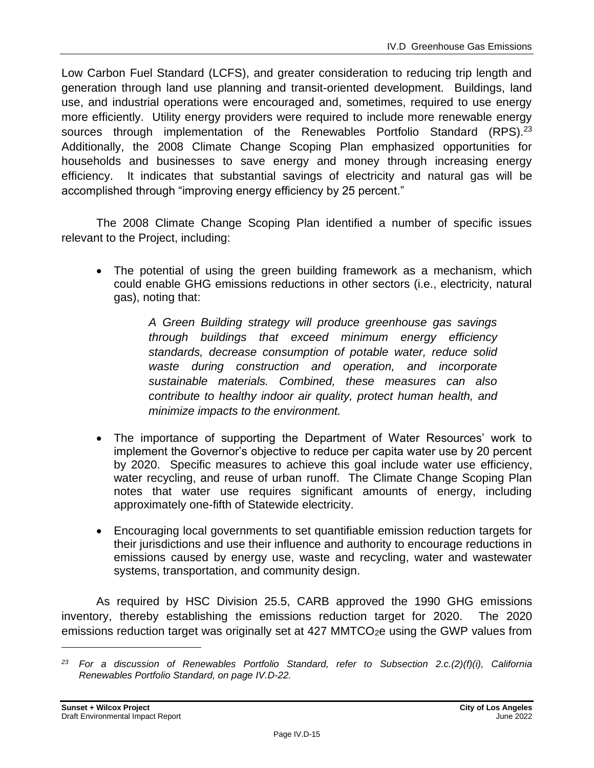Low Carbon Fuel Standard (LCFS), and greater consideration to reducing trip length and generation through land use planning and transit-oriented development. Buildings, land use, and industrial operations were encouraged and, sometimes, required to use energy more efficiently. Utility energy providers were required to include more renewable energy sources through implementation of the Renewables Portfolio Standard (RPS).<sup>23</sup> Additionally, the 2008 Climate Change Scoping Plan emphasized opportunities for households and businesses to save energy and money through increasing energy efficiency. It indicates that substantial savings of electricity and natural gas will be accomplished through "improving energy efficiency by 25 percent."

The 2008 Climate Change Scoping Plan identified a number of specific issues relevant to the Project, including:

• The potential of using the green building framework as a mechanism, which could enable GHG emissions reductions in other sectors (i.e., electricity, natural gas), noting that:

> *A Green Building strategy will produce greenhouse gas savings through buildings that exceed minimum energy efficiency standards, decrease consumption of potable water, reduce solid waste during construction and operation, and incorporate sustainable materials. Combined, these measures can also contribute to healthy indoor air quality, protect human health, and minimize impacts to the environment.*

- The importance of supporting the Department of Water Resources' work to implement the Governor's objective to reduce per capita water use by 20 percent by 2020. Specific measures to achieve this goal include water use efficiency, water recycling, and reuse of urban runoff. The Climate Change Scoping Plan notes that water use requires significant amounts of energy, including approximately one-fifth of Statewide electricity.
- Encouraging local governments to set quantifiable emission reduction targets for their jurisdictions and use their influence and authority to encourage reductions in emissions caused by energy use, waste and recycling, water and wastewater systems, transportation, and community design.

As required by HSC Division 25.5, CARB approved the 1990 GHG emissions inventory, thereby establishing the emissions reduction target for 2020. The 2020 emissions reduction target was originally set at 427 MMTCO<sub>2</sub>e using the GWP values from

*<sup>23</sup> For a discussion of Renewables Portfolio Standard, refer to Subsection 2.c.(2)(f)(i), California Renewables Portfolio Standard, on page IV.D-22.*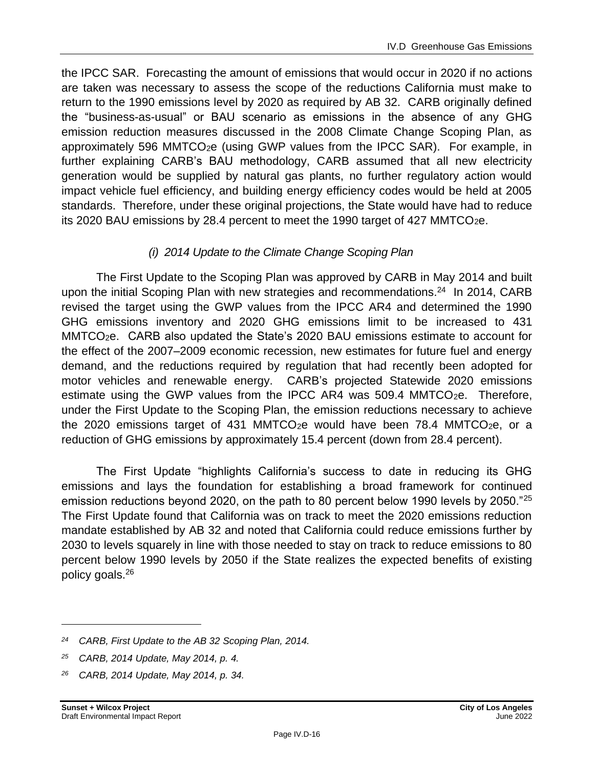the IPCC SAR. Forecasting the amount of emissions that would occur in 2020 if no actions are taken was necessary to assess the scope of the reductions California must make to return to the 1990 emissions level by 2020 as required by AB 32. CARB originally defined the "business-as-usual" or BAU scenario as emissions in the absence of any GHG emission reduction measures discussed in the 2008 Climate Change Scoping Plan, as approximately 596 MMTCO2e (using GWP values from the IPCC SAR). For example, in further explaining CARB's BAU methodology, CARB assumed that all new electricity generation would be supplied by natural gas plants, no further regulatory action would impact vehicle fuel efficiency, and building energy efficiency codes would be held at 2005 standards. Therefore, under these original projections, the State would have had to reduce its 2020 BAU emissions by 28.4 percent to meet the 1990 target of 427 MMTCO $_2$ e.

#### *(i) 2014 Update to the Climate Change Scoping Plan*

The First Update to the Scoping Plan was approved by CARB in May 2014 and built upon the initial Scoping Plan with new strategies and recommendations. $^{24}$  In 2014, CARB revised the target using the GWP values from the IPCC AR4 and determined the 1990 GHG emissions inventory and 2020 GHG emissions limit to be increased to 431 MMTCO2e. CARB also updated the State's 2020 BAU emissions estimate to account for the effect of the 2007–2009 economic recession, new estimates for future fuel and energy demand, and the reductions required by regulation that had recently been adopted for motor vehicles and renewable energy. CARB's projected Statewide 2020 emissions estimate using the GWP values from the IPCC AR4 was 509.4 MMTCO $_{2}e$ . Therefore, under the First Update to the Scoping Plan, the emission reductions necessary to achieve the 2020 emissions target of 431 MMTCO<sub>2</sub>e would have been 78.4 MMTCO<sub>2</sub>e, or a reduction of GHG emissions by approximately 15.4 percent (down from 28.4 percent).

The First Update "highlights California's success to date in reducing its GHG emissions and lays the foundation for establishing a broad framework for continued emission reductions beyond 2020, on the path to 80 percent below 1990 levels by 2050."<sup>25</sup> The First Update found that California was on track to meet the 2020 emissions reduction mandate established by AB 32 and noted that California could reduce emissions further by 2030 to levels squarely in line with those needed to stay on track to reduce emissions to 80 percent below 1990 levels by 2050 if the State realizes the expected benefits of existing policy goals.<sup>26</sup>

*<sup>24</sup> CARB, First Update to the AB 32 Scoping Plan, 2014.*

*<sup>25</sup> CARB, 2014 Update, May 2014, p. 4.*

*<sup>26</sup> CARB, 2014 Update, May 2014, p. 34.*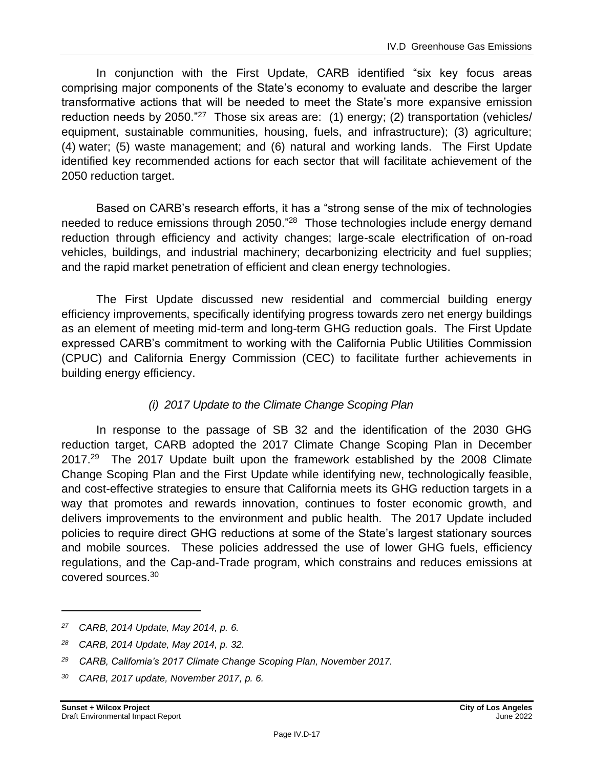In conjunction with the First Update, CARB identified "six key focus areas comprising major components of the State's economy to evaluate and describe the larger transformative actions that will be needed to meet the State's more expansive emission reduction needs by 2050."<sup>27</sup> Those six areas are: (1) energy; (2) transportation (vehicles/ equipment, sustainable communities, housing, fuels, and infrastructure); (3) agriculture; (4) water; (5) waste management; and (6) natural and working lands. The First Update identified key recommended actions for each sector that will facilitate achievement of the 2050 reduction target.

Based on CARB's research efforts, it has a "strong sense of the mix of technologies needed to reduce emissions through 2050."<sup>28</sup> Those technologies include energy demand reduction through efficiency and activity changes; large-scale electrification of on-road vehicles, buildings, and industrial machinery; decarbonizing electricity and fuel supplies; and the rapid market penetration of efficient and clean energy technologies.

The First Update discussed new residential and commercial building energy efficiency improvements, specifically identifying progress towards zero net energy buildings as an element of meeting mid-term and long-term GHG reduction goals. The First Update expressed CARB's commitment to working with the California Public Utilities Commission (CPUC) and California Energy Commission (CEC) to facilitate further achievements in building energy efficiency.

#### *(i) 2017 Update to the Climate Change Scoping Plan*

In response to the passage of SB 32 and the identification of the 2030 GHG reduction target, CARB adopted the 2017 Climate Change Scoping Plan in December 2017.<sup>29</sup> The 2017 Update built upon the framework established by the 2008 Climate Change Scoping Plan and the First Update while identifying new, technologically feasible, and cost-effective strategies to ensure that California meets its GHG reduction targets in a way that promotes and rewards innovation, continues to foster economic growth, and delivers improvements to the environment and public health. The 2017 Update included policies to require direct GHG reductions at some of the State's largest stationary sources and mobile sources. These policies addressed the use of lower GHG fuels, efficiency regulations, and the Cap-and-Trade program, which constrains and reduces emissions at covered sources.<sup>30</sup>

*<sup>27</sup> CARB, 2014 Update, May 2014, p. 6.*

*<sup>28</sup> CARB, 2014 Update, May 2014, p. 32.*

*<sup>29</sup> CARB, California's 2017 Climate Change Scoping Plan, November 2017.*

*<sup>30</sup> CARB, 2017 update, November 2017, p. 6.*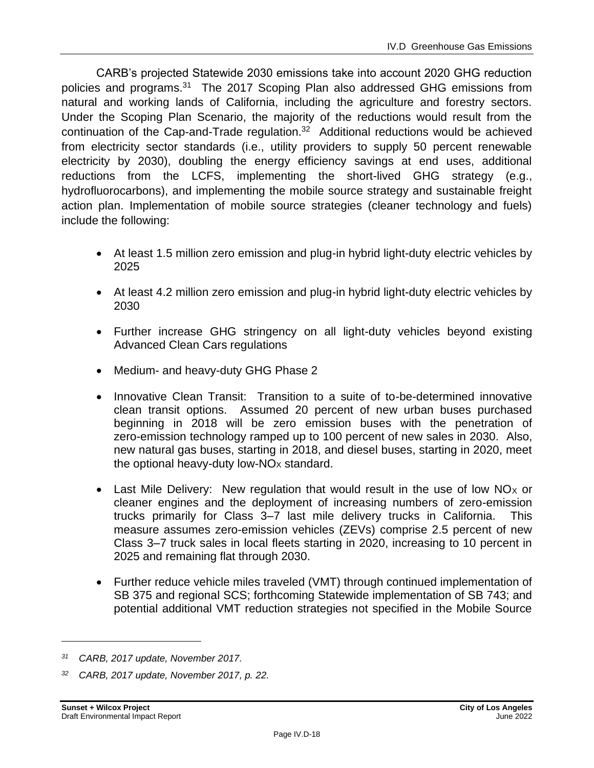CARB's projected Statewide 2030 emissions take into account 2020 GHG reduction policies and programs.<sup>31</sup> The 2017 Scoping Plan also addressed GHG emissions from natural and working lands of California, including the agriculture and forestry sectors. Under the Scoping Plan Scenario, the majority of the reductions would result from the continuation of the Cap-and-Trade regulation. $32$  Additional reductions would be achieved from electricity sector standards (i.e., utility providers to supply 50 percent renewable electricity by 2030), doubling the energy efficiency savings at end uses, additional reductions from the LCFS, implementing the short-lived GHG strategy (e.g., hydrofluorocarbons), and implementing the mobile source strategy and sustainable freight action plan. Implementation of mobile source strategies (cleaner technology and fuels) include the following:

- At least 1.5 million zero emission and plug-in hybrid light-duty electric vehicles by 2025
- At least 4.2 million zero emission and plug-in hybrid light-duty electric vehicles by 2030
- Further increase GHG stringency on all light-duty vehicles beyond existing Advanced Clean Cars regulations
- Medium- and heavy-duty GHG Phase 2
- Innovative Clean Transit: Transition to a suite of to-be-determined innovative clean transit options. Assumed 20 percent of new urban buses purchased beginning in 2018 will be zero emission buses with the penetration of zero-emission technology ramped up to 100 percent of new sales in 2030. Also, new natural gas buses, starting in 2018, and diesel buses, starting in 2020, meet the optional heavy-duty low- $NOx$  standard.
- Last Mile Delivery: New regulation that would result in the use of low  $NO<sub>X</sub>$  or cleaner engines and the deployment of increasing numbers of zero-emission trucks primarily for Class 3–7 last mile delivery trucks in California. This measure assumes zero-emission vehicles (ZEVs) comprise 2.5 percent of new Class 3–7 truck sales in local fleets starting in 2020, increasing to 10 percent in 2025 and remaining flat through 2030.
- Further reduce vehicle miles traveled (VMT) through continued implementation of SB 375 and regional SCS; forthcoming Statewide implementation of SB 743; and potential additional VMT reduction strategies not specified in the Mobile Source

*<sup>31</sup> CARB, 2017 update, November 2017.*

*<sup>32</sup> CARB, 2017 update, November 2017, p. 22.*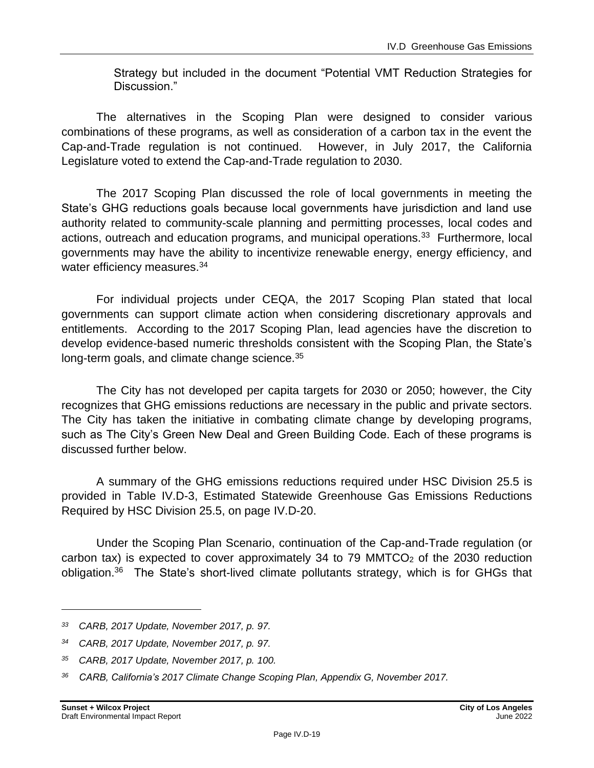Strategy but included in the document "Potential VMT Reduction Strategies for Discussion."

The alternatives in the Scoping Plan were designed to consider various combinations of these programs, as well as consideration of a carbon tax in the event the Cap-and-Trade regulation is not continued. However, in July 2017, the California Legislature voted to extend the Cap-and-Trade regulation to 2030.

The 2017 Scoping Plan discussed the role of local governments in meeting the State's GHG reductions goals because local governments have jurisdiction and land use authority related to community-scale planning and permitting processes, local codes and actions, outreach and education programs, and municipal operations.<sup>33</sup> Furthermore, local governments may have the ability to incentivize renewable energy, energy efficiency, and water efficiency measures.<sup>34</sup>

For individual projects under CEQA, the 2017 Scoping Plan stated that local governments can support climate action when considering discretionary approvals and entitlements. According to the 2017 Scoping Plan, lead agencies have the discretion to develop evidence-based numeric thresholds consistent with the Scoping Plan, the State's long-term goals, and climate change science.<sup>35</sup>

The City has not developed per capita targets for 2030 or 2050; however, the City recognizes that GHG emissions reductions are necessary in the public and private sectors. The City has taken the initiative in combating climate change by developing programs, such as The City's Green New Deal and Green Building Code. Each of these programs is discussed further below.

A summary of the GHG emissions reductions required under HSC Division 25.5 is provided in Table IV.D-3, Estimated Statewide Greenhouse Gas Emissions Reductions Required by HSC Division 25.5, on page IV.D-20.

Under the Scoping Plan Scenario, continuation of the Cap-and-Trade regulation (or carbon tax) is expected to cover approximately 34 to 79 MMTCO $<sub>2</sub>$  of the 2030 reduction</sub> obligation.<sup>36</sup> The State's short-lived climate pollutants strategy, which is for GHGs that

*<sup>33</sup> CARB, 2017 Update, November 2017, p. 97.*

*<sup>34</sup> CARB, 2017 Update, November 2017, p. 97.*

*<sup>35</sup> CARB, 2017 Update, November 2017, p. 100.*

*<sup>36</sup> CARB, California's 2017 Climate Change Scoping Plan, Appendix G, November 2017.*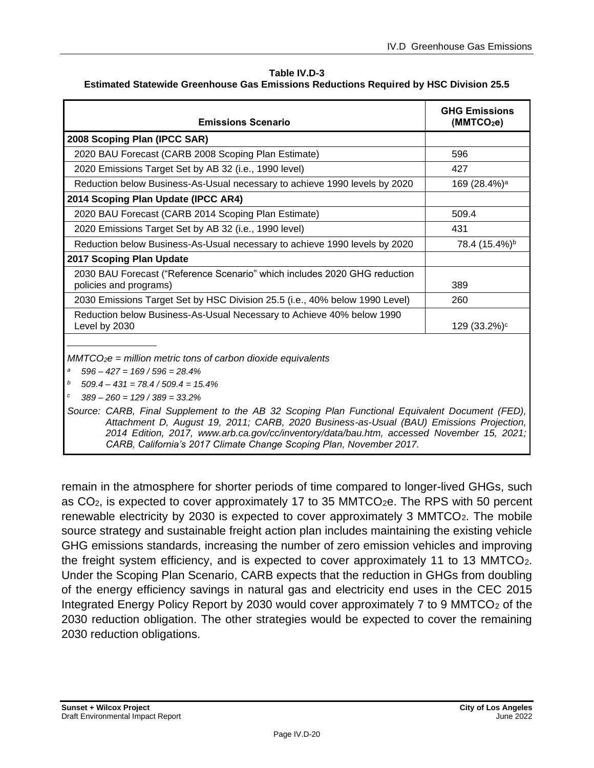#### **Table IV.D-3**

| <b>Estimated Statewide Greenhouse Gas Emissions Reductions Required by HSC Division 25.5</b> |  |  |
|----------------------------------------------------------------------------------------------|--|--|
|----------------------------------------------------------------------------------------------|--|--|

| <b>Emissions Scenario</b>                                                                                                                                                                                                                                                                       | <b>GHG Emissions</b><br>(MMTCO <sub>2</sub> e) |  |  |  |
|-------------------------------------------------------------------------------------------------------------------------------------------------------------------------------------------------------------------------------------------------------------------------------------------------|------------------------------------------------|--|--|--|
| 2008 Scoping Plan (IPCC SAR)                                                                                                                                                                                                                                                                    |                                                |  |  |  |
| 2020 BAU Forecast (CARB 2008 Scoping Plan Estimate)                                                                                                                                                                                                                                             | 596                                            |  |  |  |
| 2020 Emissions Target Set by AB 32 (i.e., 1990 level)                                                                                                                                                                                                                                           | 427                                            |  |  |  |
| Reduction below Business-As-Usual necessary to achieve 1990 levels by 2020                                                                                                                                                                                                                      | 169 (28.4%) <sup>a</sup>                       |  |  |  |
| 2014 Scoping Plan Update (IPCC AR4)                                                                                                                                                                                                                                                             |                                                |  |  |  |
| 2020 BAU Forecast (CARB 2014 Scoping Plan Estimate)                                                                                                                                                                                                                                             | 509.4                                          |  |  |  |
| 2020 Emissions Target Set by AB 32 (i.e., 1990 level)                                                                                                                                                                                                                                           | 431                                            |  |  |  |
| Reduction below Business-As-Usual necessary to achieve 1990 levels by 2020                                                                                                                                                                                                                      | 78.4 (15.4%) <sup>b</sup>                      |  |  |  |
| 2017 Scoping Plan Update                                                                                                                                                                                                                                                                        |                                                |  |  |  |
| 2030 BAU Forecast ("Reference Scenario" which includes 2020 GHG reduction<br>policies and programs)                                                                                                                                                                                             | 389                                            |  |  |  |
| 2030 Emissions Target Set by HSC Division 25.5 (i.e., 40% below 1990 Level)                                                                                                                                                                                                                     | 260                                            |  |  |  |
| Reduction below Business-As-Usual Necessary to Achieve 40% below 1990<br>Level by 2030                                                                                                                                                                                                          | 129 (33.2%) <sup>c</sup>                       |  |  |  |
| $MMTCO2e = million metric tons of carbon dioxide equivalents$<br>$596 - 427 = 169 / 596 = 28.4\%$<br>а<br>b<br>$509.4 - 431 = 78.4 / 509.4 = 15.4\%$<br>с<br>$389 - 260 = 129 / 389 = 33.2\%$<br>Source: CARB, Final Supplement to the AB 32 Scoping Plan Functional Equivalent Document (FED), |                                                |  |  |  |
| Attachment D, August 19, 2011; CARB, 2020 Business-as-Usual (BAU) Emissions Projection,<br>2014 Edition, 2017, www.arb.ca.gov/cc/inventory/data/bau.htm, accessed November 15, 2021;<br>CARB, California's 2017 Climate Change Scoping Plan, November 2017.                                     |                                                |  |  |  |

remain in the atmosphere for shorter periods of time compared to longer-lived GHGs, such as  $CO<sub>2</sub>$ , is expected to cover approximately 17 to 35 MMTCO<sub>2</sub>e. The RPS with 50 percent renewable electricity by 2030 is expected to cover approximately 3 MMTCO<sub>2</sub>. The mobile source strategy and sustainable freight action plan includes maintaining the existing vehicle GHG emissions standards, increasing the number of zero emission vehicles and improving the freight system efficiency, and is expected to cover approximately 11 to 13 MMTCO<sub>2</sub>. Under the Scoping Plan Scenario, CARB expects that the reduction in GHGs from doubling of the energy efficiency savings in natural gas and electricity end uses in the CEC 2015 Integrated Energy Policy Report by 2030 would cover approximately 7 to 9 MMTCO<sub>2</sub> of the 2030 reduction obligation. The other strategies would be expected to cover the remaining 2030 reduction obligations.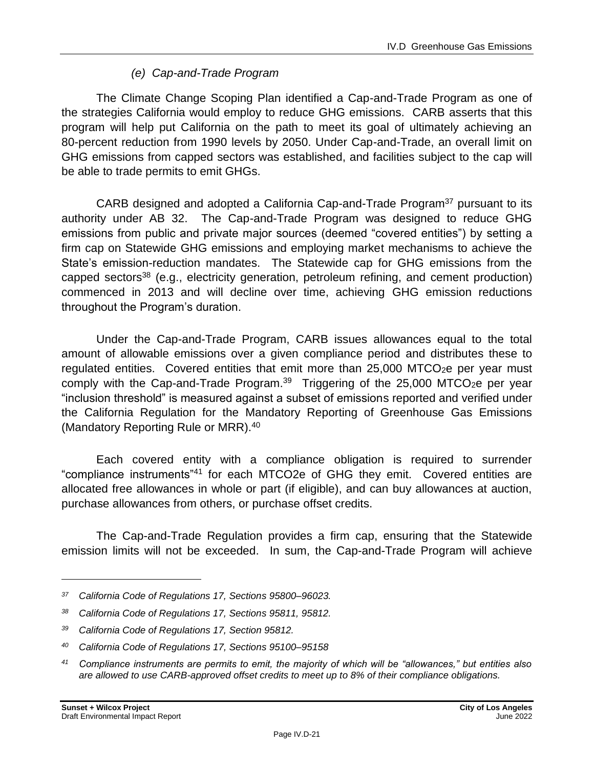#### *(e) Cap-and-Trade Program*

The Climate Change Scoping Plan identified a Cap-and-Trade Program as one of the strategies California would employ to reduce GHG emissions. CARB asserts that this program will help put California on the path to meet its goal of ultimately achieving an 80-percent reduction from 1990 levels by 2050. Under Cap-and-Trade, an overall limit on GHG emissions from capped sectors was established, and facilities subject to the cap will be able to trade permits to emit GHGs.

CARB designed and adopted a California Cap-and-Trade Program<sup>37</sup> pursuant to its authority under AB 32. The Cap-and-Trade Program was designed to reduce GHG emissions from public and private major sources (deemed "covered entities") by setting a firm cap on Statewide GHG emissions and employing market mechanisms to achieve the State's emission-reduction mandates. The Statewide cap for GHG emissions from the capped sectors<sup>38</sup> (e.g., electricity generation, petroleum refining, and cement production) commenced in 2013 and will decline over time, achieving GHG emission reductions throughout the Program's duration.

Under the Cap-and-Trade Program, CARB issues allowances equal to the total amount of allowable emissions over a given compliance period and distributes these to regulated entities. Covered entities that emit more than  $25,000$  MTCO<sub>2</sub>e per year must comply with the Cap-and-Trade Program.<sup>39</sup> Triggering of the 25,000 MTCO<sub>2</sub>e per year "inclusion threshold" is measured against a subset of emissions reported and verified under the California Regulation for the Mandatory Reporting of Greenhouse Gas Emissions (Mandatory Reporting Rule or MRR).<sup>40</sup>

Each covered entity with a compliance obligation is required to surrender "compliance instruments"<sup>41</sup> for each MTCO2e of GHG they emit. Covered entities are allocated free allowances in whole or part (if eligible), and can buy allowances at auction, purchase allowances from others, or purchase offset credits.

The Cap-and-Trade Regulation provides a firm cap, ensuring that the Statewide emission limits will not be exceeded. In sum, the Cap-and-Trade Program will achieve

*<sup>37</sup> California Code of Regulations 17, Sections 95800–96023.*

*<sup>38</sup> California Code of Regulations 17, Sections 95811, 95812.*

*<sup>39</sup> California Code of Regulations 17, Section 95812.*

*<sup>40</sup> California Code of Regulations 17, Sections 95100–95158*

*<sup>41</sup> Compliance instruments are permits to emit, the majority of which will be "allowances," but entities also are allowed to use CARB-approved offset credits to meet up to 8% of their compliance obligations.*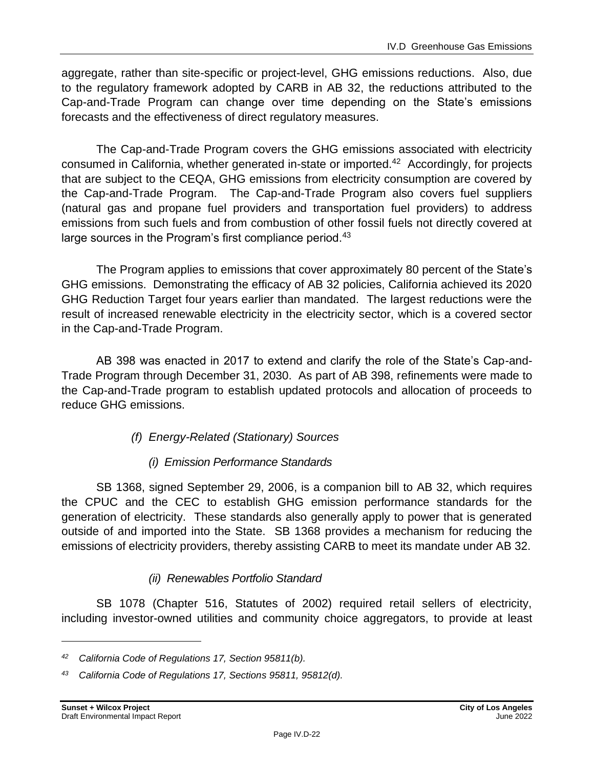aggregate, rather than site-specific or project-level, GHG emissions reductions. Also, due to the regulatory framework adopted by CARB in AB 32, the reductions attributed to the Cap-and-Trade Program can change over time depending on the State's emissions forecasts and the effectiveness of direct regulatory measures.

The Cap-and-Trade Program covers the GHG emissions associated with electricity consumed in California, whether generated in-state or imported.<sup>42</sup> Accordingly, for projects that are subject to the CEQA, GHG emissions from electricity consumption are covered by the Cap-and-Trade Program. The Cap-and-Trade Program also covers fuel suppliers (natural gas and propane fuel providers and transportation fuel providers) to address emissions from such fuels and from combustion of other fossil fuels not directly covered at large sources in the Program's first compliance period.<sup>43</sup>

The Program applies to emissions that cover approximately 80 percent of the State's GHG emissions. Demonstrating the efficacy of AB 32 policies, California achieved its 2020 GHG Reduction Target four years earlier than mandated. The largest reductions were the result of increased renewable electricity in the electricity sector, which is a covered sector in the Cap-and-Trade Program.

AB 398 was enacted in 2017 to extend and clarify the role of the State's Cap-and-Trade Program through December 31, 2030. As part of AB 398, refinements were made to the Cap-and-Trade program to establish updated protocols and allocation of proceeds to reduce GHG emissions.

#### *(f) Energy-Related (Stationary) Sources*

#### *(i) Emission Performance Standards*

SB 1368, signed September 29, 2006, is a companion bill to AB 32, which requires the CPUC and the CEC to establish GHG emission performance standards for the generation of electricity. These standards also generally apply to power that is generated outside of and imported into the State. SB 1368 provides a mechanism for reducing the emissions of electricity providers, thereby assisting CARB to meet its mandate under AB 32.

#### *(ii) Renewables Portfolio Standard*

SB 1078 (Chapter 516, Statutes of 2002) required retail sellers of electricity, including investor-owned utilities and community choice aggregators, to provide at least

*<sup>42</sup> California Code of Regulations 17, Section 95811(b).*

*<sup>43</sup> California Code of Regulations 17, Sections 95811, 95812(d).*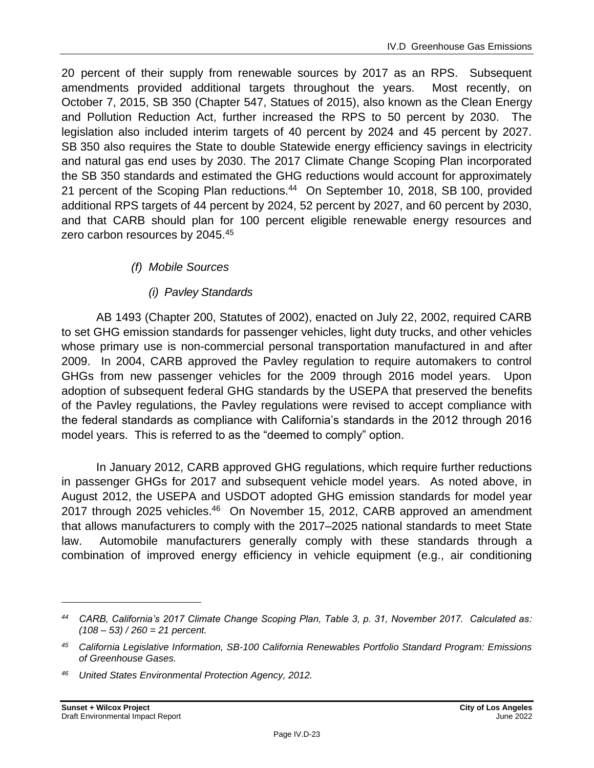20 percent of their supply from renewable sources by 2017 as an RPS. Subsequent amendments provided additional targets throughout the years. Most recently, on October 7, 2015, SB 350 (Chapter 547, Statues of 2015), also known as the Clean Energy and Pollution Reduction Act, further increased the RPS to 50 percent by 2030. The legislation also included interim targets of 40 percent by 2024 and 45 percent by 2027. SB 350 also requires the State to double Statewide energy efficiency savings in electricity and natural gas end uses by 2030. The 2017 Climate Change Scoping Plan incorporated the SB 350 standards and estimated the GHG reductions would account for approximately 21 percent of the Scoping Plan reductions.<sup>44</sup> On September 10, 2018, SB 100, provided additional RPS targets of 44 percent by 2024, 52 percent by 2027, and 60 percent by 2030, and that CARB should plan for 100 percent eligible renewable energy resources and zero carbon resources by 2045.<sup>45</sup>

#### *(f) Mobile Sources*

#### *(i) Pavley Standards*

AB 1493 (Chapter 200, Statutes of 2002), enacted on July 22, 2002, required CARB to set GHG emission standards for passenger vehicles, light duty trucks, and other vehicles whose primary use is non-commercial personal transportation manufactured in and after 2009. In 2004, CARB approved the Pavley regulation to require automakers to control GHGs from new passenger vehicles for the 2009 through 2016 model years. Upon adoption of subsequent federal GHG standards by the USEPA that preserved the benefits of the Pavley regulations, the Pavley regulations were revised to accept compliance with the federal standards as compliance with California's standards in the 2012 through 2016 model years. This is referred to as the "deemed to comply" option.

In January 2012, CARB approved GHG regulations, which require further reductions in passenger GHGs for 2017 and subsequent vehicle model years. As noted above, in August 2012, the USEPA and USDOT adopted GHG emission standards for model year 2017 through 2025 vehicles.<sup>46</sup> On November 15, 2012, CARB approved an amendment that allows manufacturers to comply with the 2017–2025 national standards to meet State law. Automobile manufacturers generally comply with these standards through a combination of improved energy efficiency in vehicle equipment (e.g., air conditioning

*<sup>44</sup> CARB, California's 2017 Climate Change Scoping Plan, Table 3, p. 31, November 2017. Calculated as: (108 – 53) / 260 = 21 percent.*

*<sup>45</sup> California Legislative Information, SB-100 California Renewables Portfolio Standard Program: Emissions of Greenhouse Gases.*

*<sup>46</sup> United States Environmental Protection Agency, 2012.*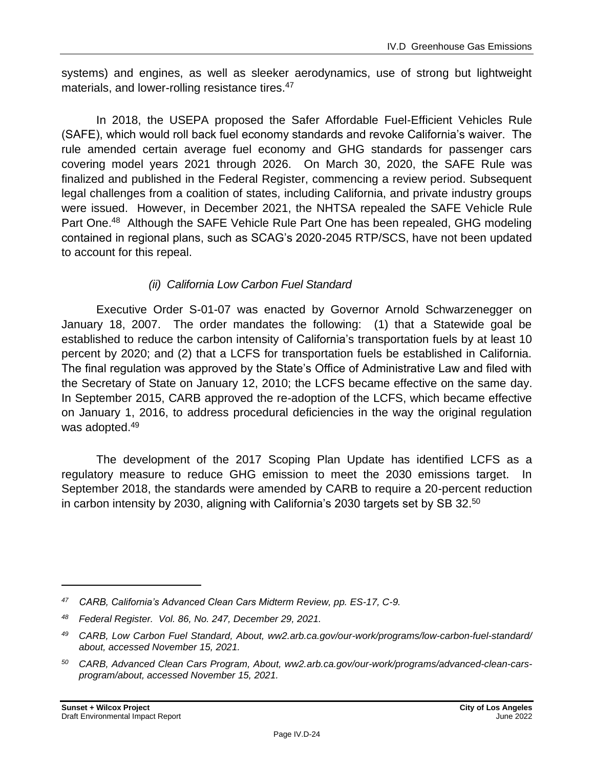systems) and engines, as well as sleeker aerodynamics, use of strong but lightweight materials, and lower-rolling resistance tires.<sup>47</sup>

In 2018, the USEPA proposed the Safer Affordable Fuel-Efficient Vehicles Rule (SAFE), which would roll back fuel economy standards and revoke California's waiver. The rule amended certain average fuel economy and GHG standards for passenger cars covering model years 2021 through 2026. On March 30, 2020, the SAFE Rule was finalized and published in the Federal Register, commencing a review period. Subsequent legal challenges from a coalition of states, including California, and private industry groups were issued. However, in December 2021, the NHTSA repealed the SAFE Vehicle Rule Part One.<sup>48</sup> Although the SAFE Vehicle Rule Part One has been repealed, GHG modeling contained in regional plans, such as SCAG's 2020-2045 RTP/SCS, have not been updated to account for this repeal.

#### *(ii) California Low Carbon Fuel Standard*

Executive Order S-01-07 was enacted by Governor Arnold Schwarzenegger on January 18, 2007. The order mandates the following: (1) that a Statewide goal be established to reduce the carbon intensity of California's transportation fuels by at least 10 percent by 2020; and (2) that a LCFS for transportation fuels be established in California. The final regulation was approved by the State's Office of Administrative Law and filed with the Secretary of State on January 12, 2010; the LCFS became effective on the same day. In September 2015, CARB approved the re-adoption of the LCFS, which became effective on January 1, 2016, to address procedural deficiencies in the way the original regulation was adopted.<sup>49</sup>

The development of the 2017 Scoping Plan Update has identified LCFS as a regulatory measure to reduce GHG emission to meet the 2030 emissions target. In September 2018, the standards were amended by CARB to require a 20-percent reduction in carbon intensity by 2030, aligning with California's 2030 targets set by SB 32.<sup>50</sup>

*<sup>47</sup> CARB, California's Advanced Clean Cars Midterm Review, pp. ES-17, C-9.*

*<sup>48</sup> Federal Register. Vol. 86, No. 247, December 29, 2021.*

*<sup>49</sup> CARB, Low Carbon Fuel Standard, About, ww2.arb.ca.gov/our-work/programs/low-carbon-fuel-standard/ about, accessed November 15, 2021.*

*<sup>50</sup> CARB, Advanced Clean Cars Program, About, ww2.arb.ca.gov/our-work/programs/advanced-clean-carsprogram/about, accessed November 15, 2021.*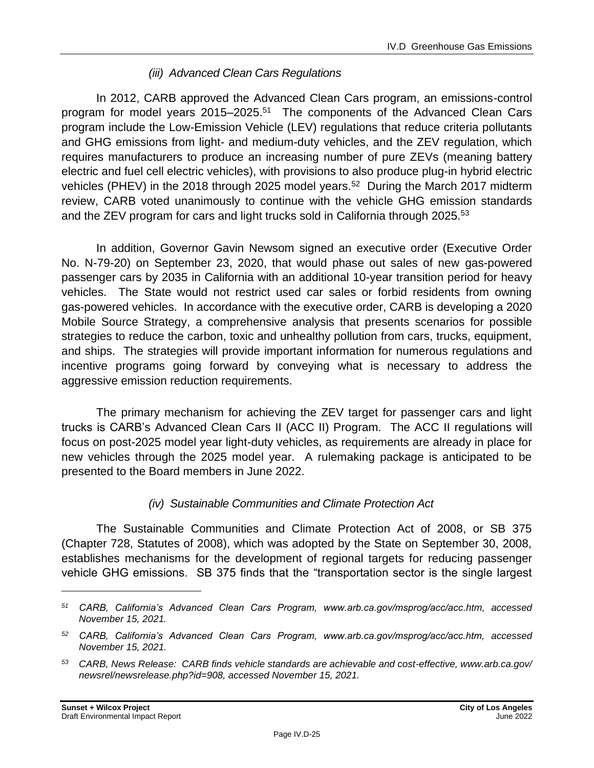#### *(iii) Advanced Clean Cars Regulations*

In 2012, CARB approved the Advanced Clean Cars program, an emissions-control program for model years 2015–2025.<sup>51</sup> The components of the Advanced Clean Cars program include the Low-Emission Vehicle (LEV) regulations that reduce criteria pollutants and GHG emissions from light- and medium-duty vehicles, and the ZEV regulation, which requires manufacturers to produce an increasing number of pure ZEVs (meaning battery electric and fuel cell electric vehicles), with provisions to also produce plug-in hybrid electric vehicles (PHEV) in the 2018 through 2025 model years.<sup>52</sup> During the March 2017 midterm review, CARB voted unanimously to continue with the vehicle GHG emission standards and the ZEV program for cars and light trucks sold in California through 2025.<sup>53</sup>

In addition, Governor Gavin Newsom signed an executive order (Executive Order No. N-79-20) on September 23, 2020, that would phase out sales of new gas-powered passenger cars by 2035 in California with an additional 10-year transition period for heavy vehicles. The State would not restrict used car sales or forbid residents from owning gas-powered vehicles. In accordance with the executive order, CARB is developing a 2020 Mobile Source Strategy, a comprehensive analysis that presents scenarios for possible strategies to reduce the carbon, toxic and unhealthy pollution from cars, trucks, equipment, and ships. The strategies will provide important information for numerous regulations and incentive programs going forward by conveying what is necessary to address the aggressive emission reduction requirements.

The primary mechanism for achieving the ZEV target for passenger cars and light trucks is CARB's Advanced Clean Cars II (ACC II) Program. The ACC II regulations will focus on post-2025 model year light-duty vehicles, as requirements are already in place for new vehicles through the 2025 model year. A rulemaking package is anticipated to be presented to the Board members in June 2022.

#### *(iv) Sustainable Communities and Climate Protection Act*

The Sustainable Communities and Climate Protection Act of 2008, or SB 375 (Chapter 728, Statutes of 2008), which was adopted by the State on September 30, 2008, establishes mechanisms for the development of regional targets for reducing passenger vehicle GHG emissions. SB 375 finds that the "transportation sector is the single largest

*<sup>51</sup> CARB, California's Advanced Clean Cars Program, www.arb.ca.gov/msprog/acc/acc.htm, accessed November 15, 2021.*

*<sup>52</sup> CARB, California's Advanced Clean Cars Program, www.arb.ca.gov/msprog/acc/acc.htm, accessed November 15, 2021.*

*<sup>53</sup> CARB, News Release: CARB finds vehicle standards are achievable and cost-effective, www.arb.ca.gov/ newsrel/newsrelease.php?id=908, accessed November 15, 2021.*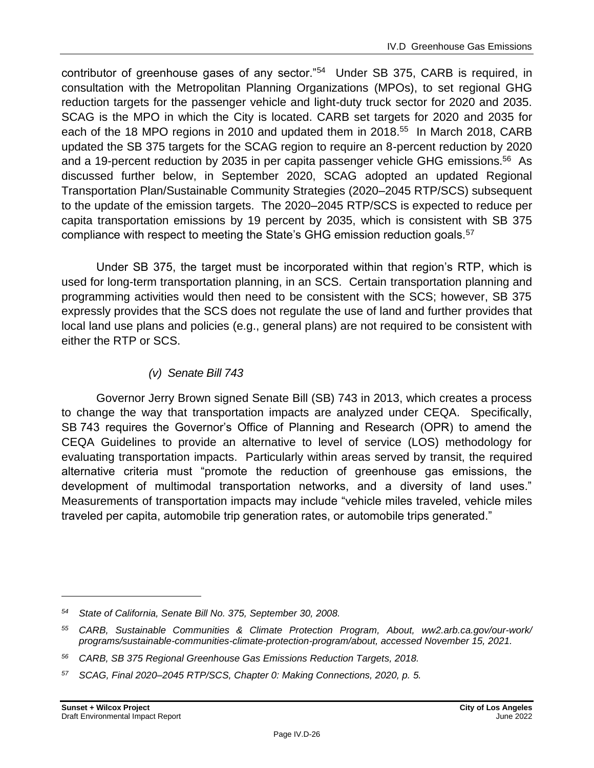contributor of greenhouse gases of any sector."<sup>54</sup> Under SB 375, CARB is required, in consultation with the Metropolitan Planning Organizations (MPOs), to set regional GHG reduction targets for the passenger vehicle and light-duty truck sector for 2020 and 2035. SCAG is the MPO in which the City is located. CARB set targets for 2020 and 2035 for each of the 18 MPO regions in 2010 and updated them in 2018.<sup>55</sup> In March 2018, CARB updated the SB 375 targets for the SCAG region to require an 8-percent reduction by 2020 and a 19-percent reduction by 2035 in per capita passenger vehicle GHG emissions.<sup>56</sup> As discussed further below, in September 2020, SCAG adopted an updated Regional Transportation Plan/Sustainable Community Strategies (2020–2045 RTP/SCS) subsequent to the update of the emission targets. The 2020–2045 RTP/SCS is expected to reduce per capita transportation emissions by 19 percent by 2035, which is consistent with SB 375 compliance with respect to meeting the State's GHG emission reduction goals.<sup>57</sup>

Under SB 375, the target must be incorporated within that region's RTP, which is used for long-term transportation planning, in an SCS. Certain transportation planning and programming activities would then need to be consistent with the SCS; however, SB 375 expressly provides that the SCS does not regulate the use of land and further provides that local land use plans and policies (e.g., general plans) are not required to be consistent with either the RTP or SCS.

#### *(v) Senate Bill 743*

Governor Jerry Brown signed Senate Bill (SB) 743 in 2013, which creates a process to change the way that transportation impacts are analyzed under CEQA. Specifically, SB 743 requires the Governor's Office of Planning and Research (OPR) to amend the CEQA Guidelines to provide an alternative to level of service (LOS) methodology for evaluating transportation impacts. Particularly within areas served by transit, the required alternative criteria must "promote the reduction of greenhouse gas emissions, the development of multimodal transportation networks, and a diversity of land uses." Measurements of transportation impacts may include "vehicle miles traveled, vehicle miles traveled per capita, automobile trip generation rates, or automobile trips generated."

*<sup>54</sup> State of California, Senate Bill No. 375, September 30, 2008.*

*<sup>55</sup> CARB, Sustainable Communities & Climate Protection Program, About, ww2.arb.ca.gov/our-work/ programs/sustainable-communities-climate-protection-program/about, accessed November 15, 2021.*

*<sup>56</sup> CARB, SB 375 Regional Greenhouse Gas Emissions Reduction Targets, 2018.*

*<sup>57</sup> SCAG, Final 2020–2045 RTP/SCS, Chapter 0: Making Connections, 2020, p. 5.*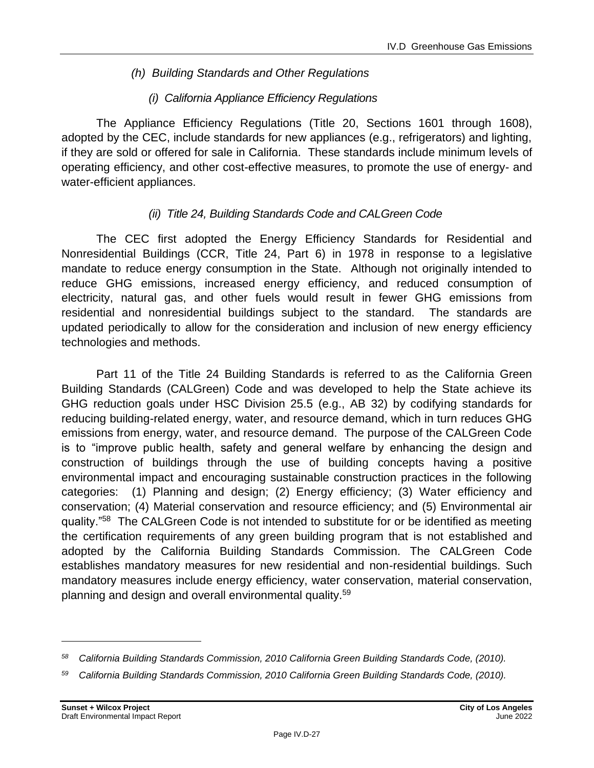#### *(h) Building Standards and Other Regulations*

#### *(i) California Appliance Efficiency Regulations*

The Appliance Efficiency Regulations (Title 20, Sections 1601 through 1608), adopted by the CEC, include standards for new appliances (e.g., refrigerators) and lighting, if they are sold or offered for sale in California. These standards include minimum levels of operating efficiency, and other cost-effective measures, to promote the use of energy- and water-efficient appliances.

#### *(ii) Title 24, Building Standards Code and CALGreen Code*

The CEC first adopted the Energy Efficiency Standards for Residential and Nonresidential Buildings (CCR, Title 24, Part 6) in 1978 in response to a legislative mandate to reduce energy consumption in the State. Although not originally intended to reduce GHG emissions, increased energy efficiency, and reduced consumption of electricity, natural gas, and other fuels would result in fewer GHG emissions from residential and nonresidential buildings subject to the standard. The standards are updated periodically to allow for the consideration and inclusion of new energy efficiency technologies and methods.

Part 11 of the Title 24 Building Standards is referred to as the California Green Building Standards (CALGreen) Code and was developed to help the State achieve its GHG reduction goals under HSC Division 25.5 (e.g., AB 32) by codifying standards for reducing building-related energy, water, and resource demand, which in turn reduces GHG emissions from energy, water, and resource demand. The purpose of the CALGreen Code is to "improve public health, safety and general welfare by enhancing the design and construction of buildings through the use of building concepts having a positive environmental impact and encouraging sustainable construction practices in the following categories: (1) Planning and design; (2) Energy efficiency; (3) Water efficiency and conservation; (4) Material conservation and resource efficiency; and (5) Environmental air quality."<sup>58</sup> The CALGreen Code is not intended to substitute for or be identified as meeting the certification requirements of any green building program that is not established and adopted by the California Building Standards Commission. The CALGreen Code establishes mandatory measures for new residential and non-residential buildings. Such mandatory measures include energy efficiency, water conservation, material conservation, planning and design and overall environmental quality.<sup>59</sup>

*<sup>58</sup> California Building Standards Commission, 2010 California Green Building Standards Code, (2010).*

*<sup>59</sup> California Building Standards Commission, 2010 California Green Building Standards Code, (2010).*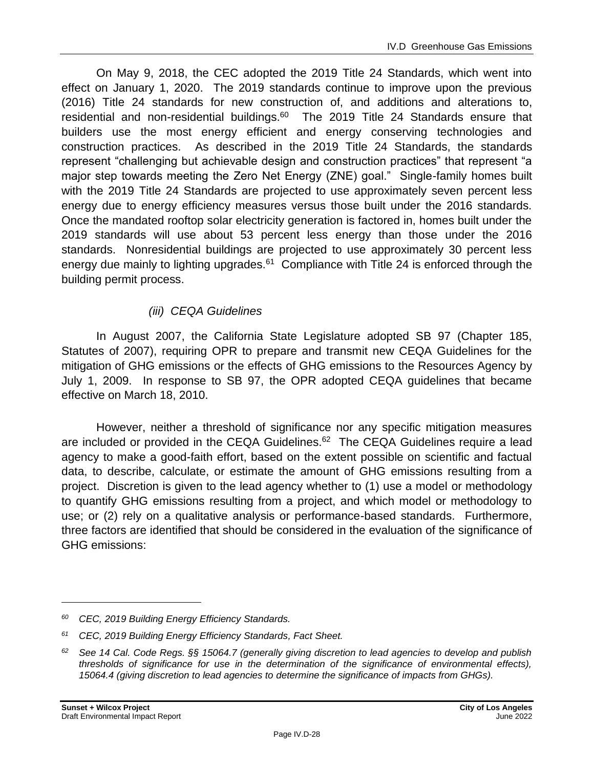On May 9, 2018, the CEC adopted the 2019 Title 24 Standards, which went into effect on January 1, 2020. The 2019 standards continue to improve upon the previous (2016) Title 24 standards for new construction of, and additions and alterations to, residential and non-residential buildings. $60$  The 2019 Title 24 Standards ensure that builders use the most energy efficient and energy conserving technologies and construction practices. As described in the 2019 Title 24 Standards, the standards represent "challenging but achievable design and construction practices" that represent "a major step towards meeting the Zero Net Energy (ZNE) goal." Single-family homes built with the 2019 Title 24 Standards are projected to use approximately seven percent less energy due to energy efficiency measures versus those built under the 2016 standards. Once the mandated rooftop solar electricity generation is factored in, homes built under the 2019 standards will use about 53 percent less energy than those under the 2016 standards. Nonresidential buildings are projected to use approximately 30 percent less energy due mainly to lighting upgrades.<sup>61</sup> Compliance with Title 24 is enforced through the building permit process.

#### *(iii) CEQA Guidelines*

In August 2007, the California State Legislature adopted SB 97 (Chapter 185, Statutes of 2007), requiring OPR to prepare and transmit new CEQA Guidelines for the mitigation of GHG emissions or the effects of GHG emissions to the Resources Agency by July 1, 2009. In response to SB 97, the OPR adopted CEQA guidelines that became effective on March 18, 2010.

However, neither a threshold of significance nor any specific mitigation measures are included or provided in the CEQA Guidelines.<sup>62</sup> The CEQA Guidelines require a lead agency to make a good-faith effort, based on the extent possible on scientific and factual data, to describe, calculate, or estimate the amount of GHG emissions resulting from a project. Discretion is given to the lead agency whether to (1) use a model or methodology to quantify GHG emissions resulting from a project, and which model or methodology to use; or (2) rely on a qualitative analysis or performance-based standards. Furthermore, three factors are identified that should be considered in the evaluation of the significance of GHG emissions:

*<sup>60</sup> CEC, 2019 Building Energy Efficiency Standards.*

*<sup>61</sup> CEC, 2019 Building Energy Efficiency Standards, Fact Sheet.*

*<sup>62</sup> See 14 Cal. Code Regs. §§ 15064.7 (generally giving discretion to lead agencies to develop and publish thresholds of significance for use in the determination of the significance of environmental effects), 15064.4 (giving discretion to lead agencies to determine the significance of impacts from GHGs).*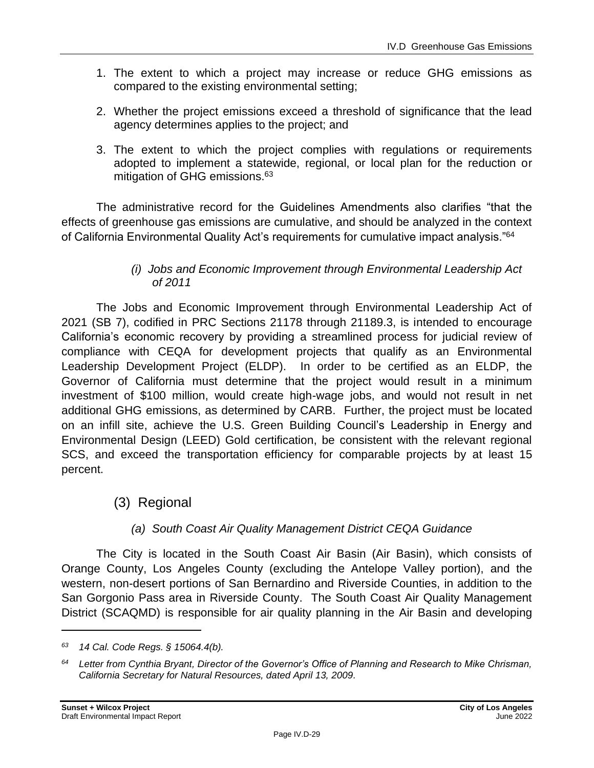- 1. The extent to which a project may increase or reduce GHG emissions as compared to the existing environmental setting;
- 2. Whether the project emissions exceed a threshold of significance that the lead agency determines applies to the project; and
- 3. The extent to which the project complies with regulations or requirements adopted to implement a statewide, regional, or local plan for the reduction or mitigation of GHG emissions.<sup>63</sup>

The administrative record for the Guidelines Amendments also clarifies "that the effects of greenhouse gas emissions are cumulative, and should be analyzed in the context of California Environmental Quality Act's requirements for cumulative impact analysis."<sup>64</sup>

#### *(i) Jobs and Economic Improvement through Environmental Leadership Act of 2011*

The Jobs and Economic Improvement through Environmental Leadership Act of 2021 (SB 7), codified in PRC Sections 21178 through 21189.3, is intended to encourage California's economic recovery by providing a streamlined process for judicial review of compliance with CEQA for development projects that qualify as an Environmental Leadership Development Project (ELDP). In order to be certified as an ELDP, the Governor of California must determine that the project would result in a minimum investment of \$100 million, would create high-wage jobs, and would not result in net additional GHG emissions, as determined by CARB. Further, the project must be located on an infill site, achieve the U.S. Green Building Council's Leadership in Energy and Environmental Design (LEED) Gold certification, be consistent with the relevant regional SCS, and exceed the transportation efficiency for comparable projects by at least 15 percent.

### (3) Regional

#### *(a) South Coast Air Quality Management District CEQA Guidance*

The City is located in the South Coast Air Basin (Air Basin), which consists of Orange County, Los Angeles County (excluding the Antelope Valley portion), and the western, non-desert portions of San Bernardino and Riverside Counties, in addition to the San Gorgonio Pass area in Riverside County. The South Coast Air Quality Management District (SCAQMD) is responsible for air quality planning in the Air Basin and developing

*<sup>63</sup> 14 Cal. Code Regs. § 15064.4(b).*

*<sup>64</sup> Letter from Cynthia Bryant, Director of the Governor's Office of Planning and Research to Mike Chrisman, California Secretary for Natural Resources, dated April 13, 2009.*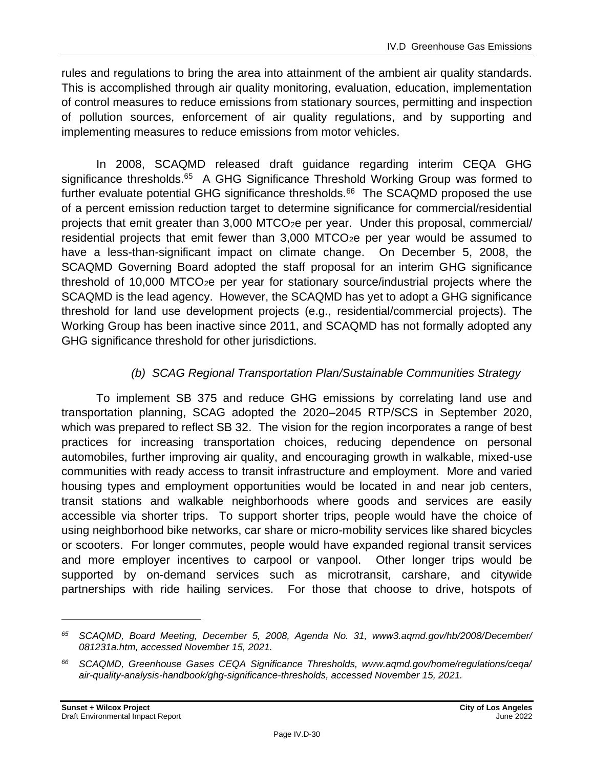rules and regulations to bring the area into attainment of the ambient air quality standards. This is accomplished through air quality monitoring, evaluation, education, implementation of control measures to reduce emissions from stationary sources, permitting and inspection of pollution sources, enforcement of air quality regulations, and by supporting and implementing measures to reduce emissions from motor vehicles.

In 2008, SCAQMD released draft guidance regarding interim CEQA GHG significance thresholds.<sup>65</sup> A GHG Significance Threshold Working Group was formed to further evaluate potential GHG significance thresholds.<sup>66</sup> The SCAQMD proposed the use of a percent emission reduction target to determine significance for commercial/residential projects that emit greater than 3,000 MTCO2e per year. Under this proposal, commercial/ residential projects that emit fewer than 3,000 MTCO<sub>2</sub>e per year would be assumed to have a less-than-significant impact on climate change. On December 5, 2008, the SCAQMD Governing Board adopted the staff proposal for an interim GHG significance threshold of 10,000 MTCO2e per year for stationary source/industrial projects where the SCAQMD is the lead agency. However, the SCAQMD has yet to adopt a GHG significance threshold for land use development projects (e.g., residential/commercial projects). The Working Group has been inactive since 2011, and SCAQMD has not formally adopted any GHG significance threshold for other jurisdictions.

#### *(b) SCAG Regional Transportation Plan/Sustainable Communities Strategy*

To implement SB 375 and reduce GHG emissions by correlating land use and transportation planning, SCAG adopted the 2020–2045 RTP/SCS in September 2020, which was prepared to reflect SB 32. The vision for the region incorporates a range of best practices for increasing transportation choices, reducing dependence on personal automobiles, further improving air quality, and encouraging growth in walkable, mixed-use communities with ready access to transit infrastructure and employment. More and varied housing types and employment opportunities would be located in and near job centers, transit stations and walkable neighborhoods where goods and services are easily accessible via shorter trips. To support shorter trips, people would have the choice of using neighborhood bike networks, car share or micro-mobility services like shared bicycles or scooters. For longer commutes, people would have expanded regional transit services and more employer incentives to carpool or vanpool. Other longer trips would be supported by on-demand services such as microtransit, carshare, and citywide partnerships with ride hailing services. For those that choose to drive, hotspots of

*<sup>65</sup> SCAQMD, Board Meeting, December 5, 2008, Agenda No. 31, www3.aqmd.gov/hb/2008/December/ 081231a.htm, accessed November 15, 2021.*

*<sup>66</sup> SCAQMD, Greenhouse Gases CEQA Significance Thresholds, www.aqmd.gov/home/regulations/ceqa/ air-quality-analysis-handbook/ghg-significance-thresholds, accessed November 15, 2021.*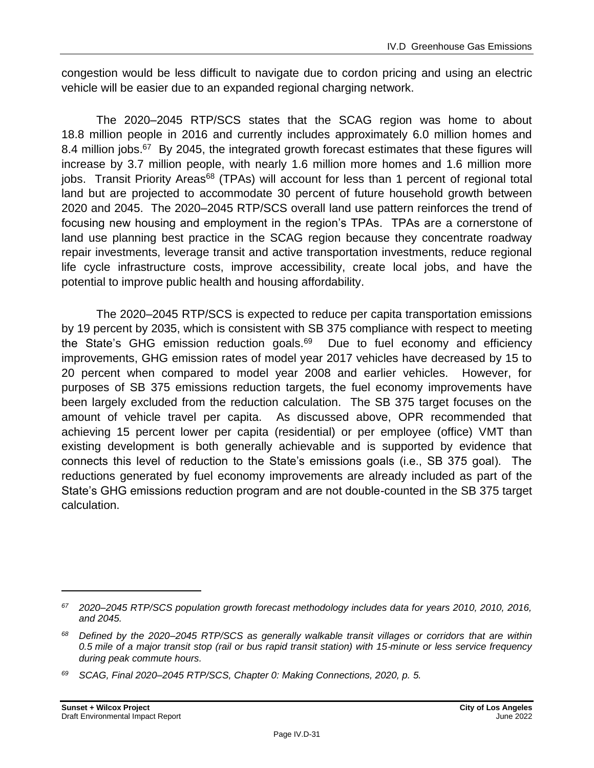congestion would be less difficult to navigate due to cordon pricing and using an electric vehicle will be easier due to an expanded regional charging network.

The 2020–2045 RTP/SCS states that the SCAG region was home to about 18.8 million people in 2016 and currently includes approximately 6.0 million homes and 8.4 million jobs.<sup>67</sup> By 2045, the integrated growth forecast estimates that these figures will increase by 3.7 million people, with nearly 1.6 million more homes and 1.6 million more jobs. Transit Priority Areas<sup>68</sup> (TPAs) will account for less than 1 percent of regional total land but are projected to accommodate 30 percent of future household growth between 2020 and 2045. The 2020–2045 RTP/SCS overall land use pattern reinforces the trend of focusing new housing and employment in the region's TPAs. TPAs are a cornerstone of land use planning best practice in the SCAG region because they concentrate roadway repair investments, leverage transit and active transportation investments, reduce regional life cycle infrastructure costs, improve accessibility, create local jobs, and have the potential to improve public health and housing affordability.

The 2020–2045 RTP/SCS is expected to reduce per capita transportation emissions by 19 percent by 2035, which is consistent with SB 375 compliance with respect to meeting the State's GHG emission reduction goals.<sup>69</sup> Due to fuel economy and efficiency improvements, GHG emission rates of model year 2017 vehicles have decreased by 15 to 20 percent when compared to model year 2008 and earlier vehicles. However, for purposes of SB 375 emissions reduction targets, the fuel economy improvements have been largely excluded from the reduction calculation. The SB 375 target focuses on the amount of vehicle travel per capita. As discussed above, OPR recommended that achieving 15 percent lower per capita (residential) or per employee (office) VMT than existing development is both generally achievable and is supported by evidence that connects this level of reduction to the State's emissions goals (i.e., SB 375 goal). The reductions generated by fuel economy improvements are already included as part of the State's GHG emissions reduction program and are not double-counted in the SB 375 target calculation.

*<sup>67</sup> 2020–2045 RTP/SCS population growth forecast methodology includes data for years 2010, 2010, 2016, and 2045.*

*<sup>68</sup> Defined by the 2020–2045 RTP/SCS as generally walkable transit villages or corridors that are within 0.5 mile of a major transit stop (rail or bus rapid transit station) with 15*‑*minute or less service frequency during peak commute hours.*

*<sup>69</sup> SCAG, Final 2020–2045 RTP/SCS, Chapter 0: Making Connections, 2020, p. 5.*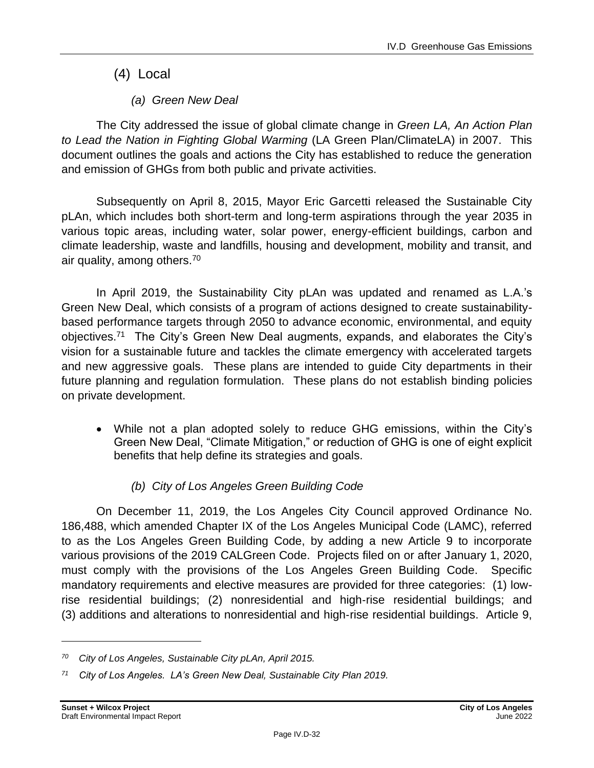(4) Local

*(a) Green New Deal*

The City addressed the issue of global climate change in *Green LA, An Action Plan to Lead the Nation in Fighting Global Warming* (LA Green Plan/ClimateLA) in 2007. This document outlines the goals and actions the City has established to reduce the generation and emission of GHGs from both public and private activities.

Subsequently on April 8, 2015, Mayor Eric Garcetti released the Sustainable City pLAn, which includes both short-term and long-term aspirations through the year 2035 in various topic areas, including water, solar power, energy-efficient buildings, carbon and climate leadership, waste and landfills, housing and development, mobility and transit, and air quality, among others.<sup>70</sup>

In April 2019, the Sustainability City pLAn was updated and renamed as L.A.'s Green New Deal, which consists of a program of actions designed to create sustainabilitybased performance targets through 2050 to advance economic, environmental, and equity objectives.<sup>71</sup> The City's Green New Deal augments, expands, and elaborates the City's vision for a sustainable future and tackles the climate emergency with accelerated targets and new aggressive goals. These plans are intended to guide City departments in their future planning and regulation formulation. These plans do not establish binding policies on private development.

• While not a plan adopted solely to reduce GHG emissions, within the City's Green New Deal, "Climate Mitigation," or reduction of GHG is one of eight explicit benefits that help define its strategies and goals.

### *(b) City of Los Angeles Green Building Code*

On December 11, 2019, the Los Angeles City Council approved Ordinance No. 186,488, which amended Chapter IX of the Los Angeles Municipal Code (LAMC), referred to as the Los Angeles Green Building Code, by adding a new Article 9 to incorporate various provisions of the 2019 CALGreen Code. Projects filed on or after January 1, 2020, must comply with the provisions of the Los Angeles Green Building Code. Specific mandatory requirements and elective measures are provided for three categories: (1) lowrise residential buildings; (2) nonresidential and high-rise residential buildings; and (3) additions and alterations to nonresidential and high-rise residential buildings. Article 9,

*<sup>70</sup> City of Los Angeles, Sustainable City pLAn, April 2015.*

*<sup>71</sup> City of Los Angeles. LA's Green New Deal, Sustainable City Plan 2019.*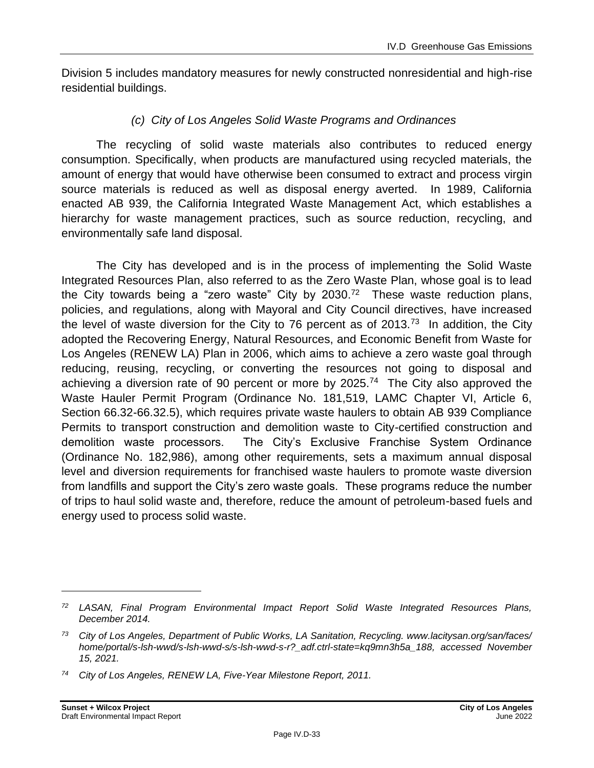Division 5 includes mandatory measures for newly constructed nonresidential and high-rise residential buildings.

#### *(c) City of Los Angeles Solid Waste Programs and Ordinances*

The recycling of solid waste materials also contributes to reduced energy consumption. Specifically, when products are manufactured using recycled materials, the amount of energy that would have otherwise been consumed to extract and process virgin source materials is reduced as well as disposal energy averted. In 1989, California enacted AB 939, the California Integrated Waste Management Act, which establishes a hierarchy for waste management practices, such as source reduction, recycling, and environmentally safe land disposal.

The City has developed and is in the process of implementing the Solid Waste Integrated Resources Plan, also referred to as the Zero Waste Plan, whose goal is to lead the City towards being a "zero waste" City by 2030.<sup>72</sup> These waste reduction plans, policies, and regulations, along with Mayoral and City Council directives, have increased the level of waste diversion for the City to 76 percent as of 2013.<sup>73</sup> In addition, the City adopted the Recovering Energy, Natural Resources, and Economic Benefit from Waste for Los Angeles (RENEW LA) Plan in 2006, which aims to achieve a zero waste goal through reducing, reusing, recycling, or converting the resources not going to disposal and achieving a diversion rate of 90 percent or more by 2025.<sup>74</sup> The City also approved the Waste Hauler Permit Program (Ordinance No. 181,519, LAMC Chapter VI, Article 6, Section 66.32-66.32.5), which requires private waste haulers to obtain AB 939 Compliance Permits to transport construction and demolition waste to City-certified construction and demolition waste processors. The City's Exclusive Franchise System Ordinance (Ordinance No. 182,986), among other requirements, sets a maximum annual disposal level and diversion requirements for franchised waste haulers to promote waste diversion from landfills and support the City's zero waste goals. These programs reduce the number of trips to haul solid waste and, therefore, reduce the amount of petroleum-based fuels and energy used to process solid waste.

*<sup>72</sup> LASAN, Final Program Environmental Impact Report Solid Waste Integrated Resources Plans, December 2014.*

*<sup>73</sup> City of Los Angeles, Department of Public Works, LA Sanitation, Recycling. www.lacitysan.org/san/faces/ home/portal/s-lsh-wwd/s-lsh-wwd-s/s-lsh-wwd-s-r?\_adf.ctrl-state=kq9mn3h5a\_188, accessed November 15, 2021.*

*<sup>74</sup> City of Los Angeles, RENEW LA, Five-Year Milestone Report, 2011.*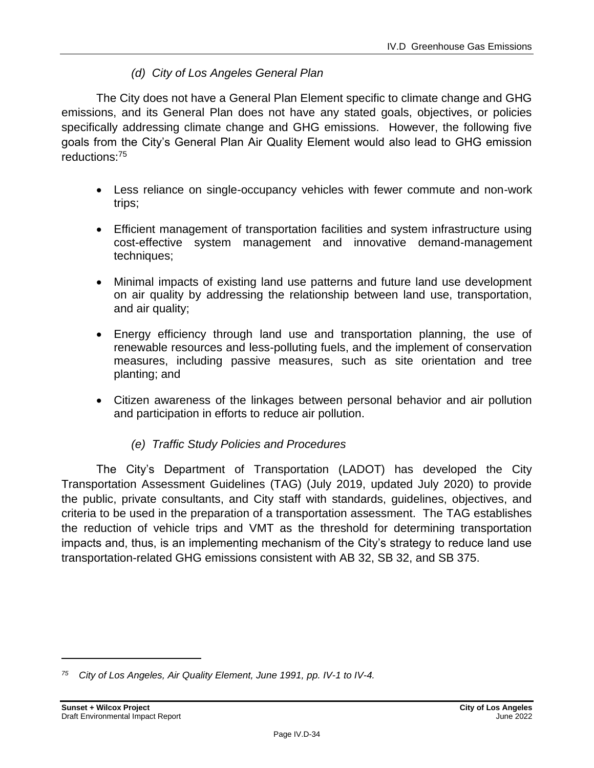#### *(d) City of Los Angeles General Plan*

The City does not have a General Plan Element specific to climate change and GHG emissions, and its General Plan does not have any stated goals, objectives, or policies specifically addressing climate change and GHG emissions. However, the following five goals from the City's General Plan Air Quality Element would also lead to GHG emission reductions:<sup>75</sup>

- Less reliance on single-occupancy vehicles with fewer commute and non-work trips;
- Efficient management of transportation facilities and system infrastructure using cost-effective system management and innovative demand-management techniques;
- Minimal impacts of existing land use patterns and future land use development on air quality by addressing the relationship between land use, transportation, and air quality;
- Energy efficiency through land use and transportation planning, the use of renewable resources and less-polluting fuels, and the implement of conservation measures, including passive measures, such as site orientation and tree planting; and
- Citizen awareness of the linkages between personal behavior and air pollution and participation in efforts to reduce air pollution.

#### *(e) Traffic Study Policies and Procedures*

The City's Department of Transportation (LADOT) has developed the City Transportation Assessment Guidelines (TAG) (July 2019, updated July 2020) to provide the public, private consultants, and City staff with standards, guidelines, objectives, and criteria to be used in the preparation of a transportation assessment. The TAG establishes the reduction of vehicle trips and VMT as the threshold for determining transportation impacts and, thus, is an implementing mechanism of the City's strategy to reduce land use transportation-related GHG emissions consistent with AB 32, SB 32, and SB 375.

*<sup>75</sup> City of Los Angeles, Air Quality Element, June 1991, pp. IV-1 to IV-4.*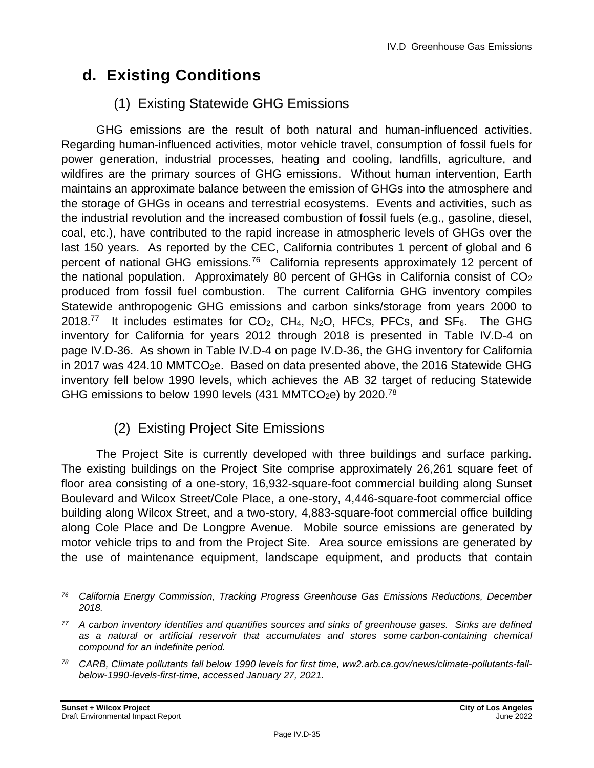# **d. Existing Conditions**

# (1) Existing Statewide GHG Emissions

GHG emissions are the result of both natural and human-influenced activities. Regarding human-influenced activities, motor vehicle travel, consumption of fossil fuels for power generation, industrial processes, heating and cooling, landfills, agriculture, and wildfires are the primary sources of GHG emissions. Without human intervention, Earth maintains an approximate balance between the emission of GHGs into the atmosphere and the storage of GHGs in oceans and terrestrial ecosystems. Events and activities, such as the industrial revolution and the increased combustion of fossil fuels (e.g., gasoline, diesel, coal, etc.), have contributed to the rapid increase in atmospheric levels of GHGs over the last 150 years. As reported by the CEC, California contributes 1 percent of global and 6 percent of national GHG emissions.<sup>76</sup> California represents approximately 12 percent of the national population. Approximately 80 percent of GHGs in California consist of CO<sup>2</sup> produced from fossil fuel combustion. The current California GHG inventory compiles Statewide anthropogenic GHG emissions and carbon sinks/storage from years 2000 to 2018.<sup>77</sup> It includes estimates for  $CO<sub>2</sub>$ ,  $CH<sub>4</sub>$ , N<sub>2</sub>O, HFCs, PFCs, and SF<sub>6</sub>. The GHG inventory for California for years 2012 through 2018 is presented in Table IV.D-4 on page IV.D-36. As shown in Table IV.D-4 on page IV.D-36, the GHG inventory for California in 2017 was 424.10 MMTCO<sub>2</sub>e. Based on data presented above, the 2016 Statewide GHG inventory fell below 1990 levels, which achieves the AB 32 target of reducing Statewide GHG emissions to below 1990 levels (431 MMTCO<sub>2</sub>e) by 2020.<sup>78</sup>

## (2) Existing Project Site Emissions

The Project Site is currently developed with three buildings and surface parking. The existing buildings on the Project Site comprise approximately 26,261 square feet of floor area consisting of a one-story, 16,932-square-foot commercial building along Sunset Boulevard and Wilcox Street/Cole Place, a one-story, 4,446-square-foot commercial office building along Wilcox Street, and a two-story, 4,883-square-foot commercial office building along Cole Place and De Longpre Avenue. Mobile source emissions are generated by motor vehicle trips to and from the Project Site. Area source emissions are generated by the use of maintenance equipment, landscape equipment, and products that contain

*<sup>76</sup> California Energy Commission, Tracking Progress Greenhouse Gas Emissions Reductions, December 2018.*

*<sup>77</sup> A carbon inventory identifies and quantifies sources and sinks of greenhouse gases. Sinks are defined as a natural or artificial reservoir that accumulates and stores some carbon-containing chemical compound for an indefinite period.*

*<sup>78</sup> CARB, Climate pollutants fall below 1990 levels for first time, ww2.arb.ca.gov/news/climate-pollutants-fallbelow-1990-levels-first-time, accessed January 27, 2021.*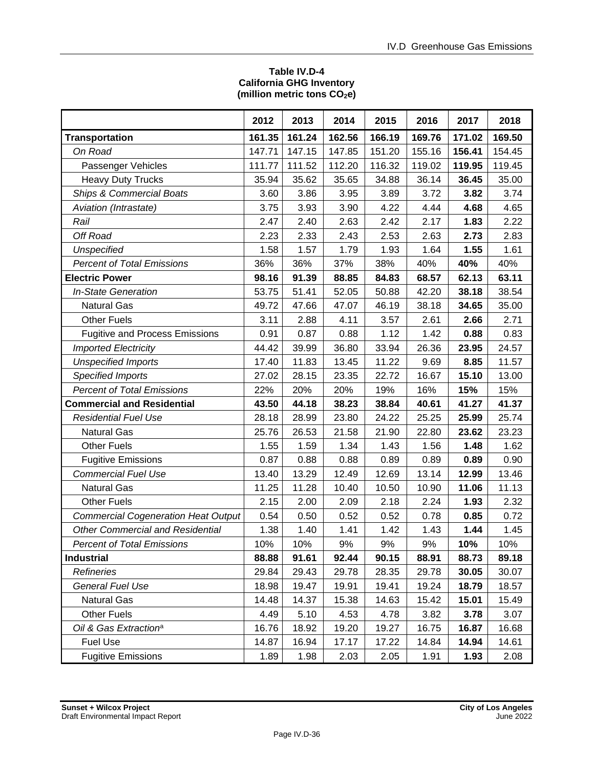#### **Table IV.D-4 California GHG Inventory (million metric tons CO2e)**

|                                            | 2012   | 2013   | 2014   | 2015   | 2016   | 2017   | 2018   |
|--------------------------------------------|--------|--------|--------|--------|--------|--------|--------|
| <b>Transportation</b>                      | 161.35 | 161.24 | 162.56 | 166.19 | 169.76 | 171.02 | 169.50 |
| On Road                                    | 147.71 | 147.15 | 147.85 | 151.20 | 155.16 | 156.41 | 154.45 |
| Passenger Vehicles                         | 111.77 | 111.52 | 112.20 | 116.32 | 119.02 | 119.95 | 119.45 |
| <b>Heavy Duty Trucks</b>                   | 35.94  | 35.62  | 35.65  | 34.88  | 36.14  | 36.45  | 35.00  |
| <b>Ships &amp; Commercial Boats</b>        | 3.60   | 3.86   | 3.95   | 3.89   | 3.72   | 3.82   | 3.74   |
| Aviation (Intrastate)                      | 3.75   | 3.93   | 3.90   | 4.22   | 4.44   | 4.68   | 4.65   |
| Rail                                       | 2.47   | 2.40   | 2.63   | 2.42   | 2.17   | 1.83   | 2.22   |
| Off Road                                   | 2.23   | 2.33   | 2.43   | 2.53   | 2.63   | 2.73   | 2.83   |
| Unspecified                                | 1.58   | 1.57   | 1.79   | 1.93   | 1.64   | 1.55   | 1.61   |
| <b>Percent of Total Emissions</b>          | 36%    | 36%    | 37%    | 38%    | 40%    | 40%    | 40%    |
| <b>Electric Power</b>                      | 98.16  | 91.39  | 88.85  | 84.83  | 68.57  | 62.13  | 63.11  |
| <b>In-State Generation</b>                 | 53.75  | 51.41  | 52.05  | 50.88  | 42.20  | 38.18  | 38.54  |
| <b>Natural Gas</b>                         | 49.72  | 47.66  | 47.07  | 46.19  | 38.18  | 34.65  | 35.00  |
| <b>Other Fuels</b>                         | 3.11   | 2.88   | 4.11   | 3.57   | 2.61   | 2.66   | 2.71   |
| <b>Fugitive and Process Emissions</b>      | 0.91   | 0.87   | 0.88   | 1.12   | 1.42   | 0.88   | 0.83   |
| <b>Imported Electricity</b>                | 44.42  | 39.99  | 36.80  | 33.94  | 26.36  | 23.95  | 24.57  |
| <b>Unspecified Imports</b>                 | 17.40  | 11.83  | 13.45  | 11.22  | 9.69   | 8.85   | 11.57  |
| <b>Specified Imports</b>                   | 27.02  | 28.15  | 23.35  | 22.72  | 16.67  | 15.10  | 13.00  |
| <b>Percent of Total Emissions</b>          | 22%    | 20%    | 20%    | 19%    | 16%    | 15%    | 15%    |
| <b>Commercial and Residential</b>          | 43.50  | 44.18  | 38.23  | 38.84  | 40.61  | 41.27  | 41.37  |
| <b>Residential Fuel Use</b>                | 28.18  | 28.99  | 23.80  | 24.22  | 25.25  | 25.99  | 25.74  |
| <b>Natural Gas</b>                         | 25.76  | 26.53  | 21.58  | 21.90  | 22.80  | 23.62  | 23.23  |
| <b>Other Fuels</b>                         | 1.55   | 1.59   | 1.34   | 1.43   | 1.56   | 1.48   | 1.62   |
| <b>Fugitive Emissions</b>                  | 0.87   | 0.88   | 0.88   | 0.89   | 0.89   | 0.89   | 0.90   |
| <b>Commercial Fuel Use</b>                 | 13.40  | 13.29  | 12.49  | 12.69  | 13.14  | 12.99  | 13.46  |
| <b>Natural Gas</b>                         | 11.25  | 11.28  | 10.40  | 10.50  | 10.90  | 11.06  | 11.13  |
| <b>Other Fuels</b>                         | 2.15   | 2.00   | 2.09   | 2.18   | 2.24   | 1.93   | 2.32   |
| <b>Commercial Cogeneration Heat Output</b> | 0.54   | 0.50   | 0.52   | 0.52   | 0.78   | 0.85   | 0.72   |
| <b>Other Commercial and Residential</b>    | 1.38   | 1.40   | 1.41   | 1.42   | 1.43   | 1.44   | 1.45   |
| <b>Percent of Total Emissions</b>          | 10%    | 10%    | 9%     | 9%     | 9%     | 10%    | 10%    |
| <b>Industrial</b>                          | 88.88  | 91.61  | 92.44  | 90.15  | 88.91  | 88.73  | 89.18  |
| Refineries                                 | 29.84  | 29.43  | 29.78  | 28.35  | 29.78  | 30.05  | 30.07  |
| <b>General Fuel Use</b>                    | 18.98  | 19.47  | 19.91  | 19.41  | 19.24  | 18.79  | 18.57  |
| <b>Natural Gas</b>                         | 14.48  | 14.37  | 15.38  | 14.63  | 15.42  | 15.01  | 15.49  |
| <b>Other Fuels</b>                         | 4.49   | 5.10   | 4.53   | 4.78   | 3.82   | 3.78   | 3.07   |
| Oil & Gas Extraction <sup>a</sup>          | 16.76  | 18.92  | 19.20  | 19.27  | 16.75  | 16.87  | 16.68  |
| <b>Fuel Use</b>                            | 14.87  | 16.94  | 17.17  | 17.22  | 14.84  | 14.94  | 14.61  |
| <b>Fugitive Emissions</b>                  | 1.89   | 1.98   | 2.03   | 2.05   | 1.91   | 1.93   | 2.08   |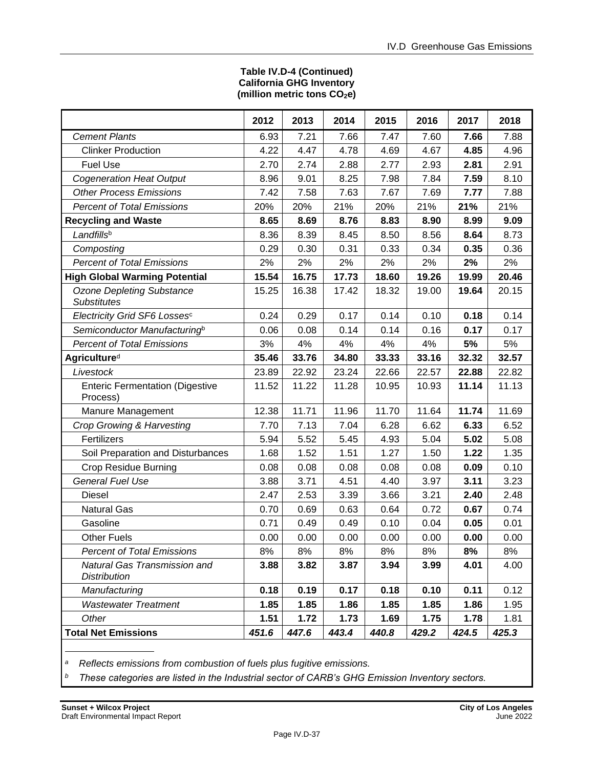#### **Table IV.D-4 (Continued) California GHG Inventory (million metric tons CO2e)**

|                                                        | 2012  | 2013  | 2014  | 2015  | 2016  | 2017  | 2018  |
|--------------------------------------------------------|-------|-------|-------|-------|-------|-------|-------|
| <b>Cement Plants</b>                                   | 6.93  | 7.21  | 7.66  | 7.47  | 7.60  | 7.66  | 7.88  |
| <b>Clinker Production</b>                              | 4.22  | 4.47  | 4.78  | 4.69  | 4.67  | 4.85  | 4.96  |
| <b>Fuel Use</b>                                        | 2.70  | 2.74  | 2.88  | 2.77  | 2.93  | 2.81  | 2.91  |
| <b>Cogeneration Heat Output</b>                        | 8.96  | 9.01  | 8.25  | 7.98  | 7.84  | 7.59  | 8.10  |
| <b>Other Process Emissions</b>                         | 7.42  | 7.58  | 7.63  | 7.67  | 7.69  | 7.77  | 7.88  |
| <b>Percent of Total Emissions</b>                      | 20%   | 20%   | 21%   | 20%   | 21%   | 21%   | 21%   |
| <b>Recycling and Waste</b>                             | 8.65  | 8.69  | 8.76  | 8.83  | 8.90  | 8.99  | 9.09  |
| Landfillsb                                             | 8.36  | 8.39  | 8.45  | 8.50  | 8.56  | 8.64  | 8.73  |
| Composting                                             | 0.29  | 0.30  | 0.31  | 0.33  | 0.34  | 0.35  | 0.36  |
| <b>Percent of Total Emissions</b>                      | 2%    | 2%    | 2%    | 2%    | 2%    | 2%    | 2%    |
| <b>High Global Warming Potential</b>                   | 15.54 | 16.75 | 17.73 | 18.60 | 19.26 | 19.99 | 20.46 |
| <b>Ozone Depleting Substance</b><br><b>Substitutes</b> | 15.25 | 16.38 | 17.42 | 18.32 | 19.00 | 19.64 | 20.15 |
| Electricity Grid SF6 Lossesc                           | 0.24  | 0.29  | 0.17  | 0.14  | 0.10  | 0.18  | 0.14  |
| Semiconductor Manufacturing <sup>b</sup>               | 0.06  | 0.08  | 0.14  | 0.14  | 0.16  | 0.17  | 0.17  |
| <b>Percent of Total Emissions</b>                      | 3%    | 4%    | 4%    | 4%    | 4%    | 5%    | 5%    |
| <b>Agricultured</b>                                    | 35.46 | 33.76 | 34.80 | 33.33 | 33.16 | 32.32 | 32.57 |
| Livestock                                              | 23.89 | 22.92 | 23.24 | 22.66 | 22.57 | 22.88 | 22.82 |
| <b>Enteric Fermentation (Digestive</b><br>Process)     | 11.52 | 11.22 | 11.28 | 10.95 | 10.93 | 11.14 | 11.13 |
| Manure Management                                      | 12.38 | 11.71 | 11.96 | 11.70 | 11.64 | 11.74 | 11.69 |
| Crop Growing & Harvesting                              | 7.70  | 7.13  | 7.04  | 6.28  | 6.62  | 6.33  | 6.52  |
| Fertilizers                                            | 5.94  | 5.52  | 5.45  | 4.93  | 5.04  | 5.02  | 5.08  |
| Soil Preparation and Disturbances                      | 1.68  | 1.52  | 1.51  | 1.27  | 1.50  | 1.22  | 1.35  |
| <b>Crop Residue Burning</b>                            | 0.08  | 0.08  | 0.08  | 0.08  | 0.08  | 0.09  | 0.10  |
| <b>General Fuel Use</b>                                | 3.88  | 3.71  | 4.51  | 4.40  | 3.97  | 3.11  | 3.23  |
| <b>Diesel</b>                                          | 2.47  | 2.53  | 3.39  | 3.66  | 3.21  | 2.40  | 2.48  |
| <b>Natural Gas</b>                                     | 0.70  | 0.69  | 0.63  | 0.64  | 0.72  | 0.67  | 0.74  |
| Gasoline                                               | 0.71  | 0.49  | 0.49  | 0.10  | 0.04  | 0.05  | 0.01  |
| <b>Other Fuels</b>                                     | 0.00  | 0.00  | 0.00  | 0.00  | 0.00  | 0.00  | 0.00  |
| <b>Percent of Total Emissions</b>                      | 8%    | 8%    | 8%    | 8%    | 8%    | 8%    | 8%    |
| Natural Gas Transmission and<br><b>Distribution</b>    | 3.88  | 3.82  | 3.87  | 3.94  | 3.99  | 4.01  | 4.00  |
| Manufacturing                                          | 0.18  | 0.19  | 0.17  | 0.18  | 0.10  | 0.11  | 0.12  |
| <b>Wastewater Treatment</b>                            | 1.85  | 1.85  | 1.86  | 1.85  | 1.85  | 1.86  | 1.95  |
| Other                                                  | 1.51  | 1.72  | 1.73  | 1.69  | 1.75  | 1.78  | 1.81  |
| <b>Total Net Emissions</b>                             | 451.6 | 447.6 | 443.4 | 440.8 | 429.2 | 424.5 | 425.3 |
|                                                        |       |       |       |       |       |       |       |

*<sup>a</sup>Reflects emissions from combustion of fuels plus fugitive emissions.*

*b These categories are listed in the Industrial sector of CARB's GHG Emission Inventory sectors.*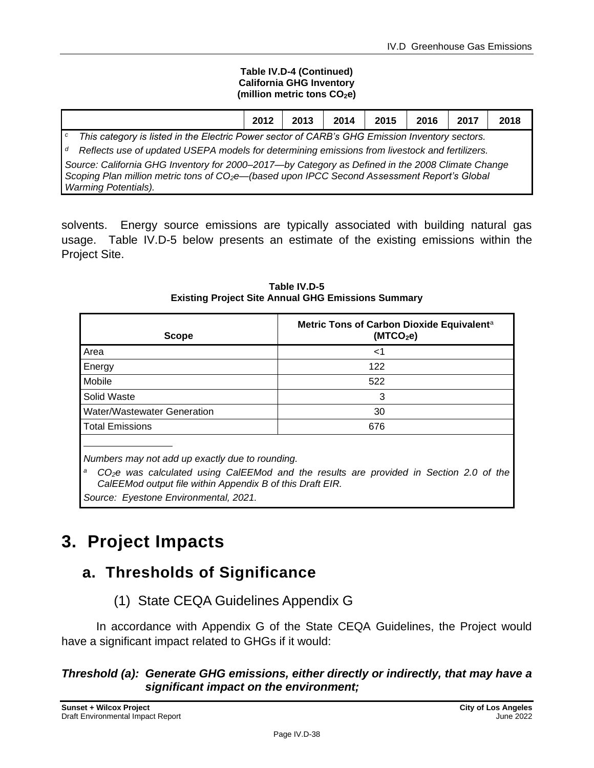#### **Table IV.D-4 (Continued) California GHG Inventory (million metric tons CO2e)**

|                                                                                                                                                                                                                                             | 2012 | 2013 | 2014 | 2015 | 2016 | 2017 | 2018 |
|---------------------------------------------------------------------------------------------------------------------------------------------------------------------------------------------------------------------------------------------|------|------|------|------|------|------|------|
| This category is listed in the Electric Power sector of CARB's GHG Emission Inventory sectors.<br>C                                                                                                                                         |      |      |      |      |      |      |      |
| Reflects use of updated USEPA models for determining emissions from livestock and fertilizers.<br>d                                                                                                                                         |      |      |      |      |      |      |      |
| Source: California GHG Inventory for 2000–2017-by Category as Defined in the 2008 Climate Change<br>Scoping Plan million metric tons of CO <sub>2</sub> e-(based upon IPCC Second Assessment Report's Global<br><b>Warming Potentials).</b> |      |      |      |      |      |      |      |

solvents. Energy source emissions are typically associated with building natural gas usage. Table IV.D-5 below presents an estimate of the existing emissions within the Project Site.

| <b>Scope</b>                | Metric Tons of Carbon Dioxide Equivalent <sup>a</sup><br>(MTCO <sub>2</sub> e) |
|-----------------------------|--------------------------------------------------------------------------------|
| Area                        | ا>                                                                             |
| Energy                      | 122                                                                            |
| Mobile                      | 522                                                                            |
| Solid Waste                 | 3                                                                              |
| Water/Wastewater Generation | 30                                                                             |
| <b>Total Emissions</b>      | 676                                                                            |
|                             |                                                                                |

**Table IV.D-5 Existing Project Site Annual GHG Emissions Summary** 

*Numbers may not add up exactly due to rounding.*

<sup>a</sup> CO<sub>2</sub><sup>*e*</sup> was calculated using CalEEMod and the results are provided in Section 2.0 of the *CalEEMod output file within Appendix B of this Draft EIR.*

*Source: Eyestone Environmental, 2021.*

# **3. Project Impacts**

# **a. Thresholds of Significance**

(1) State CEQA Guidelines Appendix G

In accordance with Appendix G of the State CEQA Guidelines, the Project would have a significant impact related to GHGs if it would:

### *Threshold (a): Generate GHG emissions, either directly or indirectly, that may have a significant impact on the environment;*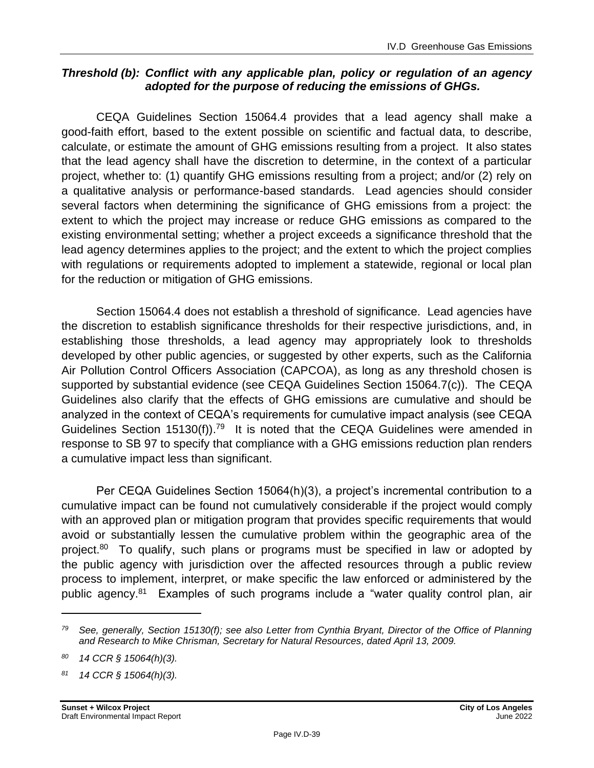### *Threshold (b): Conflict with any applicable plan, policy or regulation of an agency adopted for the purpose of reducing the emissions of GHGs.*

CEQA Guidelines Section 15064.4 provides that a lead agency shall make a good-faith effort, based to the extent possible on scientific and factual data, to describe, calculate, or estimate the amount of GHG emissions resulting from a project. It also states that the lead agency shall have the discretion to determine, in the context of a particular project, whether to: (1) quantify GHG emissions resulting from a project; and/or (2) rely on a qualitative analysis or performance-based standards. Lead agencies should consider several factors when determining the significance of GHG emissions from a project: the extent to which the project may increase or reduce GHG emissions as compared to the existing environmental setting; whether a project exceeds a significance threshold that the lead agency determines applies to the project; and the extent to which the project complies with regulations or requirements adopted to implement a statewide, regional or local plan for the reduction or mitigation of GHG emissions.

Section 15064.4 does not establish a threshold of significance. Lead agencies have the discretion to establish significance thresholds for their respective jurisdictions, and, in establishing those thresholds, a lead agency may appropriately look to thresholds developed by other public agencies, or suggested by other experts, such as the California Air Pollution Control Officers Association (CAPCOA), as long as any threshold chosen is supported by substantial evidence (see CEQA Guidelines Section 15064.7(c)). The CEQA Guidelines also clarify that the effects of GHG emissions are cumulative and should be analyzed in the context of CEQA's requirements for cumulative impact analysis (see CEQA Guidelines Section 15130(f)).<sup>79</sup> It is noted that the CEQA Guidelines were amended in response to SB 97 to specify that compliance with a GHG emissions reduction plan renders a cumulative impact less than significant.

Per CEQA Guidelines Section 15064(h)(3), a project's incremental contribution to a cumulative impact can be found not cumulatively considerable if the project would comply with an approved plan or mitigation program that provides specific requirements that would avoid or substantially lessen the cumulative problem within the geographic area of the project.<sup>80</sup> To qualify, such plans or programs must be specified in law or adopted by the public agency with jurisdiction over the affected resources through a public review process to implement, interpret, or make specific the law enforced or administered by the public agency.<sup>81</sup> Examples of such programs include a "water quality control plan, air

*<sup>79</sup> See, generally, Section 15130(f); see also Letter from Cynthia Bryant, Director of the Office of Planning and Research to Mike Chrisman, Secretary for Natural Resources, dated April 13, 2009.*

*<sup>80</sup> 14 CCR § 15064(h)(3).*

*<sup>81</sup> 14 CCR § 15064(h)(3).*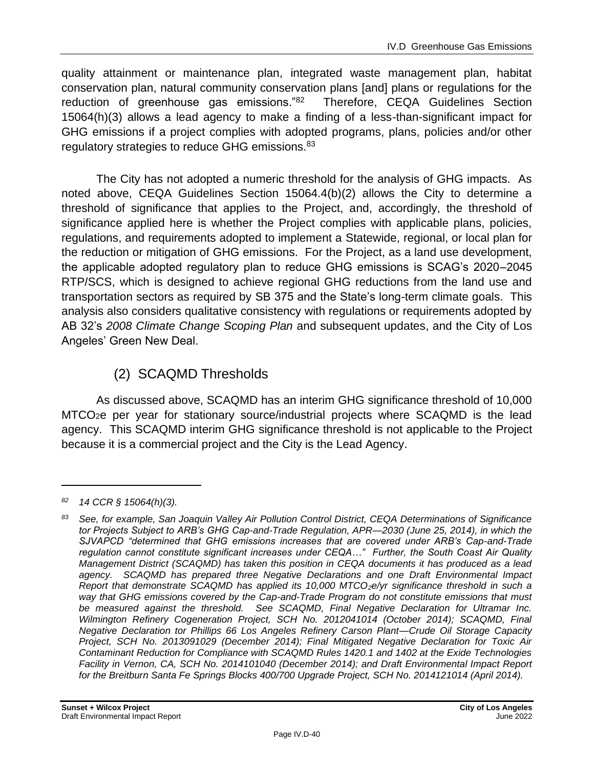quality attainment or maintenance plan, integrated waste management plan, habitat conservation plan, natural community conservation plans [and] plans or regulations for the reduction of greenhouse gas emissions."<sup>82</sup> Therefore, CEQA Guidelines Section 15064(h)(3) allows a lead agency to make a finding of a less-than-significant impact for GHG emissions if a project complies with adopted programs, plans, policies and/or other regulatory strategies to reduce GHG emissions.<sup>83</sup>

The City has not adopted a numeric threshold for the analysis of GHG impacts. As noted above, CEQA Guidelines Section 15064.4(b)(2) allows the City to determine a threshold of significance that applies to the Project, and, accordingly, the threshold of significance applied here is whether the Project complies with applicable plans, policies, regulations, and requirements adopted to implement a Statewide, regional, or local plan for the reduction or mitigation of GHG emissions. For the Project, as a land use development, the applicable adopted regulatory plan to reduce GHG emissions is SCAG's 2020–2045 RTP/SCS, which is designed to achieve regional GHG reductions from the land use and transportation sectors as required by SB 375 and the State's long-term climate goals. This analysis also considers qualitative consistency with regulations or requirements adopted by AB 32's *2008 Climate Change Scoping Plan* and subsequent updates, and the City of Los Angeles' Green New Deal.

# (2) SCAQMD Thresholds

As discussed above, SCAQMD has an interim GHG significance threshold of 10,000 MTCO2e per year for stationary source/industrial projects where SCAQMD is the lead agency. This SCAQMD interim GHG significance threshold is not applicable to the Project because it is a commercial project and the City is the Lead Agency.

*<sup>82</sup> 14 CCR § 15064(h)(3).*

*<sup>83</sup> See, for example, San Joaquin Valley Air Pollution Control District, CEQA Determinations of Significance tor Projects Subject to ARB's GHG Cap-and-Trade Regulation, APR—2030 (June 25, 2014), in which the SJVAPCD "determined that GHG emissions increases that are covered under ARB's Cap-and-Trade regulation cannot constitute significant increases under CEQA…" Further, the South Coast Air Quality Management District (SCAQMD) has taken this position in CEQA documents it has produced as a lead agency. SCAQMD has prepared three Negative Declarations and one Draft Environmental Impact Report that demonstrate SCAQMD has applied its 10,000 MTCO2e/yr significance threshold in such a way that GHG emissions covered by the Cap-and-Trade Program do not constitute emissions that must be measured against the threshold. See SCAQMD, Final Negative Declaration for Ultramar Inc. Wilmington Refinery Cogeneration Project, SCH No. 2012041014 (October 2014); SCAQMD, Final Negative Declaration tor Phillips 66 Los Angeles Refinery Carson Plant—Crude Oil Storage Capacity Project, SCH No. 2013091029 (December 2014); Final Mitigated Negative Declaration for Toxic Air Contaminant Reduction for Compliance with SCAQMD Rules 1420.1 and 1402 at the Exide Technologies Facility in Vernon, CA, SCH No. 2014101040 (December 2014); and Draft Environmental Impact Report for the Breitburn Santa Fe Springs Blocks 400/700 Upgrade Project, SCH No. 2014121014 (April 2014).*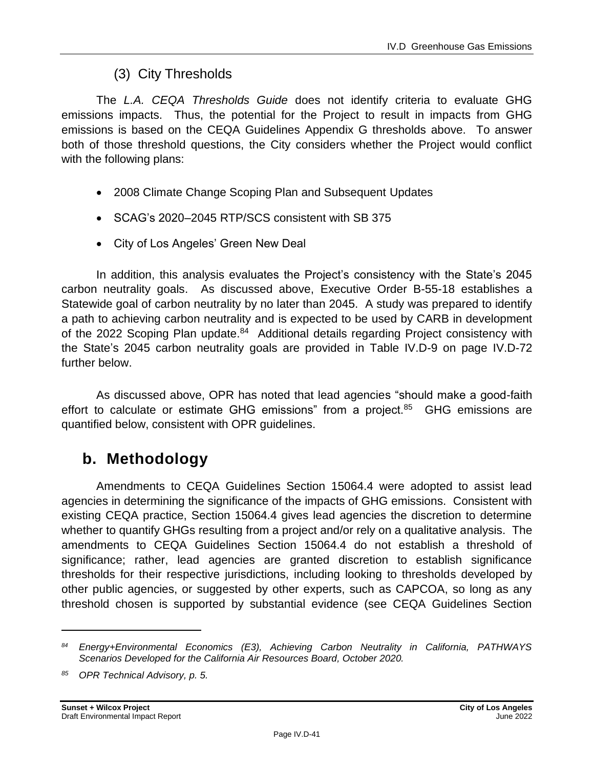# (3) City Thresholds

The *L.A. CEQA Thresholds Guide* does not identify criteria to evaluate GHG emissions impacts. Thus, the potential for the Project to result in impacts from GHG emissions is based on the CEQA Guidelines Appendix G thresholds above. To answer both of those threshold questions, the City considers whether the Project would conflict with the following plans:

- 2008 Climate Change Scoping Plan and Subsequent Updates
- SCAG's 2020–2045 RTP/SCS consistent with SB 375
- City of Los Angeles' Green New Deal

In addition, this analysis evaluates the Project's consistency with the State's 2045 carbon neutrality goals. As discussed above, Executive Order B-55-18 establishes a Statewide goal of carbon neutrality by no later than 2045. A study was prepared to identify a path to achieving carbon neutrality and is expected to be used by CARB in development of the 2022 Scoping Plan update.<sup>84</sup> Additional details regarding Project consistency with the State's 2045 carbon neutrality goals are provided in Table IV.D-9 on page IV.D-72 further below.

As discussed above, OPR has noted that lead agencies "should make a good-faith effort to calculate or estimate GHG emissions" from a project.<sup>85</sup> GHG emissions are quantified below, consistent with OPR guidelines.

# **b. Methodology**

Amendments to CEQA Guidelines Section 15064.4 were adopted to assist lead agencies in determining the significance of the impacts of GHG emissions. Consistent with existing CEQA practice, Section 15064.4 gives lead agencies the discretion to determine whether to quantify GHGs resulting from a project and/or rely on a qualitative analysis. The amendments to CEQA Guidelines Section 15064.4 do not establish a threshold of significance; rather, lead agencies are granted discretion to establish significance thresholds for their respective jurisdictions, including looking to thresholds developed by other public agencies, or suggested by other experts, such as CAPCOA, so long as any threshold chosen is supported by substantial evidence (see CEQA Guidelines Section

*<sup>84</sup> Energy+Environmental Economics (E3), Achieving Carbon Neutrality in California, PATHWAYS Scenarios Developed for the California Air Resources Board, October 2020.*

*<sup>85</sup> OPR Technical Advisory, p. 5.*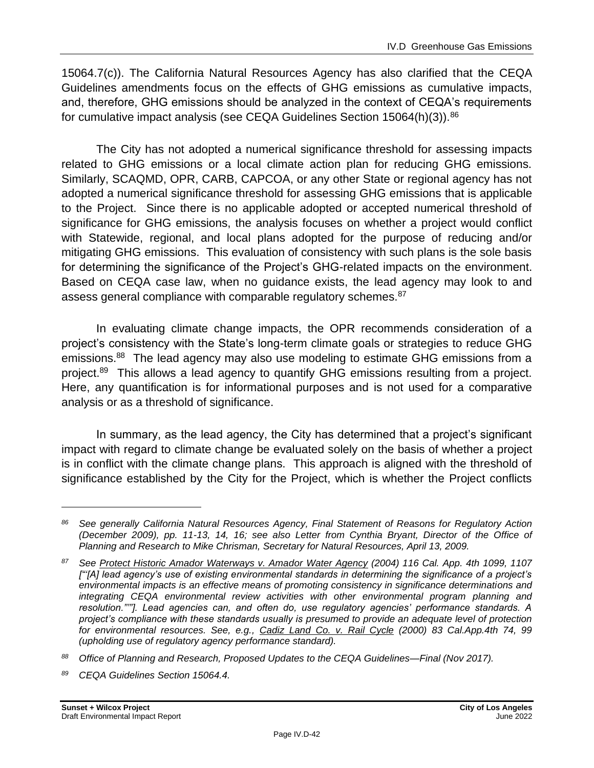15064.7(c)). The California Natural Resources Agency has also clarified that the CEQA Guidelines amendments focus on the effects of GHG emissions as cumulative impacts, and, therefore, GHG emissions should be analyzed in the context of CEQA's requirements for cumulative impact analysis (see CEQA Guidelines Section 15064(h)(3)).<sup>86</sup>

The City has not adopted a numerical significance threshold for assessing impacts related to GHG emissions or a local climate action plan for reducing GHG emissions. Similarly, SCAQMD, OPR, CARB, CAPCOA, or any other State or regional agency has not adopted a numerical significance threshold for assessing GHG emissions that is applicable to the Project. Since there is no applicable adopted or accepted numerical threshold of significance for GHG emissions, the analysis focuses on whether a project would conflict with Statewide, regional, and local plans adopted for the purpose of reducing and/or mitigating GHG emissions. This evaluation of consistency with such plans is the sole basis for determining the significance of the Project's GHG-related impacts on the environment. Based on CEQA case law, when no guidance exists, the lead agency may look to and assess general compliance with comparable regulatory schemes.<sup>87</sup>

In evaluating climate change impacts, the OPR recommends consideration of a project's consistency with the State's long-term climate goals or strategies to reduce GHG emissions.<sup>88</sup> The lead agency may also use modeling to estimate GHG emissions from a project.<sup>89</sup> This allows a lead agency to quantify GHG emissions resulting from a project. Here, any quantification is for informational purposes and is not used for a comparative analysis or as a threshold of significance.

In summary, as the lead agency, the City has determined that a project's significant impact with regard to climate change be evaluated solely on the basis of whether a project is in conflict with the climate change plans. This approach is aligned with the threshold of significance established by the City for the Project, which is whether the Project conflicts

*<sup>86</sup> See generally California Natural Resources Agency, Final Statement of Reasons for Regulatory Action (December 2009), pp. 11-13, 14, 16; see also Letter from Cynthia Bryant, Director of the Office of Planning and Research to Mike Chrisman, Secretary for Natural Resources, April 13, 2009.*

*<sup>87</sup> See Protect Historic Amador Waterways v. Amador Water Agency (2004) 116 Cal. App. 4th 1099, 1107 ["'[A] lead agency's use of existing environmental standards in determining the significance of a project's environmental impacts is an effective means of promoting consistency in significance determinations and integrating CEQA environmental review activities with other environmental program planning and resolution."'"]. Lead agencies can, and often do, use regulatory agencies' performance standards. A project's compliance with these standards usually is presumed to provide an adequate level of protection for environmental resources. See, e.g., Cadiz Land Co. v. Rail Cycle (2000) 83 Cal.App.4th 74, 99 (upholding use of regulatory agency performance standard).*

*<sup>88</sup> Office of Planning and Research, Proposed Updates to the CEQA Guidelines—Final (Nov 2017).*

*<sup>89</sup> CEQA Guidelines Section 15064.4.*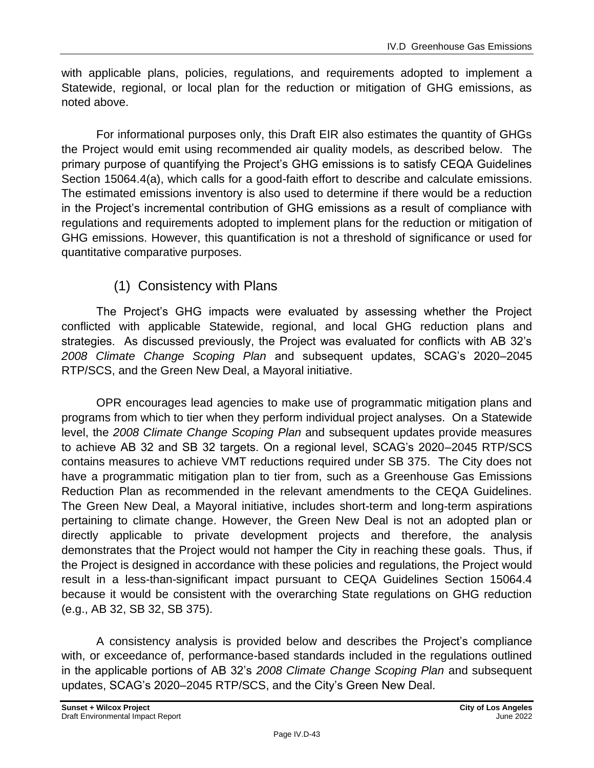with applicable plans, policies, regulations, and requirements adopted to implement a Statewide, regional, or local plan for the reduction or mitigation of GHG emissions, as noted above.

For informational purposes only, this Draft EIR also estimates the quantity of GHGs the Project would emit using recommended air quality models, as described below. The primary purpose of quantifying the Project's GHG emissions is to satisfy CEQA Guidelines Section 15064.4(a), which calls for a good-faith effort to describe and calculate emissions. The estimated emissions inventory is also used to determine if there would be a reduction in the Project's incremental contribution of GHG emissions as a result of compliance with regulations and requirements adopted to implement plans for the reduction or mitigation of GHG emissions. However, this quantification is not a threshold of significance or used for quantitative comparative purposes.

# (1) Consistency with Plans

The Project's GHG impacts were evaluated by assessing whether the Project conflicted with applicable Statewide, regional, and local GHG reduction plans and strategies. As discussed previously, the Project was evaluated for conflicts with AB 32's *2008 Climate Change Scoping Plan* and subsequent updates, SCAG's 2020–2045 RTP/SCS, and the Green New Deal, a Mayoral initiative.

OPR encourages lead agencies to make use of programmatic mitigation plans and programs from which to tier when they perform individual project analyses. On a Statewide level, the *2008 Climate Change Scoping Plan* and subsequent updates provide measures to achieve AB 32 and SB 32 targets. On a regional level, SCAG's 2020–2045 RTP/SCS contains measures to achieve VMT reductions required under SB 375. The City does not have a programmatic mitigation plan to tier from, such as a Greenhouse Gas Emissions Reduction Plan as recommended in the relevant amendments to the CEQA Guidelines. The Green New Deal, a Mayoral initiative, includes short-term and long-term aspirations pertaining to climate change. However, the Green New Deal is not an adopted plan or directly applicable to private development projects and therefore, the analysis demonstrates that the Project would not hamper the City in reaching these goals. Thus, if the Project is designed in accordance with these policies and regulations, the Project would result in a less-than-significant impact pursuant to CEQA Guidelines Section 15064.4 because it would be consistent with the overarching State regulations on GHG reduction (e.g., AB 32, SB 32, SB 375).

A consistency analysis is provided below and describes the Project's compliance with, or exceedance of, performance-based standards included in the regulations outlined in the applicable portions of AB 32's *2008 Climate Change Scoping Plan* and subsequent updates, SCAG's 2020–2045 RTP/SCS, and the City's Green New Deal.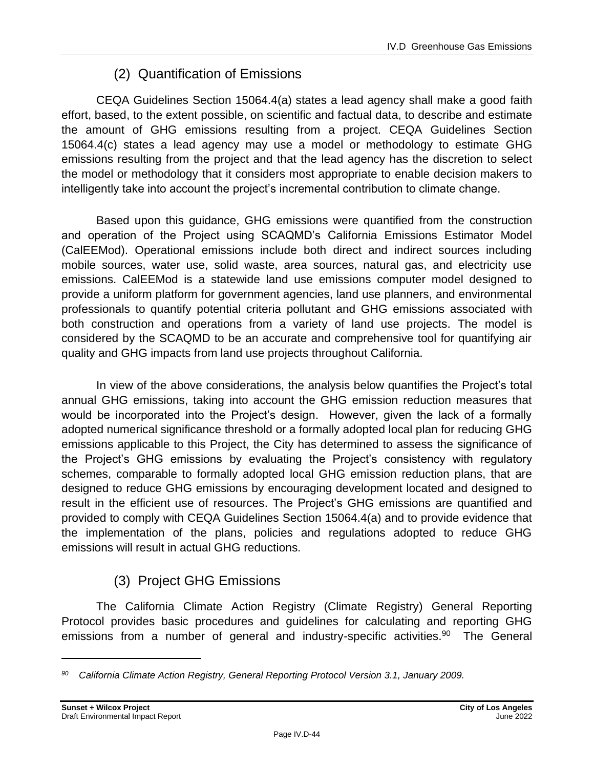# (2) Quantification of Emissions

CEQA Guidelines Section 15064.4(a) states a lead agency shall make a good faith effort, based, to the extent possible, on scientific and factual data, to describe and estimate the amount of GHG emissions resulting from a project. CEQA Guidelines Section 15064.4(c) states a lead agency may use a model or methodology to estimate GHG emissions resulting from the project and that the lead agency has the discretion to select the model or methodology that it considers most appropriate to enable decision makers to intelligently take into account the project's incremental contribution to climate change.

Based upon this guidance, GHG emissions were quantified from the construction and operation of the Project using SCAQMD's California Emissions Estimator Model (CalEEMod). Operational emissions include both direct and indirect sources including mobile sources, water use, solid waste, area sources, natural gas, and electricity use emissions. CalEEMod is a statewide land use emissions computer model designed to provide a uniform platform for government agencies, land use planners, and environmental professionals to quantify potential criteria pollutant and GHG emissions associated with both construction and operations from a variety of land use projects. The model is considered by the SCAQMD to be an accurate and comprehensive tool for quantifying air quality and GHG impacts from land use projects throughout California.

In view of the above considerations, the analysis below quantifies the Project's total annual GHG emissions, taking into account the GHG emission reduction measures that would be incorporated into the Project's design. However, given the lack of a formally adopted numerical significance threshold or a formally adopted local plan for reducing GHG emissions applicable to this Project, the City has determined to assess the significance of the Project's GHG emissions by evaluating the Project's consistency with regulatory schemes, comparable to formally adopted local GHG emission reduction plans, that are designed to reduce GHG emissions by encouraging development located and designed to result in the efficient use of resources. The Project's GHG emissions are quantified and provided to comply with CEQA Guidelines Section 15064.4(a) and to provide evidence that the implementation of the plans, policies and regulations adopted to reduce GHG emissions will result in actual GHG reductions.

# (3) Project GHG Emissions

The California Climate Action Registry (Climate Registry) General Reporting Protocol provides basic procedures and guidelines for calculating and reporting GHG emissions from a number of general and industry-specific activities.<sup>90</sup> The General

*<sup>90</sup> California Climate Action Registry, General Reporting Protocol Version 3.1, January 2009.*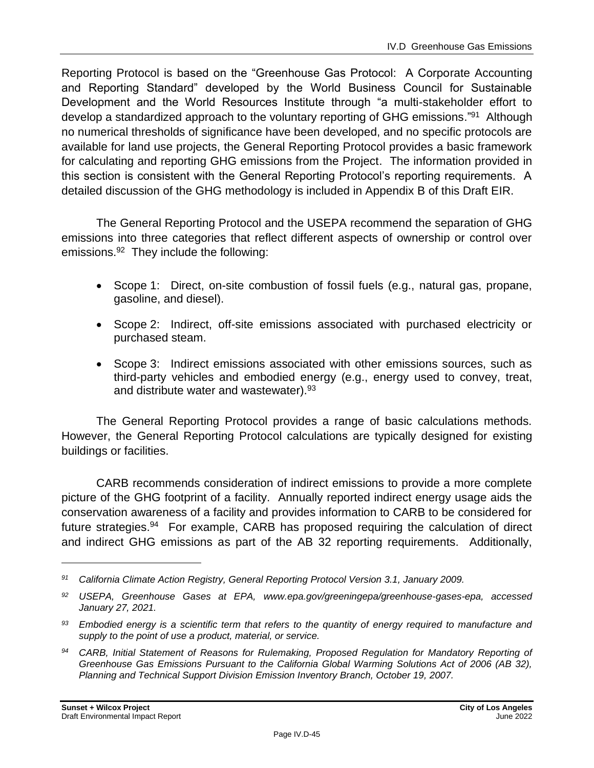Reporting Protocol is based on the "Greenhouse Gas Protocol: A Corporate Accounting and Reporting Standard" developed by the World Business Council for Sustainable Development and the World Resources Institute through "a multi-stakeholder effort to develop a standardized approach to the voluntary reporting of GHG emissions."<sup>91</sup> Although no numerical thresholds of significance have been developed, and no specific protocols are available for land use projects, the General Reporting Protocol provides a basic framework for calculating and reporting GHG emissions from the Project. The information provided in this section is consistent with the General Reporting Protocol's reporting requirements. A detailed discussion of the GHG methodology is included in Appendix B of this Draft EIR.

The General Reporting Protocol and the USEPA recommend the separation of GHG emissions into three categories that reflect different aspects of ownership or control over emissions.<sup>92</sup> They include the following:

- Scope 1: Direct, on-site combustion of fossil fuels (e.g., natural gas, propane, gasoline, and diesel).
- Scope 2: Indirect, off-site emissions associated with purchased electricity or purchased steam.
- Scope 3: Indirect emissions associated with other emissions sources, such as third-party vehicles and embodied energy (e.g., energy used to convey, treat, and distribute water and wastewater).<sup>93</sup>

The General Reporting Protocol provides a range of basic calculations methods. However, the General Reporting Protocol calculations are typically designed for existing buildings or facilities.

CARB recommends consideration of indirect emissions to provide a more complete picture of the GHG footprint of a facility. Annually reported indirect energy usage aids the conservation awareness of a facility and provides information to CARB to be considered for future strategies.<sup>94</sup> For example, CARB has proposed requiring the calculation of direct and indirect GHG emissions as part of the AB 32 reporting requirements. Additionally,

*<sup>91</sup> California Climate Action Registry, General Reporting Protocol Version 3.1, January 2009.*

*<sup>92</sup> USEPA, Greenhouse Gases at EPA, www.epa.gov/greeningepa/greenhouse-gases-epa, accessed January 27, 2021.*

*<sup>93</sup> Embodied energy is a scientific term that refers to the quantity of energy required to manufacture and supply to the point of use a product, material, or service.*

*<sup>94</sup> CARB, Initial Statement of Reasons for Rulemaking, Proposed Regulation for Mandatory Reporting of Greenhouse Gas Emissions Pursuant to the California Global Warming Solutions Act of 2006 (AB 32), Planning and Technical Support Division Emission Inventory Branch, October 19, 2007.*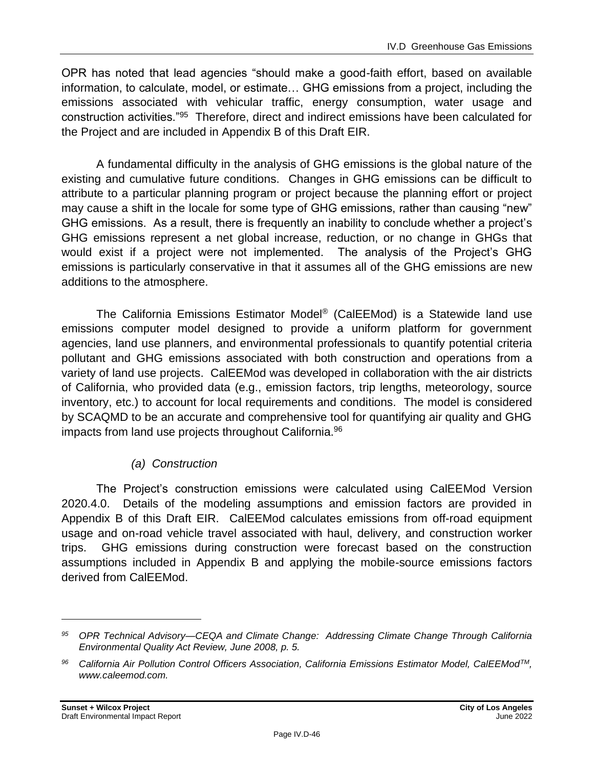OPR has noted that lead agencies "should make a good-faith effort, based on available information, to calculate, model, or estimate… GHG emissions from a project, including the emissions associated with vehicular traffic, energy consumption, water usage and construction activities."<sup>95</sup> Therefore, direct and indirect emissions have been calculated for the Project and are included in Appendix B of this Draft EIR.

A fundamental difficulty in the analysis of GHG emissions is the global nature of the existing and cumulative future conditions. Changes in GHG emissions can be difficult to attribute to a particular planning program or project because the planning effort or project may cause a shift in the locale for some type of GHG emissions, rather than causing "new" GHG emissions. As a result, there is frequently an inability to conclude whether a project's GHG emissions represent a net global increase, reduction, or no change in GHGs that would exist if a project were not implemented. The analysis of the Project's GHG emissions is particularly conservative in that it assumes all of the GHG emissions are new additions to the atmosphere.

The California Emissions Estimator Model® (CalEEMod) is a Statewide land use emissions computer model designed to provide a uniform platform for government agencies, land use planners, and environmental professionals to quantify potential criteria pollutant and GHG emissions associated with both construction and operations from a variety of land use projects. CalEEMod was developed in collaboration with the air districts of California, who provided data (e.g., emission factors, trip lengths, meteorology, source inventory, etc.) to account for local requirements and conditions. The model is considered by SCAQMD to be an accurate and comprehensive tool for quantifying air quality and GHG impacts from land use projects throughout California.<sup>96</sup>

# *(a) Construction*

The Project's construction emissions were calculated using CalEEMod Version 2020.4.0. Details of the modeling assumptions and emission factors are provided in Appendix B of this Draft EIR. CalEEMod calculates emissions from off-road equipment usage and on-road vehicle travel associated with haul, delivery, and construction worker trips. GHG emissions during construction were forecast based on the construction assumptions included in Appendix B and applying the mobile-source emissions factors derived from CalEEMod.

*<sup>95</sup> OPR Technical Advisory—CEQA and Climate Change: Addressing Climate Change Through California Environmental Quality Act Review, June 2008, p. 5.*

*<sup>96</sup> California Air Pollution Control Officers Association, California Emissions Estimator Model, CalEEModTM, www.caleemod.com.*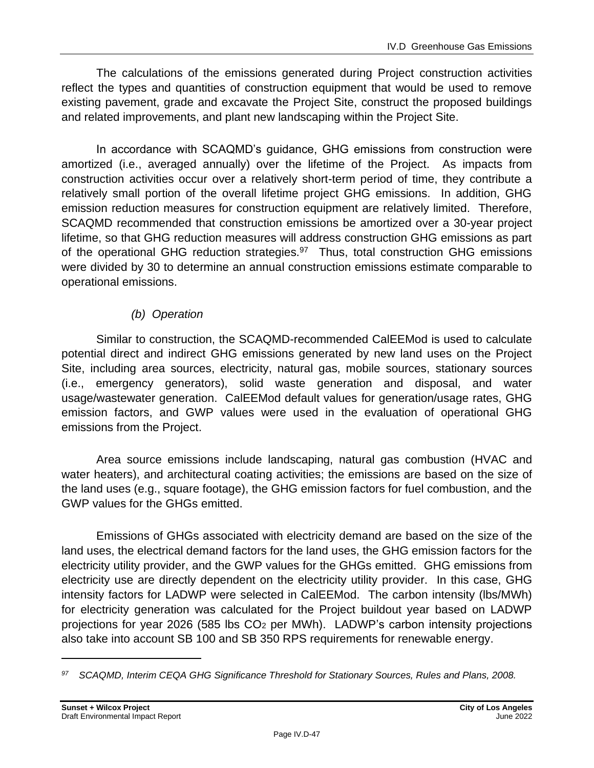The calculations of the emissions generated during Project construction activities reflect the types and quantities of construction equipment that would be used to remove existing pavement, grade and excavate the Project Site, construct the proposed buildings and related improvements, and plant new landscaping within the Project Site.

In accordance with SCAQMD's guidance, GHG emissions from construction were amortized (i.e., averaged annually) over the lifetime of the Project. As impacts from construction activities occur over a relatively short-term period of time, they contribute a relatively small portion of the overall lifetime project GHG emissions. In addition, GHG emission reduction measures for construction equipment are relatively limited. Therefore, SCAQMD recommended that construction emissions be amortized over a 30-year project lifetime, so that GHG reduction measures will address construction GHG emissions as part of the operational GHG reduction strategies.<sup>97</sup> Thus, total construction GHG emissions were divided by 30 to determine an annual construction emissions estimate comparable to operational emissions.

# *(b) Operation*

Similar to construction, the SCAQMD-recommended CalEEMod is used to calculate potential direct and indirect GHG emissions generated by new land uses on the Project Site, including area sources, electricity, natural gas, mobile sources, stationary sources (i.e., emergency generators), solid waste generation and disposal, and water usage/wastewater generation. CalEEMod default values for generation/usage rates, GHG emission factors, and GWP values were used in the evaluation of operational GHG emissions from the Project.

Area source emissions include landscaping, natural gas combustion (HVAC and water heaters), and architectural coating activities; the emissions are based on the size of the land uses (e.g., square footage), the GHG emission factors for fuel combustion, and the GWP values for the GHGs emitted.

Emissions of GHGs associated with electricity demand are based on the size of the land uses, the electrical demand factors for the land uses, the GHG emission factors for the electricity utility provider, and the GWP values for the GHGs emitted. GHG emissions from electricity use are directly dependent on the electricity utility provider. In this case, GHG intensity factors for LADWP were selected in CalEEMod. The carbon intensity (lbs/MWh) for electricity generation was calculated for the Project buildout year based on LADWP projections for year 2026 (585 lbs CO<sup>2</sup> per MWh). LADWP's carbon intensity projections also take into account SB 100 and SB 350 RPS requirements for renewable energy.

*<sup>97</sup> SCAQMD, Interim CEQA GHG Significance Threshold for Stationary Sources, Rules and Plans, 2008.*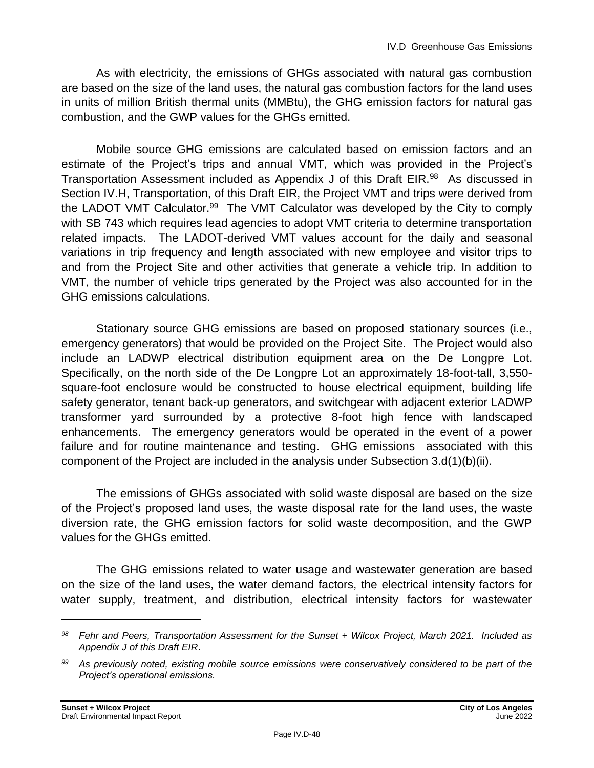As with electricity, the emissions of GHGs associated with natural gas combustion are based on the size of the land uses, the natural gas combustion factors for the land uses in units of million British thermal units (MMBtu), the GHG emission factors for natural gas combustion, and the GWP values for the GHGs emitted.

Mobile source GHG emissions are calculated based on emission factors and an estimate of the Project's trips and annual VMT, which was provided in the Project's Transportation Assessment included as Appendix J of this Draft EIR.<sup>98</sup> As discussed in Section IV.H, Transportation, of this Draft EIR, the Project VMT and trips were derived from the LADOT VMT Calculator.<sup>99</sup> The VMT Calculator was developed by the City to comply with SB 743 which requires lead agencies to adopt VMT criteria to determine transportation related impacts. The LADOT-derived VMT values account for the daily and seasonal variations in trip frequency and length associated with new employee and visitor trips to and from the Project Site and other activities that generate a vehicle trip. In addition to VMT, the number of vehicle trips generated by the Project was also accounted for in the GHG emissions calculations.

Stationary source GHG emissions are based on proposed stationary sources (i.e., emergency generators) that would be provided on the Project Site. The Project would also include an LADWP electrical distribution equipment area on the De Longpre Lot. Specifically, on the north side of the De Longpre Lot an approximately 18-foot-tall, 3,550 square-foot enclosure would be constructed to house electrical equipment, building life safety generator, tenant back-up generators, and switchgear with adjacent exterior LADWP transformer yard surrounded by a protective 8-foot high fence with landscaped enhancements. The emergency generators would be operated in the event of a power failure and for routine maintenance and testing. GHG emissions associated with this component of the Project are included in the analysis under Subsection 3.d(1)(b)(ii).

The emissions of GHGs associated with solid waste disposal are based on the size of the Project's proposed land uses, the waste disposal rate for the land uses, the waste diversion rate, the GHG emission factors for solid waste decomposition, and the GWP values for the GHGs emitted.

The GHG emissions related to water usage and wastewater generation are based on the size of the land uses, the water demand factors, the electrical intensity factors for water supply, treatment, and distribution, electrical intensity factors for wastewater

*<sup>98</sup> Fehr and Peers, Transportation Assessment for the Sunset + Wilcox Project, March 2021. Included as Appendix J of this Draft EIR*.

*<sup>99</sup> As previously noted, existing mobile source emissions were conservatively considered to be part of the Project's operational emissions.*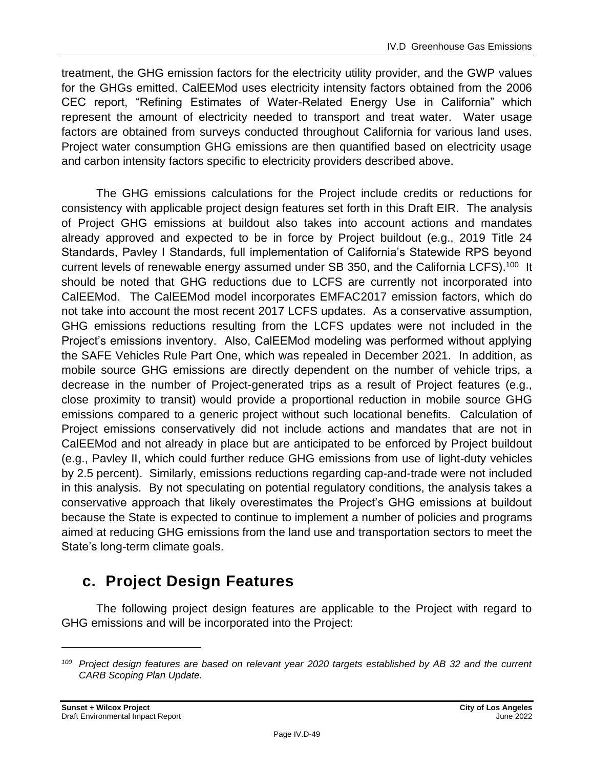treatment, the GHG emission factors for the electricity utility provider, and the GWP values for the GHGs emitted. CalEEMod uses electricity intensity factors obtained from the 2006 CEC report, "Refining Estimates of Water-Related Energy Use in California" which represent the amount of electricity needed to transport and treat water. Water usage factors are obtained from surveys conducted throughout California for various land uses. Project water consumption GHG emissions are then quantified based on electricity usage and carbon intensity factors specific to electricity providers described above.

The GHG emissions calculations for the Project include credits or reductions for consistency with applicable project design features set forth in this Draft EIR. The analysis of Project GHG emissions at buildout also takes into account actions and mandates already approved and expected to be in force by Project buildout (e.g., 2019 Title 24 Standards, Pavley I Standards, full implementation of California's Statewide RPS beyond current levels of renewable energy assumed under SB 350, and the California LCFS).<sup>100</sup> It should be noted that GHG reductions due to LCFS are currently not incorporated into CalEEMod. The CalEEMod model incorporates EMFAC2017 emission factors, which do not take into account the most recent 2017 LCFS updates. As a conservative assumption, GHG emissions reductions resulting from the LCFS updates were not included in the Project's emissions inventory. Also, CalEEMod modeling was performed without applying the SAFE Vehicles Rule Part One, which was repealed in December 2021. In addition, as mobile source GHG emissions are directly dependent on the number of vehicle trips, a decrease in the number of Project-generated trips as a result of Project features (e.g., close proximity to transit) would provide a proportional reduction in mobile source GHG emissions compared to a generic project without such locational benefits. Calculation of Project emissions conservatively did not include actions and mandates that are not in CalEEMod and not already in place but are anticipated to be enforced by Project buildout (e.g., Pavley II, which could further reduce GHG emissions from use of light-duty vehicles by 2.5 percent). Similarly, emissions reductions regarding cap-and-trade were not included in this analysis. By not speculating on potential regulatory conditions, the analysis takes a conservative approach that likely overestimates the Project's GHG emissions at buildout because the State is expected to continue to implement a number of policies and programs aimed at reducing GHG emissions from the land use and transportation sectors to meet the State's long-term climate goals.

# **c. Project Design Features**

The following project design features are applicable to the Project with regard to GHG emissions and will be incorporated into the Project:

*<sup>100</sup> Project design features are based on relevant year 2020 targets established by AB 32 and the current CARB Scoping Plan Update.*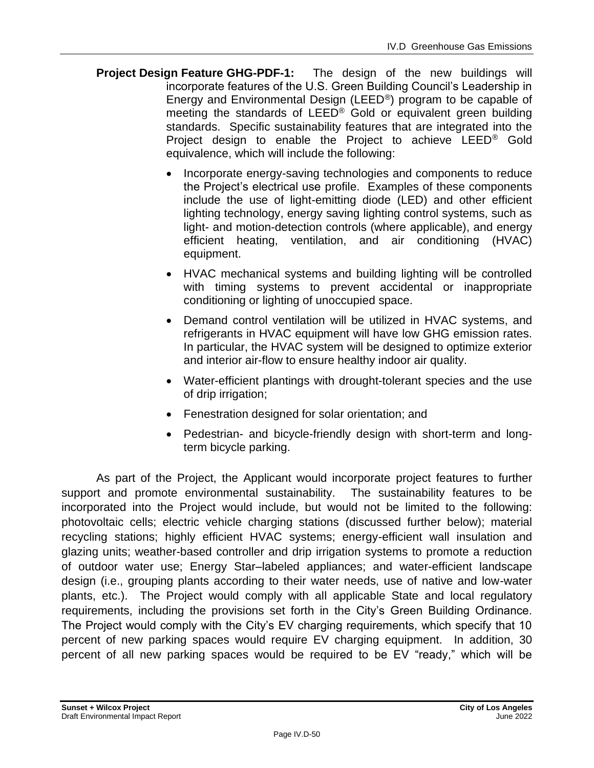- **Project Design Feature GHG-PDF-1:** The design of the new buildings will incorporate features of the U.S. Green Building Council's Leadership in Energy and Environmental Design (LEED®) program to be capable of meeting the standards of LEED® Gold or equivalent green building standards. Specific sustainability features that are integrated into the Project design to enable the Project to achieve LEED® Gold equivalence, which will include the following:
	- Incorporate energy-saving technologies and components to reduce the Project's electrical use profile. Examples of these components include the use of light-emitting diode (LED) and other efficient lighting technology, energy saving lighting control systems, such as light- and motion-detection controls (where applicable), and energy efficient heating, ventilation, and air conditioning (HVAC) equipment.
	- HVAC mechanical systems and building lighting will be controlled with timing systems to prevent accidental or inappropriate conditioning or lighting of unoccupied space.
	- Demand control ventilation will be utilized in HVAC systems, and refrigerants in HVAC equipment will have low GHG emission rates. In particular, the HVAC system will be designed to optimize exterior and interior air-flow to ensure healthy indoor air quality.
	- Water-efficient plantings with drought-tolerant species and the use of drip irrigation;
	- Fenestration designed for solar orientation; and
	- Pedestrian- and bicycle-friendly design with short-term and longterm bicycle parking.

As part of the Project, the Applicant would incorporate project features to further support and promote environmental sustainability. The sustainability features to be incorporated into the Project would include, but would not be limited to the following: photovoltaic cells; electric vehicle charging stations (discussed further below); material recycling stations; highly efficient HVAC systems; energy-efficient wall insulation and glazing units; weather-based controller and drip irrigation systems to promote a reduction of outdoor water use; Energy Star–labeled appliances; and water-efficient landscape design (i.e., grouping plants according to their water needs, use of native and low-water plants, etc.). The Project would comply with all applicable State and local regulatory requirements, including the provisions set forth in the City's Green Building Ordinance. The Project would comply with the City's EV charging requirements, which specify that 10 percent of new parking spaces would require EV charging equipment. In addition, 30 percent of all new parking spaces would be required to be EV "ready," which will be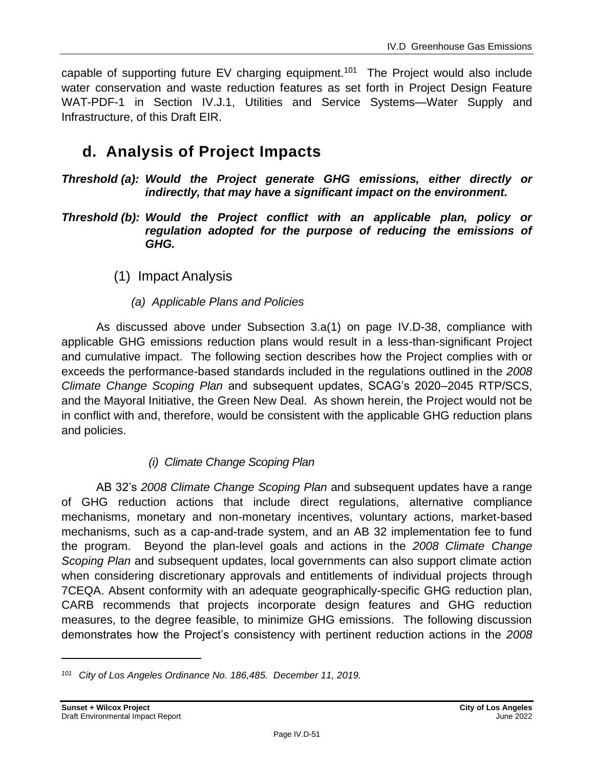capable of supporting future  $EV$  charging equipment.<sup>101</sup> The Project would also include water conservation and waste reduction features as set forth in Project Design Feature WAT-PDF-1 in Section IV.J.1, Utilities and Service Systems—Water Supply and Infrastructure, of this Draft EIR.

# **d. Analysis of Project Impacts**

*Threshold (a): Would the Project generate GHG emissions, either directly or indirectly, that may have a significant impact on the environment.*

- *Threshold (b): Would the Project conflict with an applicable plan, policy or regulation adopted for the purpose of reducing the emissions of GHG.*
	- (1) Impact Analysis
		- *(a) Applicable Plans and Policies*

As discussed above under Subsection 3.a(1) on page IV.D-38, compliance with applicable GHG emissions reduction plans would result in a less-than-significant Project and cumulative impact. The following section describes how the Project complies with or exceeds the performance-based standards included in the regulations outlined in the *2008 Climate Change Scoping Plan* and subsequent updates, SCAG's 2020–2045 RTP/SCS, and the Mayoral Initiative, the Green New Deal. As shown herein, the Project would not be in conflict with and, therefore, would be consistent with the applicable GHG reduction plans and policies.

# *(i) Climate Change Scoping Plan*

AB 32's *2008 Climate Change Scoping Plan* and subsequent updates have a range of GHG reduction actions that include direct regulations, alternative compliance mechanisms, monetary and non-monetary incentives, voluntary actions, market-based mechanisms, such as a cap-and-trade system, and an AB 32 implementation fee to fund the program. Beyond the plan-level goals and actions in the *2008 Climate Change Scoping Plan* and subsequent updates, local governments can also support climate action when considering discretionary approvals and entitlements of individual projects through 7CEQA. Absent conformity with an adequate geographically-specific GHG reduction plan, CARB recommends that projects incorporate design features and GHG reduction measures, to the degree feasible, to minimize GHG emissions. The following discussion demonstrates how the Project's consistency with pertinent reduction actions in the *2008* 

*<sup>101</sup> City of Los Angeles Ordinance No. 186,485. December 11, 2019.*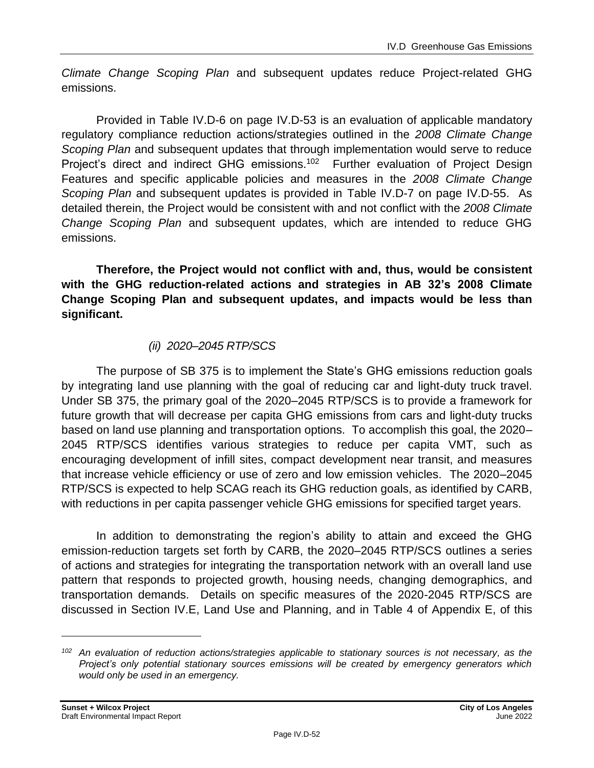*Climate Change Scoping Plan* and subsequent updates reduce Project-related GHG emissions.

Provided in Table IV.D-6 on page IV.D-53 is an evaluation of applicable mandatory regulatory compliance reduction actions/strategies outlined in the *2008 Climate Change Scoping Plan* and subsequent updates that through implementation would serve to reduce Project's direct and indirect GHG emissions.<sup>102</sup> Further evaluation of Project Design Features and specific applicable policies and measures in the *2008 Climate Change Scoping Plan* and subsequent updates is provided in Table IV.D-7 on page IV.D-55. As detailed therein, the Project would be consistent with and not conflict with the *2008 Climate Change Scoping Plan* and subsequent updates, which are intended to reduce GHG emissions.

**Therefore, the Project would not conflict with and, thus, would be consistent with the GHG reduction-related actions and strategies in AB 32's 2008 Climate Change Scoping Plan and subsequent updates, and impacts would be less than significant.**

# *(ii) 2020–2045 RTP/SCS*

The purpose of SB 375 is to implement the State's GHG emissions reduction goals by integrating land use planning with the goal of reducing car and light-duty truck travel. Under SB 375, the primary goal of the 2020–2045 RTP/SCS is to provide a framework for future growth that will decrease per capita GHG emissions from cars and light-duty trucks based on land use planning and transportation options. To accomplish this goal, the 2020– 2045 RTP/SCS identifies various strategies to reduce per capita VMT, such as encouraging development of infill sites, compact development near transit, and measures that increase vehicle efficiency or use of zero and low emission vehicles. The 2020–2045 RTP/SCS is expected to help SCAG reach its GHG reduction goals, as identified by CARB, with reductions in per capita passenger vehicle GHG emissions for specified target years.

In addition to demonstrating the region's ability to attain and exceed the GHG emission-reduction targets set forth by CARB, the 2020–2045 RTP/SCS outlines a series of actions and strategies for integrating the transportation network with an overall land use pattern that responds to projected growth, housing needs, changing demographics, and transportation demands. Details on specific measures of the 2020-2045 RTP/SCS are discussed in Section IV.E, Land Use and Planning, and in Table 4 of Appendix E, of this

*<sup>102</sup> An evaluation of reduction actions/strategies applicable to stationary sources is not necessary, as the Project's only potential stationary sources emissions will be created by emergency generators which would only be used in an emergency.*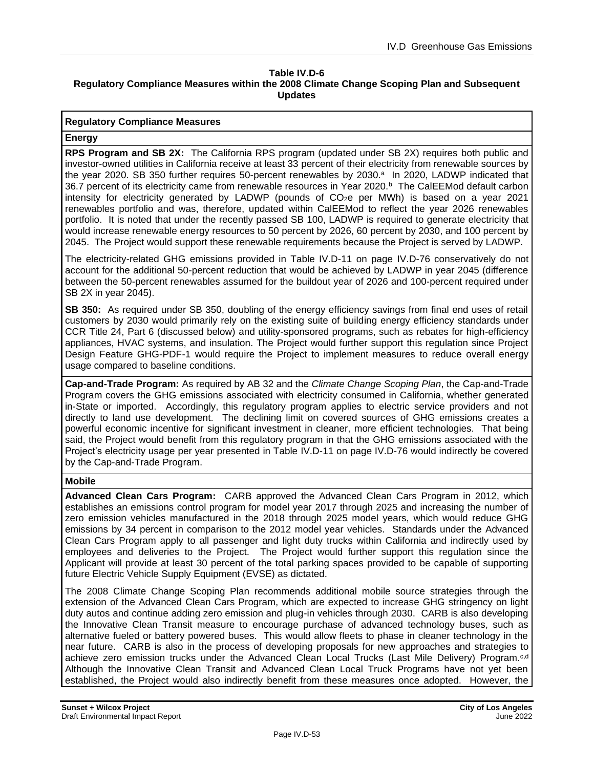#### **Table IV.D-6 Regulatory Compliance Measures within the 2008 Climate Change Scoping Plan and Subsequent Updates**

#### **Regulatory Compliance Measures**

#### **Energy**

**RPS Program and SB 2X:** The California RPS program (updated under SB 2X) requires both public and investor-owned utilities in California receive at least 33 percent of their electricity from renewable sources by the year 2020. SB 350 further requires 50-percent renewables by 2030.<sup>a</sup> In 2020, LADWP indicated that 36.7 percent of its electricity came from renewable resources in Year 2020.<sup>b</sup> The CalEEMod default carbon intensity for electricity generated by LADWP (pounds of CO<sub>2</sub>e per MWh) is based on a year 2021 renewables portfolio and was, therefore, updated within CalEEMod to reflect the year 2026 renewables portfolio. It is noted that under the recently passed SB 100, LADWP is required to generate electricity that would increase renewable energy resources to 50 percent by 2026, 60 percent by 2030, and 100 percent by 2045. The Project would support these renewable requirements because the Project is served by LADWP.

The electricity-related GHG emissions provided in Table IV.D-11 on page IV.D-76 conservatively do not account for the additional 50-percent reduction that would be achieved by LADWP in year 2045 (difference between the 50-percent renewables assumed for the buildout year of 2026 and 100-percent required under SB 2X in year 2045).

**SB 350:** As required under SB 350, doubling of the energy efficiency savings from final end uses of retail customers by 2030 would primarily rely on the existing suite of building energy efficiency standards under CCR Title 24, Part 6 (discussed below) and utility-sponsored programs, such as rebates for high-efficiency appliances, HVAC systems, and insulation. The Project would further support this regulation since Project Design Feature GHG-PDF-1 would require the Project to implement measures to reduce overall energy usage compared to baseline conditions.

**Cap-and-Trade Program:** As required by AB 32 and the *Climate Change Scoping Plan*, the Cap-and-Trade Program covers the GHG emissions associated with electricity consumed in California, whether generated in-State or imported. Accordingly, this regulatory program applies to electric service providers and not directly to land use development. The declining limit on covered sources of GHG emissions creates a powerful economic incentive for significant investment in cleaner, more efficient technologies. That being said, the Project would benefit from this regulatory program in that the GHG emissions associated with the Project's electricity usage per year presented in Table IV.D-11 on page IV.D-76 would indirectly be covered by the Cap-and-Trade Program.

#### **Mobile**

**Advanced Clean Cars Program:** CARB approved the Advanced Clean Cars Program in 2012, which establishes an emissions control program for model year 2017 through 2025 and increasing the number of zero emission vehicles manufactured in the 2018 through 2025 model years, which would reduce GHG emissions by 34 percent in comparison to the 2012 model year vehicles. Standards under the Advanced Clean Cars Program apply to all passenger and light duty trucks within California and indirectly used by employees and deliveries to the Project. The Project would further support this regulation since the Applicant will provide at least 30 percent of the total parking spaces provided to be capable of supporting future Electric Vehicle Supply Equipment (EVSE) as dictated.

The 2008 Climate Change Scoping Plan recommends additional mobile source strategies through the extension of the Advanced Clean Cars Program, which are expected to increase GHG stringency on light duty autos and continue adding zero emission and plug-in vehicles through 2030. CARB is also developing the Innovative Clean Transit measure to encourage purchase of advanced technology buses, such as alternative fueled or battery powered buses. This would allow fleets to phase in cleaner technology in the near future. CARB is also in the process of developing proposals for new approaches and strategies to achieve zero emission trucks under the Advanced Clean Local Trucks (Last Mile Delivery) Program.c,d Although the Innovative Clean Transit and Advanced Clean Local Truck Programs have not yet been established, the Project would also indirectly benefit from these measures once adopted. However, the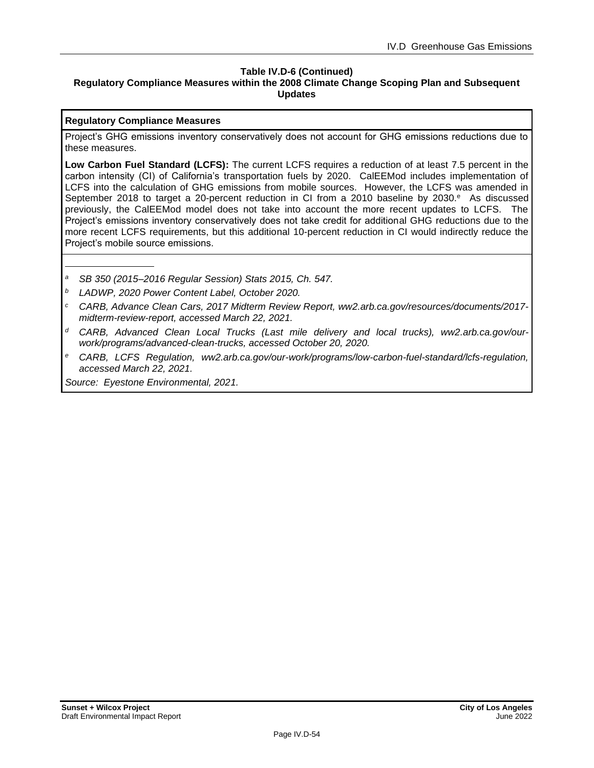#### **Table IV.D-6 (Continued) Regulatory Compliance Measures within the 2008 Climate Change Scoping Plan and Subsequent Updates**

#### **Regulatory Compliance Measures**

Project's GHG emissions inventory conservatively does not account for GHG emissions reductions due to these measures.

**Low Carbon Fuel Standard (LCFS):** The current LCFS requires a reduction of at least 7.5 percent in the carbon intensity (CI) of California's transportation fuels by 2020. CalEEMod includes implementation of LCFS into the calculation of GHG emissions from mobile sources. However, the LCFS was amended in September 2018 to target a 20-percent reduction in CI from a 2010 baseline by 2030.<sup>e</sup> As discussed previously, the CalEEMod model does not take into account the more recent updates to LCFS. The Project's emissions inventory conservatively does not take credit for additional GHG reductions due to the more recent LCFS requirements, but this additional 10-percent reduction in CI would indirectly reduce the Project's mobile source emissions.

- *<sup>a</sup> SB 350 (2015–2016 Regular Session) Stats 2015, Ch. 547.*
- *<sup>b</sup> LADWP, 2020 Power Content Label, October 2020.*
- *<sup>c</sup> CARB, Advance Clean Cars, 2017 Midterm Review Report, ww2.arb.ca.gov/resources/documents/2017 midterm-review-report, accessed March 22, 2021.*
- *<sup>d</sup> CARB, Advanced Clean Local Trucks (Last mile delivery and local trucks), ww2.arb.ca.gov/ourwork/programs/advanced-clean-trucks, accessed October 20, 2020.*
- *<sup>e</sup> CARB, LCFS Regulation, ww2.arb.ca.gov/our-work/programs/low-carbon-fuel-standard/lcfs-regulation, accessed March 22, 2021.*

*Source: Eyestone Environmental, 2021.*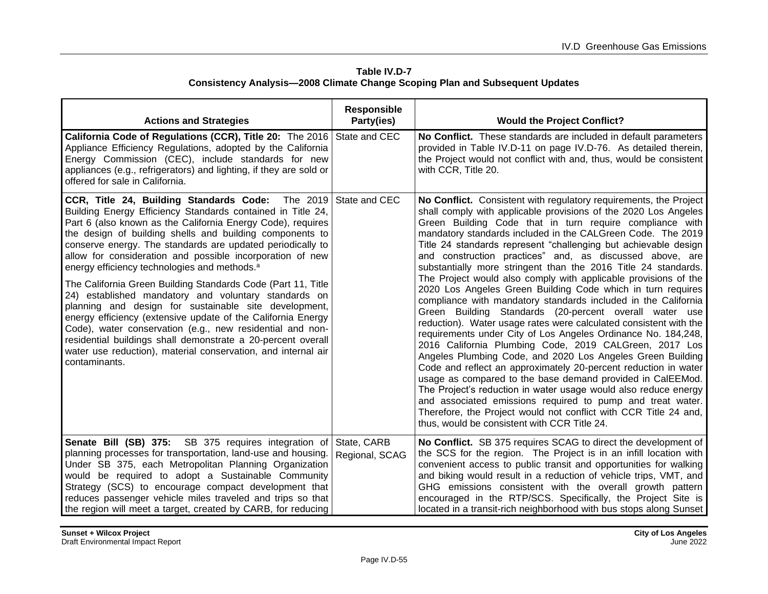| Table IV.D-7                                                                        |
|-------------------------------------------------------------------------------------|
| <b>Consistency Analysis-2008 Climate Change Scoping Plan and Subsequent Updates</b> |

| <b>Actions and Strategies</b>                                                                                                                                                                                                                                                                                                                                                                                                                                                                                                                                                                                                                                                                                                                                                                                                                                                                                   | <b>Responsible</b><br>Party(ies) | <b>Would the Project Conflict?</b>                                                                                                                                                                                                                                                                                                                                                                                                                                                                                                                                                                                                                                                                                                                                                                                                                                                                                                                                                                                                                                                                                                                                                                                                                                                                                                                                                 |
|-----------------------------------------------------------------------------------------------------------------------------------------------------------------------------------------------------------------------------------------------------------------------------------------------------------------------------------------------------------------------------------------------------------------------------------------------------------------------------------------------------------------------------------------------------------------------------------------------------------------------------------------------------------------------------------------------------------------------------------------------------------------------------------------------------------------------------------------------------------------------------------------------------------------|----------------------------------|------------------------------------------------------------------------------------------------------------------------------------------------------------------------------------------------------------------------------------------------------------------------------------------------------------------------------------------------------------------------------------------------------------------------------------------------------------------------------------------------------------------------------------------------------------------------------------------------------------------------------------------------------------------------------------------------------------------------------------------------------------------------------------------------------------------------------------------------------------------------------------------------------------------------------------------------------------------------------------------------------------------------------------------------------------------------------------------------------------------------------------------------------------------------------------------------------------------------------------------------------------------------------------------------------------------------------------------------------------------------------------|
| California Code of Regulations (CCR), Title 20: The 2016 State and CEC<br>Appliance Efficiency Regulations, adopted by the California<br>Energy Commission (CEC), include standards for new<br>appliances (e.g., refrigerators) and lighting, if they are sold or<br>offered for sale in California.                                                                                                                                                                                                                                                                                                                                                                                                                                                                                                                                                                                                            |                                  | No Conflict. These standards are included in default parameters<br>provided in Table IV.D-11 on page IV.D-76. As detailed therein,<br>the Project would not conflict with and, thus, would be consistent<br>with CCR, Title 20.                                                                                                                                                                                                                                                                                                                                                                                                                                                                                                                                                                                                                                                                                                                                                                                                                                                                                                                                                                                                                                                                                                                                                    |
| CCR, Title 24, Building Standards Code: The 2019 State and CEC<br>Building Energy Efficiency Standards contained in Title 24,<br>Part 6 (also known as the California Energy Code), requires<br>the design of building shells and building components to<br>conserve energy. The standards are updated periodically to<br>allow for consideration and possible incorporation of new<br>energy efficiency technologies and methods. <sup>a</sup><br>The California Green Building Standards Code (Part 11, Title<br>24) established mandatory and voluntary standards on<br>planning and design for sustainable site development,<br>energy efficiency (extensive update of the California Energy<br>Code), water conservation (e.g., new residential and non-<br>residential buildings shall demonstrate a 20-percent overall<br>water use reduction), material conservation, and internal air<br>contaminants. |                                  | No Conflict. Consistent with regulatory requirements, the Project<br>shall comply with applicable provisions of the 2020 Los Angeles<br>Green Building Code that in turn require compliance with<br>mandatory standards included in the CALGreen Code. The 2019<br>Title 24 standards represent "challenging but achievable design<br>and construction practices" and, as discussed above, are<br>substantially more stringent than the 2016 Title 24 standards.<br>The Project would also comply with applicable provisions of the<br>2020 Los Angeles Green Building Code which in turn requires<br>compliance with mandatory standards included in the California<br>Green Building Standards (20-percent overall water use<br>reduction). Water usage rates were calculated consistent with the<br>requirements under City of Los Angeles Ordinance No. 184,248,<br>2016 California Plumbing Code, 2019 CALGreen, 2017 Los<br>Angeles Plumbing Code, and 2020 Los Angeles Green Building<br>Code and reflect an approximately 20-percent reduction in water<br>usage as compared to the base demand provided in CalEEMod.<br>The Project's reduction in water usage would also reduce energy<br>and associated emissions required to pump and treat water.<br>Therefore, the Project would not conflict with CCR Title 24 and,<br>thus, would be consistent with CCR Title 24. |
| <b>Senate Bill (SB) 375:</b> SB 375 requires integration of State, CARB<br>planning processes for transportation, land-use and housing.<br>Under SB 375, each Metropolitan Planning Organization<br>would be required to adopt a Sustainable Community<br>Strategy (SCS) to encourage compact development that<br>reduces passenger vehicle miles traveled and trips so that<br>the region will meet a target, created by CARB, for reducing                                                                                                                                                                                                                                                                                                                                                                                                                                                                    | Regional, SCAG                   | No Conflict. SB 375 requires SCAG to direct the development of<br>the SCS for the region. The Project is in an infill location with<br>convenient access to public transit and opportunities for walking<br>and biking would result in a reduction of vehicle trips, VMT, and<br>GHG emissions consistent with the overall growth pattern<br>encouraged in the RTP/SCS. Specifically, the Project Site is<br>located in a transit-rich neighborhood with bus stops along Sunset                                                                                                                                                                                                                                                                                                                                                                                                                                                                                                                                                                                                                                                                                                                                                                                                                                                                                                    |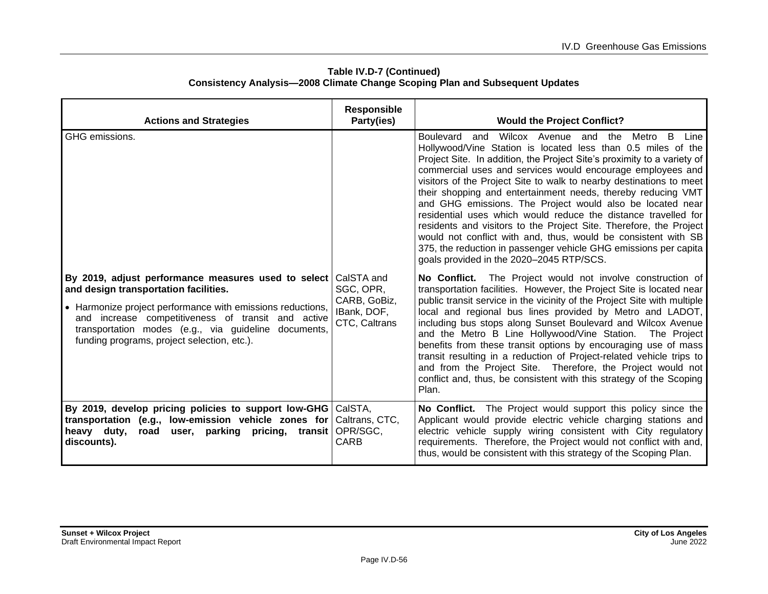| <b>Actions and Strategies</b>                                                                                                                                                                                                                                                                                           | <b>Responsible</b><br>Party(ies)                                        | <b>Would the Project Conflict?</b>                                                                                                                                                                                                                                                                                                                                                                                                                                                                                                                                                                                                                                                                                                                                                                |
|-------------------------------------------------------------------------------------------------------------------------------------------------------------------------------------------------------------------------------------------------------------------------------------------------------------------------|-------------------------------------------------------------------------|---------------------------------------------------------------------------------------------------------------------------------------------------------------------------------------------------------------------------------------------------------------------------------------------------------------------------------------------------------------------------------------------------------------------------------------------------------------------------------------------------------------------------------------------------------------------------------------------------------------------------------------------------------------------------------------------------------------------------------------------------------------------------------------------------|
| GHG emissions.                                                                                                                                                                                                                                                                                                          |                                                                         | Boulevard and Wilcox Avenue and the<br>B.<br>Metro<br>Line<br>Hollywood/Vine Station is located less than 0.5 miles of the<br>Project Site. In addition, the Project Site's proximity to a variety of<br>commercial uses and services would encourage employees and<br>visitors of the Project Site to walk to nearby destinations to meet<br>their shopping and entertainment needs, thereby reducing VMT<br>and GHG emissions. The Project would also be located near<br>residential uses which would reduce the distance travelled for<br>residents and visitors to the Project Site. Therefore, the Project<br>would not conflict with and, thus, would be consistent with SB<br>375, the reduction in passenger vehicle GHG emissions per capita<br>goals provided in the 2020-2045 RTP/SCS. |
| By 2019, adjust performance measures used to select<br>and design transportation facilities.<br>• Harmonize project performance with emissions reductions,<br>and increase competitiveness of transit and active<br>transportation modes (e.g., via guideline documents,<br>funding programs, project selection, etc.). | CalSTA and<br>SGC, OPR,<br>CARB, GoBiz,<br>IBank, DOF,<br>CTC, Caltrans | No Conflict. The Project would not involve construction of<br>transportation facilities. However, the Project Site is located near<br>public transit service in the vicinity of the Project Site with multiple<br>local and regional bus lines provided by Metro and LADOT,<br>including bus stops along Sunset Boulevard and Wilcox Avenue<br>and the Metro B Line Hollywood/Vine Station.<br>The Project<br>benefits from these transit options by encouraging use of mass<br>transit resulting in a reduction of Project-related vehicle trips to<br>and from the Project Site. Therefore, the Project would not<br>conflict and, thus, be consistent with this strategy of the Scoping<br>Plan.                                                                                               |
| By 2019, develop pricing policies to support low-GHG CalSTA,<br>transportation (e.g., low-emission vehicle zones for<br>heavy duty,<br>user, parking pricing, transit<br>road<br>discounts).                                                                                                                            | Caltrans, CTC,<br>OPR/SGC,<br><b>CARB</b>                               | No Conflict. The Project would support this policy since the<br>Applicant would provide electric vehicle charging stations and<br>electric vehicle supply wiring consistent with City regulatory<br>requirements. Therefore, the Project would not conflict with and,<br>thus, would be consistent with this strategy of the Scoping Plan.                                                                                                                                                                                                                                                                                                                                                                                                                                                        |

#### **Table IV.D-7 (Continued) Consistency Analysis—2008 Climate Change Scoping Plan and Subsequent Updates**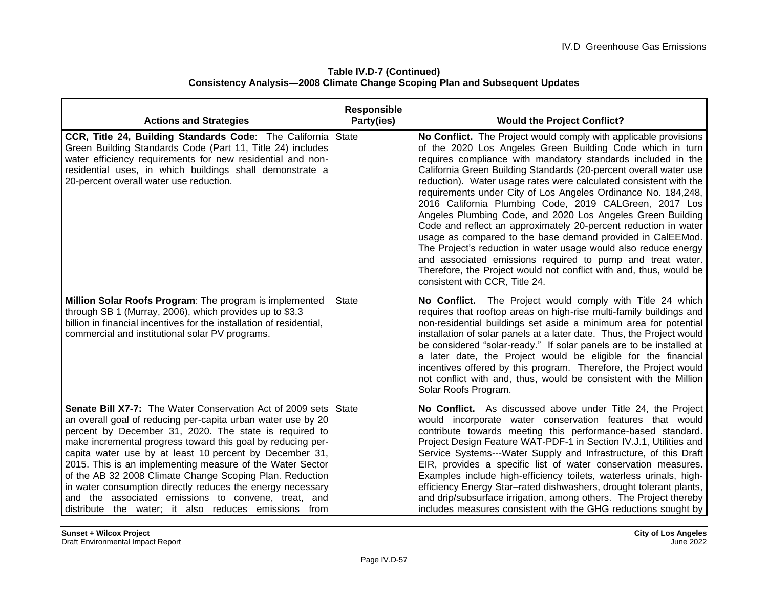| <b>Actions and Strategies</b>                                                                                                                                                                                                                                                                                                                                                                                                                                                                                                                                                                                       | <b>Responsible</b><br>Party(ies) | <b>Would the Project Conflict?</b>                                                                                                                                                                                                                                                                                                                                                                                                                                                                                                                                                                                                                                                                                                                                                                                                                                                                         |
|---------------------------------------------------------------------------------------------------------------------------------------------------------------------------------------------------------------------------------------------------------------------------------------------------------------------------------------------------------------------------------------------------------------------------------------------------------------------------------------------------------------------------------------------------------------------------------------------------------------------|----------------------------------|------------------------------------------------------------------------------------------------------------------------------------------------------------------------------------------------------------------------------------------------------------------------------------------------------------------------------------------------------------------------------------------------------------------------------------------------------------------------------------------------------------------------------------------------------------------------------------------------------------------------------------------------------------------------------------------------------------------------------------------------------------------------------------------------------------------------------------------------------------------------------------------------------------|
| CCR, Title 24, Building Standards Code: The California<br>Green Building Standards Code (Part 11, Title 24) includes<br>water efficiency requirements for new residential and non-<br>residential uses, in which buildings shall demonstrate a<br>20-percent overall water use reduction.                                                                                                                                                                                                                                                                                                                           | <b>State</b>                     | No Conflict. The Project would comply with applicable provisions<br>of the 2020 Los Angeles Green Building Code which in turn<br>requires compliance with mandatory standards included in the<br>California Green Building Standards (20-percent overall water use<br>reduction). Water usage rates were calculated consistent with the<br>requirements under City of Los Angeles Ordinance No. 184,248,<br>2016 California Plumbing Code, 2019 CALGreen, 2017 Los<br>Angeles Plumbing Code, and 2020 Los Angeles Green Building<br>Code and reflect an approximately 20-percent reduction in water<br>usage as compared to the base demand provided in CalEEMod.<br>The Project's reduction in water usage would also reduce energy<br>and associated emissions required to pump and treat water.<br>Therefore, the Project would not conflict with and, thus, would be<br>consistent with CCR, Title 24. |
| Million Solar Roofs Program: The program is implemented<br>through SB 1 (Murray, 2006), which provides up to \$3.3<br>billion in financial incentives for the installation of residential,<br>commercial and institutional solar PV programs.                                                                                                                                                                                                                                                                                                                                                                       | <b>State</b>                     | No Conflict. The Project would comply with Title 24 which<br>requires that rooftop areas on high-rise multi-family buildings and<br>non-residential buildings set aside a minimum area for potential<br>installation of solar panels at a later date. Thus, the Project would<br>be considered "solar-ready." If solar panels are to be installed at<br>a later date, the Project would be eligible for the financial<br>incentives offered by this program. Therefore, the Project would<br>not conflict with and, thus, would be consistent with the Million<br>Solar Roofs Program.                                                                                                                                                                                                                                                                                                                     |
| Senate Bill X7-7: The Water Conservation Act of 2009 sets<br>an overall goal of reducing per-capita urban water use by 20<br>percent by December 31, 2020. The state is required to<br>make incremental progress toward this goal by reducing per-<br>capita water use by at least 10 percent by December 31,<br>2015. This is an implementing measure of the Water Sector<br>of the AB 32 2008 Climate Change Scoping Plan. Reduction<br>in water consumption directly reduces the energy necessary<br>and the associated emissions to convene, treat, and<br>distribute the water; it also reduces emissions from | State                            | No Conflict. As discussed above under Title 24, the Project<br>would incorporate water conservation features that would<br>contribute towards meeting this performance-based standard.<br>Project Design Feature WAT-PDF-1 in Section IV.J.1, Utilities and<br>Service Systems---Water Supply and Infrastructure, of this Draft<br>EIR, provides a specific list of water conservation measures.<br>Examples include high-efficiency toilets, waterless urinals, high-<br>efficiency Energy Star-rated dishwashers, drought tolerant plants,<br>and drip/subsurface irrigation, among others. The Project thereby<br>includes measures consistent with the GHG reductions sought by                                                                                                                                                                                                                        |

**Table IV.D-7 (Continued) Consistency Analysis—2008 Climate Change Scoping Plan and Subsequent Updates**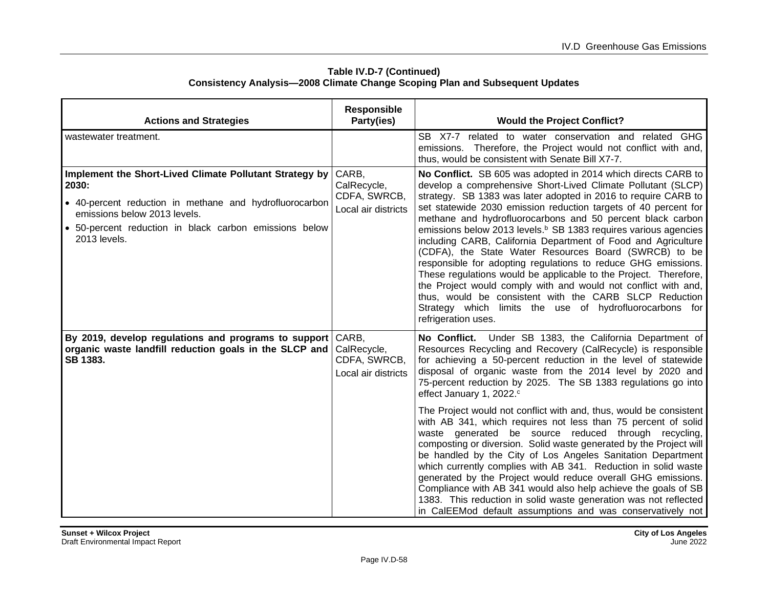| <b>Actions and Strategies</b>                                                                                                                                                                                                         | <b>Responsible</b><br>Party(ies)                            | <b>Would the Project Conflict?</b>                                                                                                                                                                                                                                                                                                                                                                                                                                                                                                                                                                                                                                                                                                                                                                                                                                                           |
|---------------------------------------------------------------------------------------------------------------------------------------------------------------------------------------------------------------------------------------|-------------------------------------------------------------|----------------------------------------------------------------------------------------------------------------------------------------------------------------------------------------------------------------------------------------------------------------------------------------------------------------------------------------------------------------------------------------------------------------------------------------------------------------------------------------------------------------------------------------------------------------------------------------------------------------------------------------------------------------------------------------------------------------------------------------------------------------------------------------------------------------------------------------------------------------------------------------------|
| wastewater treatment.                                                                                                                                                                                                                 |                                                             | SB X7-7 related to water conservation and related GHG<br>emissions. Therefore, the Project would not conflict with and,<br>thus, would be consistent with Senate Bill X7-7.                                                                                                                                                                                                                                                                                                                                                                                                                                                                                                                                                                                                                                                                                                                  |
| Implement the Short-Lived Climate Pollutant Strategy by<br>2030:<br>• 40-percent reduction in methane and hydrofluorocarbon<br>emissions below 2013 levels.<br>• 50-percent reduction in black carbon emissions below<br>2013 levels. | CARB,<br>CalRecycle,<br>CDFA, SWRCB,<br>Local air districts | No Conflict. SB 605 was adopted in 2014 which directs CARB to<br>develop a comprehensive Short-Lived Climate Pollutant (SLCP)<br>strategy. SB 1383 was later adopted in 2016 to require CARB to<br>set statewide 2030 emission reduction targets of 40 percent for<br>methane and hydrofluorocarbons and 50 percent black carbon<br>emissions below 2013 levels. <sup>b</sup> SB 1383 requires various agencies<br>including CARB, California Department of Food and Agriculture<br>(CDFA), the State Water Resources Board (SWRCB) to be<br>responsible for adopting regulations to reduce GHG emissions.<br>These regulations would be applicable to the Project. Therefore,<br>the Project would comply with and would not conflict with and,<br>thus, would be consistent with the CARB SLCP Reduction<br>Strategy which limits the use of hydrofluorocarbons for<br>refrigeration uses. |
| By 2019, develop regulations and programs to support<br>organic waste landfill reduction goals in the SLCP and<br>SB 1383.                                                                                                            | CARB,<br>CalRecycle,<br>CDFA, SWRCB,<br>Local air districts | No Conflict. Under SB 1383, the California Department of<br>Resources Recycling and Recovery (CalRecycle) is responsible<br>for achieving a 50-percent reduction in the level of statewide<br>disposal of organic waste from the 2014 level by 2020 and<br>75-percent reduction by 2025. The SB 1383 regulations go into<br>effect January 1, 2022. <sup>c</sup>                                                                                                                                                                                                                                                                                                                                                                                                                                                                                                                             |
|                                                                                                                                                                                                                                       |                                                             | The Project would not conflict with and, thus, would be consistent<br>with AB 341, which requires not less than 75 percent of solid<br>waste generated be source reduced through recycling,<br>composting or diversion. Solid waste generated by the Project will<br>be handled by the City of Los Angeles Sanitation Department<br>which currently complies with AB 341. Reduction in solid waste<br>generated by the Project would reduce overall GHG emissions.<br>Compliance with AB 341 would also help achieve the goals of SB<br>1383. This reduction in solid waste generation was not reflected<br>in CalEEMod default assumptions and was conservatively not                                                                                                                                                                                                                       |

#### **Table IV.D-7 (Continued) Consistency Analysis—2008 Climate Change Scoping Plan and Subsequent Updates**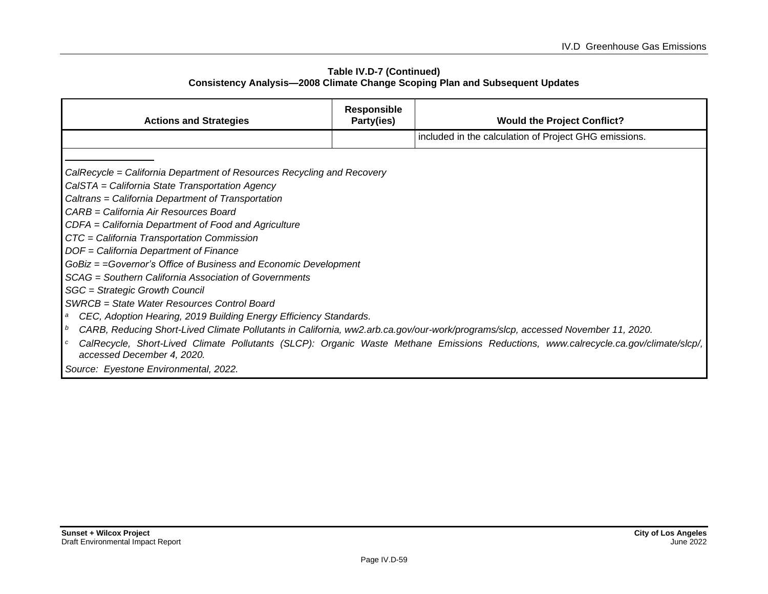#### **Table IV.D-7 (Continued) Consistency Analysis—2008 Climate Change Scoping Plan and Subsequent Updates**

| <b>Actions and Strategies</b>                                                                                                   | <b>Responsible</b><br>Party(ies) | <b>Would the Project Conflict?</b>                                                                                                  |  |  |
|---------------------------------------------------------------------------------------------------------------------------------|----------------------------------|-------------------------------------------------------------------------------------------------------------------------------------|--|--|
|                                                                                                                                 |                                  | included in the calculation of Project GHG emissions.                                                                               |  |  |
|                                                                                                                                 |                                  |                                                                                                                                     |  |  |
| CalRecycle = California Department of Resources Recycling and Recovery                                                          |                                  |                                                                                                                                     |  |  |
| CalSTA = California State Transportation Agency                                                                                 |                                  |                                                                                                                                     |  |  |
| Caltrans = California Department of Transportation                                                                              |                                  |                                                                                                                                     |  |  |
| CARB = California Air Resources Board                                                                                           |                                  |                                                                                                                                     |  |  |
| CDFA = California Department of Food and Agriculture                                                                            |                                  |                                                                                                                                     |  |  |
| CTC = California Transportation Commission                                                                                      |                                  |                                                                                                                                     |  |  |
| DOF = California Department of Finance                                                                                          |                                  |                                                                                                                                     |  |  |
| GoBiz = = Governor's Office of Business and Economic Development                                                                |                                  |                                                                                                                                     |  |  |
| SCAG = Southern California Association of Governments                                                                           |                                  |                                                                                                                                     |  |  |
| SGC = Strategic Growth Council                                                                                                  |                                  |                                                                                                                                     |  |  |
| SWRCB = State Water Resources Control Board                                                                                     |                                  |                                                                                                                                     |  |  |
| CEC, Adoption Hearing, 2019 Building Energy Efficiency Standards.<br>a                                                          |                                  |                                                                                                                                     |  |  |
| CARB, Reducing Short-Lived Climate Pollutants in California, ww2.arb.ca.gov/our-work/programs/slcp, accessed November 11, 2020. |                                  |                                                                                                                                     |  |  |
| accessed December 4, 2020.                                                                                                      |                                  | CalRecycle, Short-Lived Climate Pollutants (SLCP): Organic Waste Methane Emissions Reductions, www.calrecycle.ca.gov/climate/slcp/, |  |  |
| Source: Eyestone Environmental, 2022.                                                                                           |                                  |                                                                                                                                     |  |  |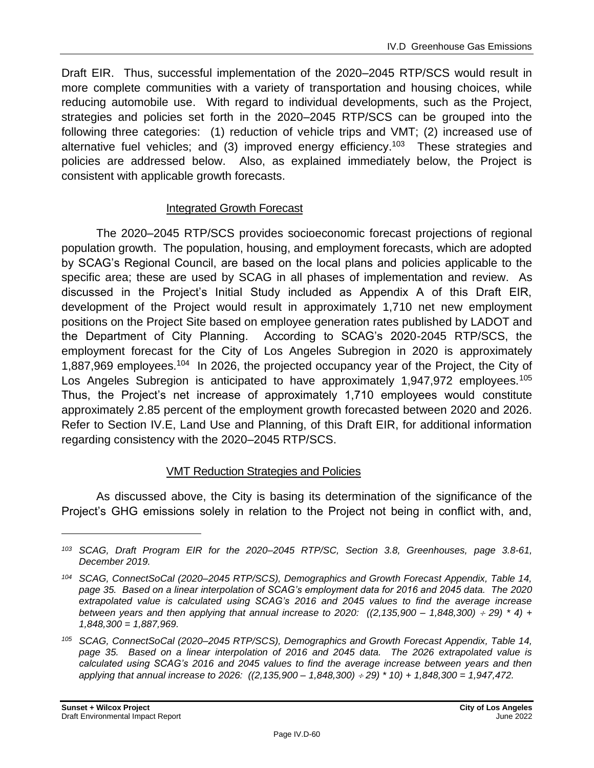Draft EIR. Thus, successful implementation of the 2020–2045 RTP/SCS would result in more complete communities with a variety of transportation and housing choices, while reducing automobile use. With regard to individual developments, such as the Project, strategies and policies set forth in the 2020–2045 RTP/SCS can be grouped into the following three categories: (1) reduction of vehicle trips and VMT; (2) increased use of alternative fuel vehicles; and (3) improved energy efficiency.<sup>103</sup> These strategies and policies are addressed below. Also, as explained immediately below, the Project is consistent with applicable growth forecasts.

### Integrated Growth Forecast

The 2020–2045 RTP/SCS provides socioeconomic forecast projections of regional population growth. The population, housing, and employment forecasts, which are adopted by SCAG's Regional Council, are based on the local plans and policies applicable to the specific area; these are used by SCAG in all phases of implementation and review. As discussed in the Project's Initial Study included as Appendix A of this Draft EIR, development of the Project would result in approximately 1,710 net new employment positions on the Project Site based on employee generation rates published by LADOT and the Department of City Planning. According to SCAG's 2020-2045 RTP/SCS, the employment forecast for the City of Los Angeles Subregion in 2020 is approximately 1,887,969 employees.<sup>104</sup> In 2026, the projected occupancy year of the Project, the City of Los Angeles Subregion is anticipated to have approximately 1,947,972 employees.<sup>105</sup> Thus, the Project's net increase of approximately 1,710 employees would constitute approximately 2.85 percent of the employment growth forecasted between 2020 and 2026. Refer to Section IV.E, Land Use and Planning, of this Draft EIR, for additional information regarding consistency with the 2020–2045 RTP/SCS.

### VMT Reduction Strategies and Policies

As discussed above, the City is basing its determination of the significance of the Project's GHG emissions solely in relation to the Project not being in conflict with, and,

*<sup>103</sup> SCAG, Draft Program EIR for the 2020–2045 RTP/SC, Section 3.8, Greenhouses, page 3.8-61, December 2019.*

*<sup>104</sup> SCAG, ConnectSoCal (2020–2045 RTP/SCS), Demographics and Growth Forecast Appendix, Table 14, page 35. Based on a linear interpolation of SCAG's employment data for 2016 and 2045 data. The 2020 extrapolated value is calculated using SCAG's 2016 and 2045 values to find the average increase between years and then applying that annual increase to 2020: ((2,135,900 – 1,848,300) 29) \* 4) + 1,848,300 = 1,887,969.*

*<sup>105</sup> SCAG, ConnectSoCal (2020–2045 RTP/SCS), Demographics and Growth Forecast Appendix, Table 14, page 35. Based on a linear interpolation of 2016 and 2045 data. The 2026 extrapolated value is calculated using SCAG's 2016 and 2045 values to find the average increase between years and then applying that annual increase to 2026: ((2,135,900 – 1,848,300) 29) \* 10) + 1,848,300 = 1,947,472.*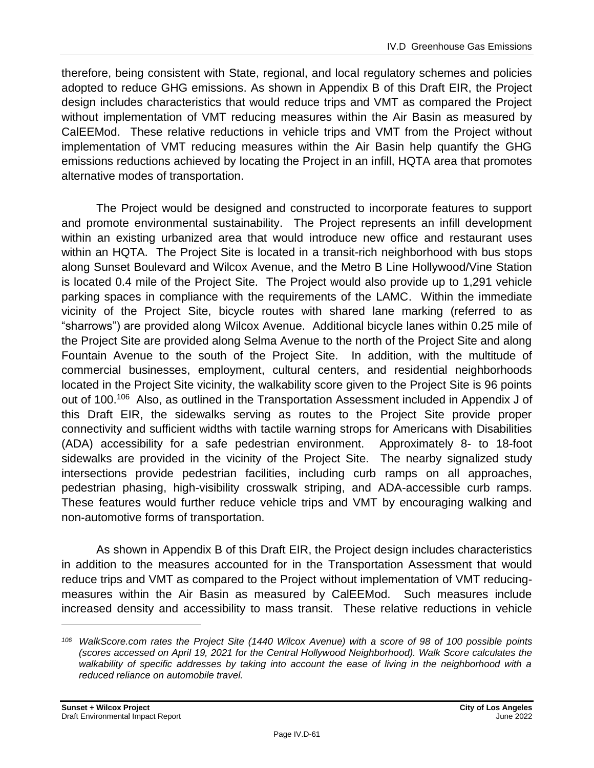therefore, being consistent with State, regional, and local regulatory schemes and policies adopted to reduce GHG emissions. As shown in Appendix B of this Draft EIR, the Project design includes characteristics that would reduce trips and VMT as compared the Project without implementation of VMT reducing measures within the Air Basin as measured by CalEEMod. These relative reductions in vehicle trips and VMT from the Project without implementation of VMT reducing measures within the Air Basin help quantify the GHG emissions reductions achieved by locating the Project in an infill, HQTA area that promotes alternative modes of transportation.

The Project would be designed and constructed to incorporate features to support and promote environmental sustainability. The Project represents an infill development within an existing urbanized area that would introduce new office and restaurant uses within an HQTA. The Project Site is located in a transit-rich neighborhood with bus stops along Sunset Boulevard and Wilcox Avenue, and the Metro B Line Hollywood/Vine Station is located 0.4 mile of the Project Site. The Project would also provide up to 1,291 vehicle parking spaces in compliance with the requirements of the LAMC. Within the immediate vicinity of the Project Site, bicycle routes with shared lane marking (referred to as "sharrows") are provided along Wilcox Avenue. Additional bicycle lanes within 0.25 mile of the Project Site are provided along Selma Avenue to the north of the Project Site and along Fountain Avenue to the south of the Project Site. In addition, with the multitude of commercial businesses, employment, cultural centers, and residential neighborhoods located in the Project Site vicinity, the walkability score given to the Project Site is 96 points out of 100.<sup>106</sup> Also, as outlined in the Transportation Assessment included in Appendix J of this Draft EIR, the sidewalks serving as routes to the Project Site provide proper connectivity and sufficient widths with tactile warning strops for Americans with Disabilities (ADA) accessibility for a safe pedestrian environment. Approximately 8- to 18-foot sidewalks are provided in the vicinity of the Project Site. The nearby signalized study intersections provide pedestrian facilities, including curb ramps on all approaches, pedestrian phasing, high-visibility crosswalk striping, and ADA-accessible curb ramps. These features would further reduce vehicle trips and VMT by encouraging walking and non‑automotive forms of transportation.

As shown in Appendix B of this Draft EIR, the Project design includes characteristics in addition to the measures accounted for in the Transportation Assessment that would reduce trips and VMT as compared to the Project without implementation of VMT reducingmeasures within the Air Basin as measured by CalEEMod. Such measures include increased density and accessibility to mass transit. These relative reductions in vehicle

*<sup>106</sup> WalkScore.com rates the Project Site (1440 Wilcox Avenue) with a score of 98 of 100 possible points (scores accessed on April 19, 2021 for the Central Hollywood Neighborhood). Walk Score calculates the*  walkability of specific addresses by taking into account the ease of living in the neighborhood with a *reduced reliance on automobile travel.*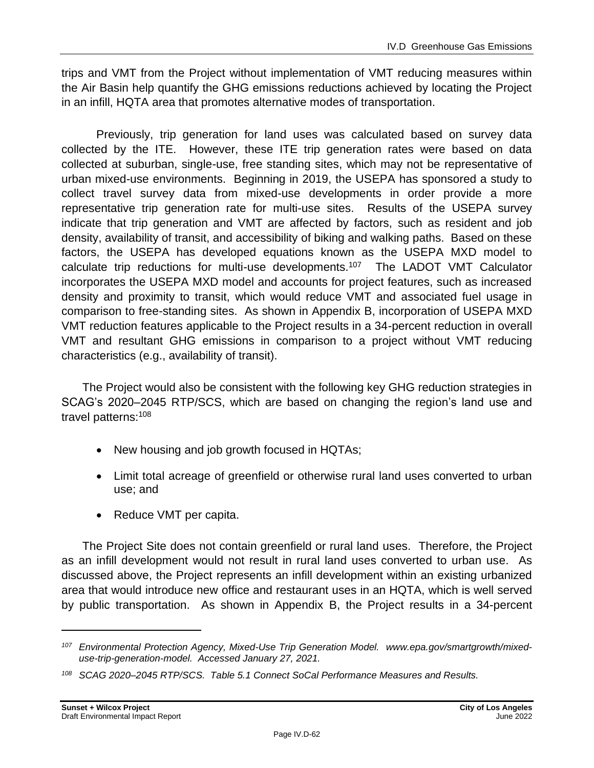trips and VMT from the Project without implementation of VMT reducing measures within the Air Basin help quantify the GHG emissions reductions achieved by locating the Project in an infill, HQTA area that promotes alternative modes of transportation.

Previously, trip generation for land uses was calculated based on survey data collected by the ITE. However, these ITE trip generation rates were based on data collected at suburban, single-use, free standing sites, which may not be representative of urban mixed-use environments. Beginning in 2019, the USEPA has sponsored a study to collect travel survey data from mixed-use developments in order provide a more representative trip generation rate for multi-use sites. Results of the USEPA survey indicate that trip generation and VMT are affected by factors, such as resident and job density, availability of transit, and accessibility of biking and walking paths. Based on these factors, the USEPA has developed equations known as the USEPA MXD model to calculate trip reductions for multi-use developments.<sup>107</sup> The LADOT VMT Calculator incorporates the USEPA MXD model and accounts for project features, such as increased density and proximity to transit, which would reduce VMT and associated fuel usage in comparison to free-standing sites. As shown in Appendix B, incorporation of USEPA MXD VMT reduction features applicable to the Project results in a 34-percent reduction in overall VMT and resultant GHG emissions in comparison to a project without VMT reducing characteristics (e.g., availability of transit).

The Project would also be consistent with the following key GHG reduction strategies in SCAG's 2020–2045 RTP/SCS, which are based on changing the region's land use and travel patterns:<sup>108</sup>

- New housing and job growth focused in HQTAs;
- Limit total acreage of greenfield or otherwise rural land uses converted to urban use; and
- Reduce VMT per capita.

The Project Site does not contain greenfield or rural land uses. Therefore, the Project as an infill development would not result in rural land uses converted to urban use. As discussed above, the Project represents an infill development within an existing urbanized area that would introduce new office and restaurant uses in an HQTA, which is well served by public transportation. As shown in Appendix B, the Project results in a 34-percent

*<sup>107</sup> Environmental Protection Agency, Mixed-Use Trip Generation Model. [www.epa.gov/smartgrowth/mixed](https://www.epa.gov/smartgrowth/mixed-use-trip-generation-model)[use-trip-generation-model.](https://www.epa.gov/smartgrowth/mixed-use-trip-generation-model) Accessed January 27, 2021.*

*<sup>108</sup> SCAG 2020–2045 RTP/SCS. Table 5.1 Connect SoCal Performance Measures and Results.*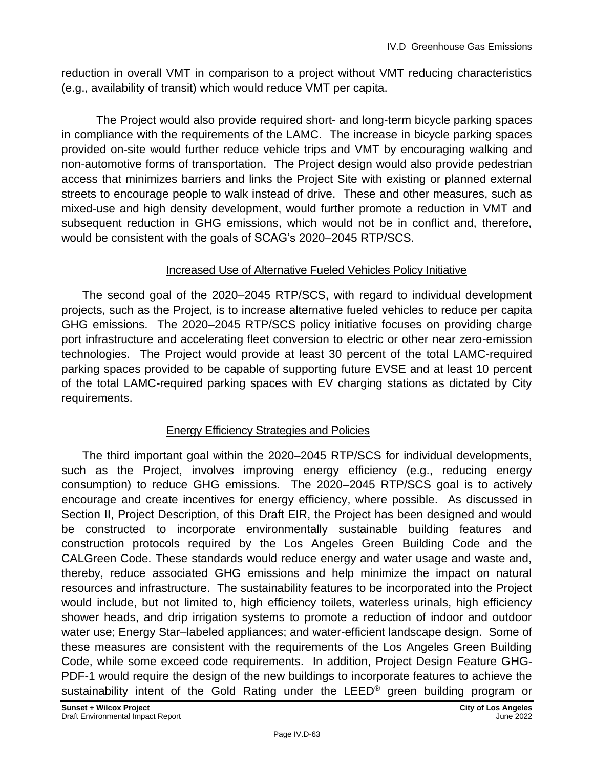reduction in overall VMT in comparison to a project without VMT reducing characteristics (e.g., availability of transit) which would reduce VMT per capita.

The Project would also provide required short- and long-term bicycle parking spaces in compliance with the requirements of the LAMC. The increase in bicycle parking spaces provided on-site would further reduce vehicle trips and VMT by encouraging walking and non‑automotive forms of transportation. The Project design would also provide pedestrian access that minimizes barriers and links the Project Site with existing or planned external streets to encourage people to walk instead of drive. These and other measures, such as mixed-use and high density development, would further promote a reduction in VMT and subsequent reduction in GHG emissions, which would not be in conflict and, therefore, would be consistent with the goals of SCAG's 2020–2045 RTP/SCS.

### Increased Use of Alternative Fueled Vehicles Policy Initiative

The second goal of the 2020–2045 RTP/SCS, with regard to individual development projects, such as the Project, is to increase alternative fueled vehicles to reduce per capita GHG emissions. The 2020–2045 RTP/SCS policy initiative focuses on providing charge port infrastructure and accelerating fleet conversion to electric or other near zero-emission technologies. The Project would provide at least 30 percent of the total LAMC-required parking spaces provided to be capable of supporting future EVSE and at least 10 percent of the total LAMC-required parking spaces with EV charging stations as dictated by City requirements.

## Energy Efficiency Strategies and Policies

The third important goal within the 2020–2045 RTP/SCS for individual developments, such as the Project, involves improving energy efficiency (e.g., reducing energy consumption) to reduce GHG emissions. The 2020–2045 RTP/SCS goal is to actively encourage and create incentives for energy efficiency, where possible. As discussed in Section II, Project Description, of this Draft EIR, the Project has been designed and would be constructed to incorporate environmentally sustainable building features and construction protocols required by the Los Angeles Green Building Code and the CALGreen Code. These standards would reduce energy and water usage and waste and, thereby, reduce associated GHG emissions and help minimize the impact on natural resources and infrastructure. The sustainability features to be incorporated into the Project would include, but not limited to, high efficiency toilets, waterless urinals, high efficiency shower heads, and drip irrigation systems to promote a reduction of indoor and outdoor water use; Energy Star–labeled appliances; and water-efficient landscape design. Some of these measures are consistent with the requirements of the Los Angeles Green Building Code, while some exceed code requirements. In addition, Project Design Feature GHG-PDF-1 would require the design of the new buildings to incorporate features to achieve the sustainability intent of the Gold Rating under the LEED® green building program or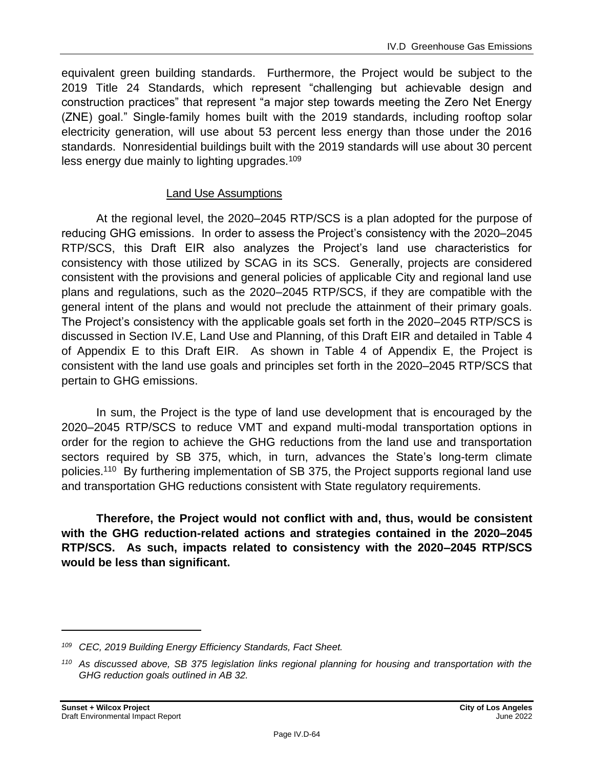equivalent green building standards. Furthermore, the Project would be subject to the 2019 Title 24 Standards, which represent "challenging but achievable design and construction practices" that represent "a major step towards meeting the Zero Net Energy (ZNE) goal." Single-family homes built with the 2019 standards, including rooftop solar electricity generation, will use about 53 percent less energy than those under the 2016 standards. Nonresidential buildings built with the 2019 standards will use about 30 percent less energy due mainly to lighting upgrades.<sup>109</sup>

### Land Use Assumptions

At the regional level, the 2020–2045 RTP/SCS is a plan adopted for the purpose of reducing GHG emissions. In order to assess the Project's consistency with the 2020–2045 RTP/SCS, this Draft EIR also analyzes the Project's land use characteristics for consistency with those utilized by SCAG in its SCS. Generally, projects are considered consistent with the provisions and general policies of applicable City and regional land use plans and regulations, such as the 2020–2045 RTP/SCS, if they are compatible with the general intent of the plans and would not preclude the attainment of their primary goals. The Project's consistency with the applicable goals set forth in the 2020–2045 RTP/SCS is discussed in Section IV.E, Land Use and Planning, of this Draft EIR and detailed in Table 4 of Appendix E to this Draft EIR. As shown in Table 4 of Appendix E, the Project is consistent with the land use goals and principles set forth in the 2020–2045 RTP/SCS that pertain to GHG emissions.

In sum, the Project is the type of land use development that is encouraged by the 2020–2045 RTP/SCS to reduce VMT and expand multi-modal transportation options in order for the region to achieve the GHG reductions from the land use and transportation sectors required by SB 375, which, in turn, advances the State's long-term climate policies.<sup>110</sup> By furthering implementation of SB 375, the Project supports regional land use and transportation GHG reductions consistent with State regulatory requirements.

**Therefore, the Project would not conflict with and, thus, would be consistent with the GHG reduction-related actions and strategies contained in the 2020–2045 RTP/SCS. As such, impacts related to consistency with the 2020–2045 RTP/SCS would be less than significant.**

*<sup>109</sup> CEC, 2019 Building Energy Efficiency Standards, Fact Sheet.*

*<sup>110</sup> As discussed above, SB 375 legislation links regional planning for housing and transportation with the GHG reduction goals outlined in AB 32.*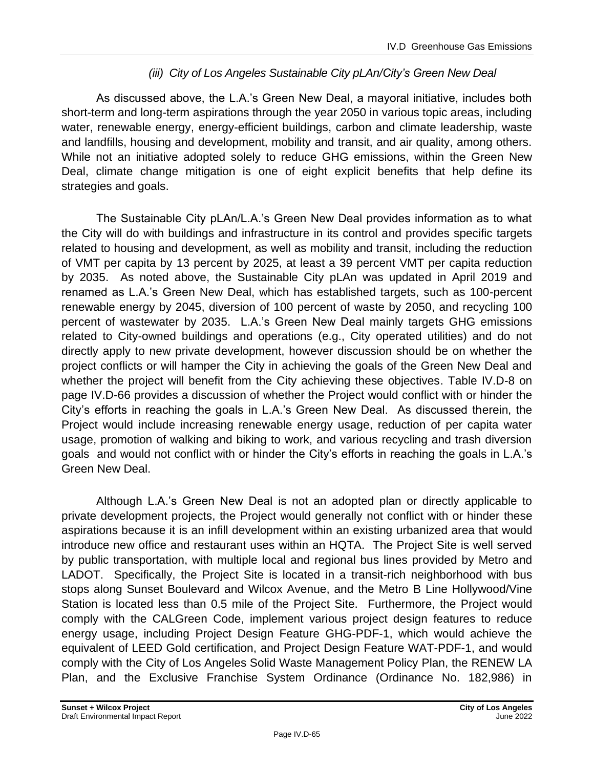## *(iii) City of Los Angeles Sustainable City pLAn/City's Green New Deal*

As discussed above, the L.A.'s Green New Deal, a mayoral initiative, includes both short-term and long-term aspirations through the year 2050 in various topic areas, including water, renewable energy, energy-efficient buildings, carbon and climate leadership, waste and landfills, housing and development, mobility and transit, and air quality, among others. While not an initiative adopted solely to reduce GHG emissions, within the Green New Deal, climate change mitigation is one of eight explicit benefits that help define its strategies and goals.

The Sustainable City pLAn/L.A.'s Green New Deal provides information as to what the City will do with buildings and infrastructure in its control and provides specific targets related to housing and development, as well as mobility and transit, including the reduction of VMT per capita by 13 percent by 2025, at least a 39 percent VMT per capita reduction by 2035. As noted above, the Sustainable City pLAn was updated in April 2019 and renamed as L.A.'s Green New Deal, which has established targets, such as 100-percent renewable energy by 2045, diversion of 100 percent of waste by 2050, and recycling 100 percent of wastewater by 2035. L.A.'s Green New Deal mainly targets GHG emissions related to City-owned buildings and operations (e.g., City operated utilities) and do not directly apply to new private development, however discussion should be on whether the project conflicts or will hamper the City in achieving the goals of the Green New Deal and whether the project will benefit from the City achieving these objectives. Table IV.D-8 on page IV.D-66 provides a discussion of whether the Project would conflict with or hinder the City's efforts in reaching the goals in L.A.'s Green New Deal. As discussed therein, the Project would include increasing renewable energy usage, reduction of per capita water usage, promotion of walking and biking to work, and various recycling and trash diversion goals and would not conflict with or hinder the City's efforts in reaching the goals in L.A.'s Green New Deal.

Although L.A.'s Green New Deal is not an adopted plan or directly applicable to private development projects, the Project would generally not conflict with or hinder these aspirations because it is an infill development within an existing urbanized area that would introduce new office and restaurant uses within an HQTA. The Project Site is well served by public transportation, with multiple local and regional bus lines provided by Metro and LADOT. Specifically, the Project Site is located in a transit-rich neighborhood with bus stops along Sunset Boulevard and Wilcox Avenue, and the Metro B Line Hollywood/Vine Station is located less than 0.5 mile of the Project Site. Furthermore, the Project would comply with the CALGreen Code, implement various project design features to reduce energy usage, including Project Design Feature GHG-PDF-1, which would achieve the equivalent of LEED Gold certification, and Project Design Feature WAT-PDF-1, and would comply with the City of Los Angeles Solid Waste Management Policy Plan, the RENEW LA Plan, and the Exclusive Franchise System Ordinance (Ordinance No. 182,986) in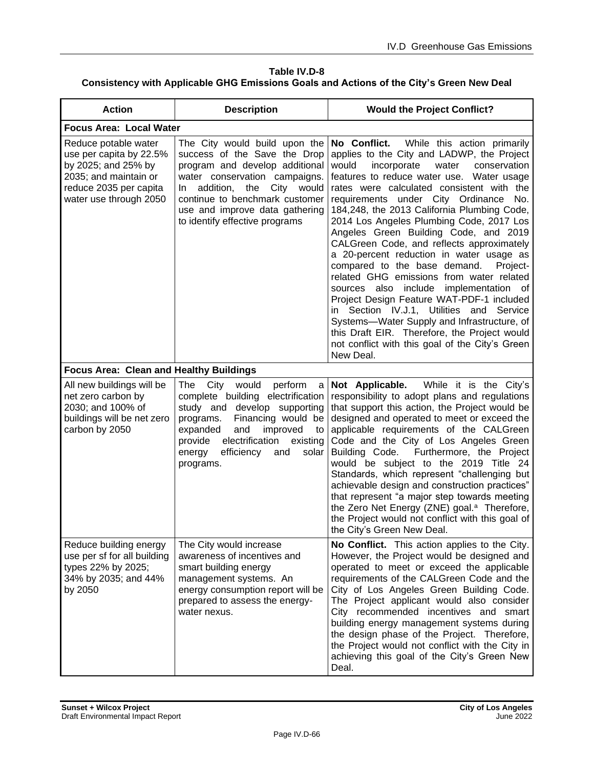#### **Table IV.D-8 Consistency with Applicable GHG Emissions Goals and Actions of the City's Green New Deal**

| <b>Action</b>                                                                                                                                       | <b>Description</b>                                                                                                                                                                                                                                                               | <b>Would the Project Conflict?</b>                                                                                                                                                                                                                                                                                                                                                                                                                                                                                                                                                                                                                                                                                                                                                                                                                                                                   |  |  |
|-----------------------------------------------------------------------------------------------------------------------------------------------------|----------------------------------------------------------------------------------------------------------------------------------------------------------------------------------------------------------------------------------------------------------------------------------|------------------------------------------------------------------------------------------------------------------------------------------------------------------------------------------------------------------------------------------------------------------------------------------------------------------------------------------------------------------------------------------------------------------------------------------------------------------------------------------------------------------------------------------------------------------------------------------------------------------------------------------------------------------------------------------------------------------------------------------------------------------------------------------------------------------------------------------------------------------------------------------------------|--|--|
| <b>Focus Area: Local Water</b>                                                                                                                      |                                                                                                                                                                                                                                                                                  |                                                                                                                                                                                                                                                                                                                                                                                                                                                                                                                                                                                                                                                                                                                                                                                                                                                                                                      |  |  |
| Reduce potable water<br>use per capita by 22.5%<br>by 2025; and 25% by<br>2035; and maintain or<br>reduce 2035 per capita<br>water use through 2050 | The City would build upon the<br>success of the Save the Drop<br>program and develop additional<br>water conservation campaigns.<br>addition,<br>the City would<br>In.<br>continue to benchmark customer<br>use and improve data gathering<br>to identify effective programs     | No Conflict.<br>While this action primarily<br>applies to the City and LADWP, the Project<br>would<br>incorporate<br>water<br>conservation<br>features to reduce water use. Water usage<br>rates were calculated consistent with the<br>requirements under City Ordinance No.<br>184,248, the 2013 California Plumbing Code,<br>2014 Los Angeles Plumbing Code, 2017 Los<br>Angeles Green Building Code, and 2019<br>CALGreen Code, and reflects approximately<br>a 20-percent reduction in water usage as<br>compared to the base demand.<br>Project-<br>related GHG emissions from water related<br>sources also include implementation of<br>Project Design Feature WAT-PDF-1 included<br>in Section IV.J.1, Utilities and Service<br>Systems-Water Supply and Infrastructure, of<br>this Draft EIR. Therefore, the Project would<br>not conflict with this goal of the City's Green<br>New Deal. |  |  |
| <b>Focus Area: Clean and Healthy Buildings</b>                                                                                                      |                                                                                                                                                                                                                                                                                  |                                                                                                                                                                                                                                                                                                                                                                                                                                                                                                                                                                                                                                                                                                                                                                                                                                                                                                      |  |  |
| All new buildings will be<br>net zero carbon by<br>2030; and 100% of<br>buildings will be net zero<br>carbon by 2050                                | The<br>City<br>would<br>perform<br>a<br>complete building electrification<br>study and develop supporting<br>Financing would be<br>programs.<br>improved<br>expanded<br>and<br>to<br>electrification<br>provide<br>existing<br>energy<br>efficiency<br>and<br>solar<br>programs. | While it is the City's<br>Not Applicable.<br>responsibility to adopt plans and regulations<br>that support this action, the Project would be<br>designed and operated to meet or exceed the<br>applicable requirements of the CALGreen<br>Code and the City of Los Angeles Green<br>Building Code.<br>Furthermore, the Project<br>would be subject to the 2019 Title 24<br>Standards, which represent "challenging but<br>achievable design and construction practices"<br>that represent "a major step towards meeting<br>the Zero Net Energy (ZNE) goal. <sup>a</sup> Therefore,<br>the Project would not conflict with this goal of<br>the City's Green New Deal.                                                                                                                                                                                                                                 |  |  |
| Reduce building energy<br>use per sf for all building<br>types 22% by 2025;<br>34% by 2035; and 44%<br>by 2050                                      | The City would increase<br>awareness of incentives and<br>smart building energy<br>management systems. An<br>energy consumption report will be<br>prepared to assess the energy-<br>water nexus.                                                                                 | No Conflict. This action applies to the City.<br>However, the Project would be designed and<br>operated to meet or exceed the applicable<br>requirements of the CALGreen Code and the<br>City of Los Angeles Green Building Code.<br>The Project applicant would also consider<br>City recommended incentives and smart<br>building energy management systems during<br>the design phase of the Project. Therefore,<br>the Project would not conflict with the City in<br>achieving this goal of the City's Green New<br>Deal.                                                                                                                                                                                                                                                                                                                                                                       |  |  |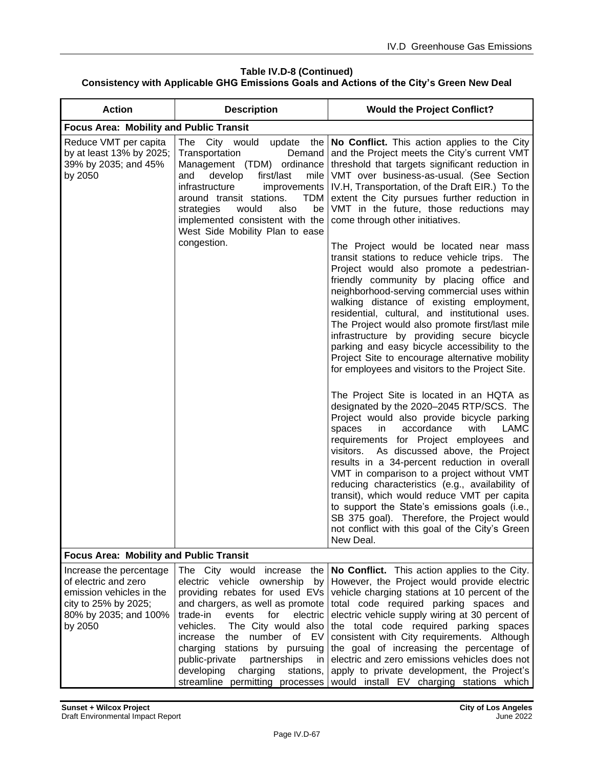### **Table IV.D-8 (Continued)**

## **Consistency with Applicable GHG Emissions Goals and Actions of the City's Green New Deal**

| <b>Action</b>                                                                                                                           | <b>Description</b>                                                                                                                                                                                                                                                                                                                                                                                             | <b>Would the Project Conflict?</b>                                                                                                                                                                                                                                                                                                                                                                                                                                                                                                                                                                                                          |
|-----------------------------------------------------------------------------------------------------------------------------------------|----------------------------------------------------------------------------------------------------------------------------------------------------------------------------------------------------------------------------------------------------------------------------------------------------------------------------------------------------------------------------------------------------------------|---------------------------------------------------------------------------------------------------------------------------------------------------------------------------------------------------------------------------------------------------------------------------------------------------------------------------------------------------------------------------------------------------------------------------------------------------------------------------------------------------------------------------------------------------------------------------------------------------------------------------------------------|
| <b>Focus Area: Mobility and Public Transit</b>                                                                                          |                                                                                                                                                                                                                                                                                                                                                                                                                |                                                                                                                                                                                                                                                                                                                                                                                                                                                                                                                                                                                                                                             |
| Reduce VMT per capita<br>by at least 13% by 2025;<br>39% by 2035; and 45%<br>by 2050                                                    | The City would<br>update<br>the<br>Transportation<br>Demand<br>Management (TDM) ordinance<br>first/last<br>develop<br>mile<br>and<br>infrastructure<br>improvements<br>around transit stations.<br>TDM<br>would<br>also<br>be<br>strategies<br>implemented consistent with the<br>West Side Mobility Plan to ease                                                                                              | No Conflict. This action applies to the City<br>and the Project meets the City's current VMT<br>threshold that targets significant reduction in<br>VMT over business-as-usual. (See Section<br>IV.H, Transportation, of the Draft EIR.) To the<br>extent the City pursues further reduction in<br>VMT in the future, those reductions may<br>come through other initiatives.                                                                                                                                                                                                                                                                |
|                                                                                                                                         | congestion.                                                                                                                                                                                                                                                                                                                                                                                                    | The Project would be located near mass<br>transit stations to reduce vehicle trips. The<br>Project would also promote a pedestrian-<br>friendly community by placing office and<br>neighborhood-serving commercial uses within<br>walking distance of existing employment,<br>residential, cultural, and institutional uses.<br>The Project would also promote first/last mile<br>infrastructure by providing secure bicycle<br>parking and easy bicycle accessibility to the<br>Project Site to encourage alternative mobility<br>for employees and visitors to the Project Site.                                                          |
|                                                                                                                                         |                                                                                                                                                                                                                                                                                                                                                                                                                | The Project Site is located in an HQTA as<br>designated by the 2020-2045 RTP/SCS. The<br>Project would also provide bicycle parking<br>accordance<br>with<br>LAMC<br>spaces<br>in.<br>requirements for Project employees and<br>As discussed above, the Project<br>visitors.<br>results in a 34-percent reduction in overall<br>VMT in comparison to a project without VMT<br>reducing characteristics (e.g., availability of<br>transit), which would reduce VMT per capita<br>to support the State's emissions goals (i.e.,<br>SB 375 goal). Therefore, the Project would<br>not conflict with this goal of the City's Green<br>New Deal. |
| <b>Focus Area: Mobility and Public Transit</b>                                                                                          |                                                                                                                                                                                                                                                                                                                                                                                                                |                                                                                                                                                                                                                                                                                                                                                                                                                                                                                                                                                                                                                                             |
| Increase the percentage<br>of electric and zero<br>emission vehicles in the<br>city to 25% by 2025;<br>80% by 2035; and 100%<br>by 2050 | The City would increase the<br>electric vehicle ownership<br>by<br>providing rebates for used EVs<br>and chargers, as well as promote<br>trade-in<br>events<br>for<br>electric<br>vehicles.<br>The City would also<br>number of EV<br>increase<br>the<br>charging<br>stations<br>by pursuing<br>public-private<br>partnerships<br>in<br>developing<br>charging<br>stations,<br>streamline permitting processes | No Conflict. This action applies to the City.<br>However, the Project would provide electric<br>vehicle charging stations at 10 percent of the<br>total code required parking spaces and<br>electric vehicle supply wiring at 30 percent of<br>the total code required parking spaces<br>consistent with City requirements. Although<br>the goal of increasing the percentage of<br>electric and zero emissions vehicles does not<br>apply to private development, the Project's<br>would install EV charging stations which                                                                                                                |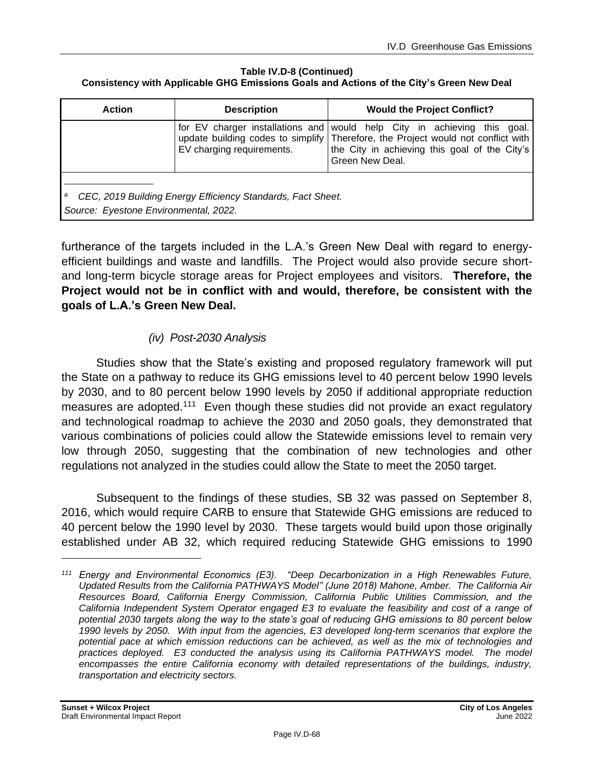#### **Table IV.D-8 (Continued)**

#### **Consistency with Applicable GHG Emissions Goals and Actions of the City's Green New Deal**

| <b>Action</b>                                                                                        | <b>Description</b>                                            | <b>Would the Project Conflict?</b>                                                                                                                                                                 |
|------------------------------------------------------------------------------------------------------|---------------------------------------------------------------|----------------------------------------------------------------------------------------------------------------------------------------------------------------------------------------------------|
|                                                                                                      | for EV charger installations and<br>EV charging requirements. | would help City in achieving this<br>qoal.<br>update building codes to simplify Therefore, the Project would not conflict with<br>the City in achieving this goal of the City's<br>Green New Deal. |
| CEC, 2019 Building Energy Efficiency Standards, Fact Sheet.<br>Source: Eyestone Environmental, 2022. |                                                               |                                                                                                                                                                                                    |

furtherance of the targets included in the L.A.'s Green New Deal with regard to energyefficient buildings and waste and landfills. The Project would also provide secure shortand long-term bicycle storage areas for Project employees and visitors. **Therefore, the Project would not be in conflict with and would, therefore, be consistent with the goals of L.A.'s Green New Deal.**

## *(iv) Post-2030 Analysis*

Studies show that the State's existing and proposed regulatory framework will put the State on a pathway to reduce its GHG emissions level to 40 percent below 1990 levels by 2030, and to 80 percent below 1990 levels by 2050 if additional appropriate reduction measures are adopted.<sup>111</sup> Even though these studies did not provide an exact regulatory and technological roadmap to achieve the 2030 and 2050 goals, they demonstrated that various combinations of policies could allow the Statewide emissions level to remain very low through 2050, suggesting that the combination of new technologies and other regulations not analyzed in the studies could allow the State to meet the 2050 target.

Subsequent to the findings of these studies, SB 32 was passed on September 8, 2016, which would require CARB to ensure that Statewide GHG emissions are reduced to 40 percent below the 1990 level by 2030. These targets would build upon those originally established under AB 32, which required reducing Statewide GHG emissions to 1990

*<sup>111</sup> Energy and Environmental Economics (E3). "Deep Decarbonization in a High Renewables Future, Updated Results from the California PATHWAYS Model" (June 2018) Mahone, Amber. The California Air Resources Board, California Energy Commission, California Public Utilities Commission, and the California Independent System Operator engaged E3 to evaluate the feasibility and cost of a range of potential 2030 targets along the way to the state's goal of reducing GHG emissions to 80 percent below 1990 levels by 2050. With input from the agencies, E3 developed long-term scenarios that explore the potential pace at which emission reductions can be achieved, as well as the mix of technologies and practices deployed. E3 conducted the analysis using its California PATHWAYS model. The model encompasses the entire California economy with detailed representations of the buildings, industry, transportation and electricity sectors.*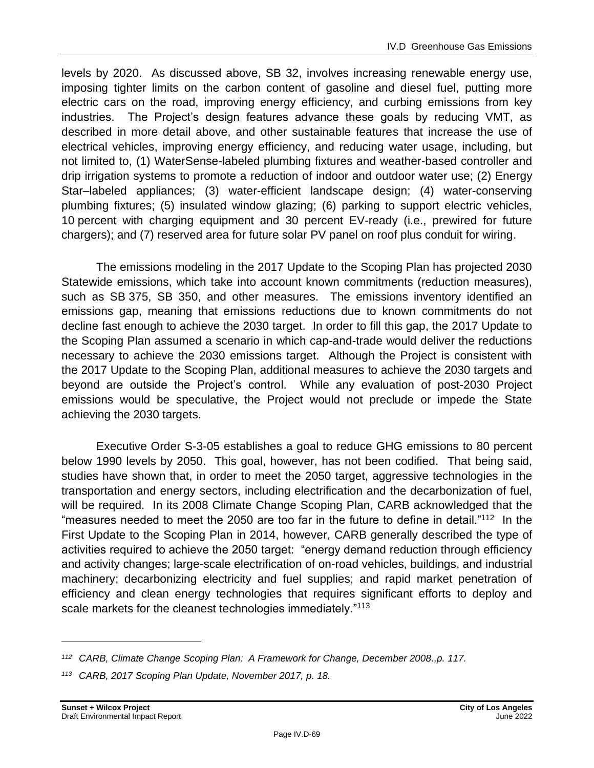levels by 2020. As discussed above, SB 32, involves increasing renewable energy use, imposing tighter limits on the carbon content of gasoline and diesel fuel, putting more electric cars on the road, improving energy efficiency, and curbing emissions from key industries. The Project's design features advance these goals by reducing VMT, as described in more detail above, and other sustainable features that increase the use of electrical vehicles, improving energy efficiency, and reducing water usage, including, but not limited to, (1) WaterSense-labeled plumbing fixtures and weather-based controller and drip irrigation systems to promote a reduction of indoor and outdoor water use; (2) Energy Star–labeled appliances; (3) water-efficient landscape design; (4) water-conserving plumbing fixtures; (5) insulated window glazing; (6) parking to support electric vehicles, 10 percent with charging equipment and 30 percent EV-ready (i.e., prewired for future chargers); and (7) reserved area for future solar PV panel on roof plus conduit for wiring.

The emissions modeling in the 2017 Update to the Scoping Plan has projected 2030 Statewide emissions, which take into account known commitments (reduction measures), such as SB 375, SB 350, and other measures. The emissions inventory identified an emissions gap, meaning that emissions reductions due to known commitments do not decline fast enough to achieve the 2030 target. In order to fill this gap, the 2017 Update to the Scoping Plan assumed a scenario in which cap-and-trade would deliver the reductions necessary to achieve the 2030 emissions target. Although the Project is consistent with the 2017 Update to the Scoping Plan, additional measures to achieve the 2030 targets and beyond are outside the Project's control. While any evaluation of post-2030 Project emissions would be speculative, the Project would not preclude or impede the State achieving the 2030 targets.

Executive Order S-3-05 establishes a goal to reduce GHG emissions to 80 percent below 1990 levels by 2050. This goal, however, has not been codified. That being said, studies have shown that, in order to meet the 2050 target, aggressive technologies in the transportation and energy sectors, including electrification and the decarbonization of fuel, will be required. In its 2008 Climate Change Scoping Plan, CARB acknowledged that the "measures needed to meet the 2050 are too far in the future to define in detail."<sup>112</sup> In the First Update to the Scoping Plan in 2014, however, CARB generally described the type of activities required to achieve the 2050 target: "energy demand reduction through efficiency and activity changes; large-scale electrification of on-road vehicles, buildings, and industrial machinery; decarbonizing electricity and fuel supplies; and rapid market penetration of efficiency and clean energy technologies that requires significant efforts to deploy and scale markets for the cleanest technologies immediately."<sup>113</sup>

*<sup>112</sup> CARB, Climate Change Scoping Plan: A Framework for Change, December 2008.,p. 117.*

*<sup>113</sup> CARB, 2017 Scoping Plan Update, November 2017, p. 18.*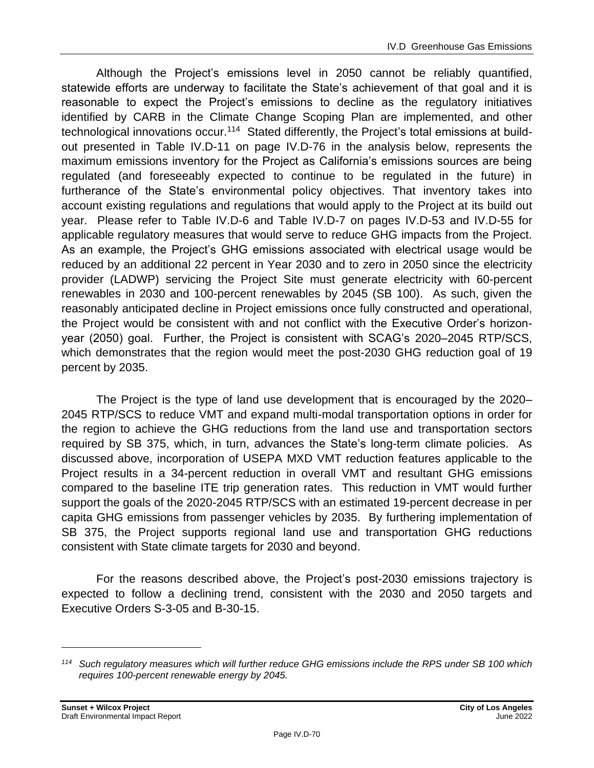Although the Project's emissions level in 2050 cannot be reliably quantified, statewide efforts are underway to facilitate the State's achievement of that goal and it is reasonable to expect the Project's emissions to decline as the regulatory initiatives identified by CARB in the Climate Change Scoping Plan are implemented, and other technological innovations occur.<sup>114</sup> Stated differently, the Project's total emissions at buildout presented in Table IV.D-11 on page [IV.D-76](#page-75-0) in the analysis below, represents the maximum emissions inventory for the Project as California's emissions sources are being regulated (and foreseeably expected to continue to be regulated in the future) in furtherance of the State's environmental policy objectives. That inventory takes into account existing regulations and regulations that would apply to the Project at its build out year. Please refer to Table IV.D-6 and Table IV.D-7 on pages IV.D-53 and IV.D-55 for applicable regulatory measures that would serve to reduce GHG impacts from the Project. As an example, the Project's GHG emissions associated with electrical usage would be reduced by an additional 22 percent in Year 2030 and to zero in 2050 since the electricity provider (LADWP) servicing the Project Site must generate electricity with 60-percent renewables in 2030 and 100-percent renewables by 2045 (SB 100). As such, given the reasonably anticipated decline in Project emissions once fully constructed and operational, the Project would be consistent with and not conflict with the Executive Order's horizonyear (2050) goal. Further, the Project is consistent with SCAG's 2020–2045 RTP/SCS, which demonstrates that the region would meet the post-2030 GHG reduction goal of 19 percent by 2035.

The Project is the type of land use development that is encouraged by the 2020– 2045 RTP/SCS to reduce VMT and expand multi-modal transportation options in order for the region to achieve the GHG reductions from the land use and transportation sectors required by SB 375, which, in turn, advances the State's long-term climate policies. As discussed above, incorporation of USEPA MXD VMT reduction features applicable to the Project results in a 34-percent reduction in overall VMT and resultant GHG emissions compared to the baseline ITE trip generation rates. This reduction in VMT would further support the goals of the 2020-2045 RTP/SCS with an estimated 19-percent decrease in per capita GHG emissions from passenger vehicles by 2035. By furthering implementation of SB 375, the Project supports regional land use and transportation GHG reductions consistent with State climate targets for 2030 and beyond.

For the reasons described above, the Project's post-2030 emissions trajectory is expected to follow a declining trend, consistent with the 2030 and 2050 targets and Executive Orders S-3-05 and B-30-15.

*<sup>114</sup> Such regulatory measures which will further reduce GHG emissions include the RPS under SB 100 which requires 100-percent renewable energy by 2045.*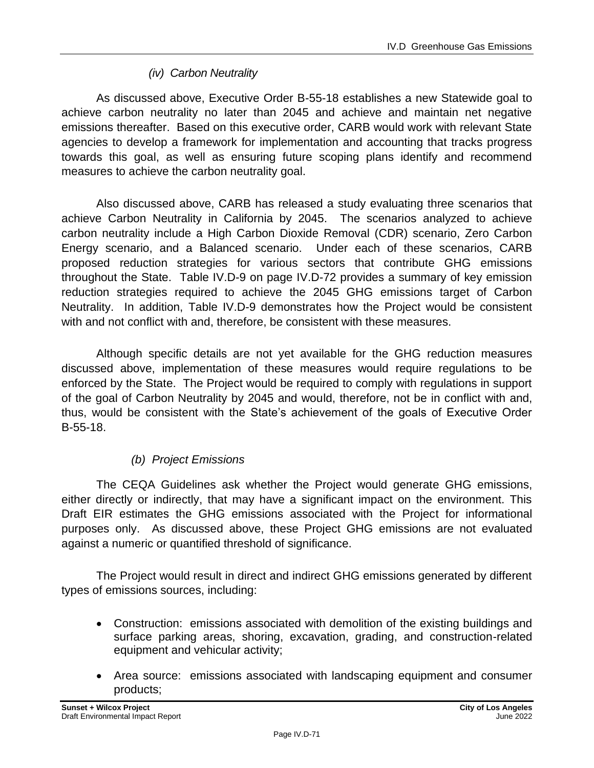## *(iv) Carbon Neutrality*

As discussed above, Executive Order B-55-18 establishes a new Statewide goal to achieve carbon neutrality no later than 2045 and achieve and maintain net negative emissions thereafter. Based on this executive order, CARB would work with relevant State agencies to develop a framework for implementation and accounting that tracks progress towards this goal, as well as ensuring future scoping plans identify and recommend measures to achieve the carbon neutrality goal.

Also discussed above, CARB has released a study evaluating three scenarios that achieve Carbon Neutrality in California by 2045. The scenarios analyzed to achieve carbon neutrality include a High Carbon Dioxide Removal (CDR) scenario, Zero Carbon Energy scenario, and a Balanced scenario. Under each of these scenarios, CARB proposed reduction strategies for various sectors that contribute GHG emissions throughout the State. Table IV.D-9 on page IV.D-72 provides a summary of key emission reduction strategies required to achieve the 2045 GHG emissions target of Carbon Neutrality. In addition, Table IV.D-9 demonstrates how the Project would be consistent with and not conflict with and, therefore, be consistent with these measures.

Although specific details are not yet available for the GHG reduction measures discussed above, implementation of these measures would require regulations to be enforced by the State. The Project would be required to comply with regulations in support of the goal of Carbon Neutrality by 2045 and would, therefore, not be in conflict with and, thus, would be consistent with the State's achievement of the goals of Executive Order B-55-18.

# *(b) Project Emissions*

The CEQA Guidelines ask whether the Project would generate GHG emissions, either directly or indirectly, that may have a significant impact on the environment. This Draft EIR estimates the GHG emissions associated with the Project for informational purposes only. As discussed above, these Project GHG emissions are not evaluated against a numeric or quantified threshold of significance.

The Project would result in direct and indirect GHG emissions generated by different types of emissions sources, including:

- Construction: emissions associated with demolition of the existing buildings and surface parking areas, shoring, excavation, grading, and construction-related equipment and vehicular activity;
- Area source: emissions associated with landscaping equipment and consumer products;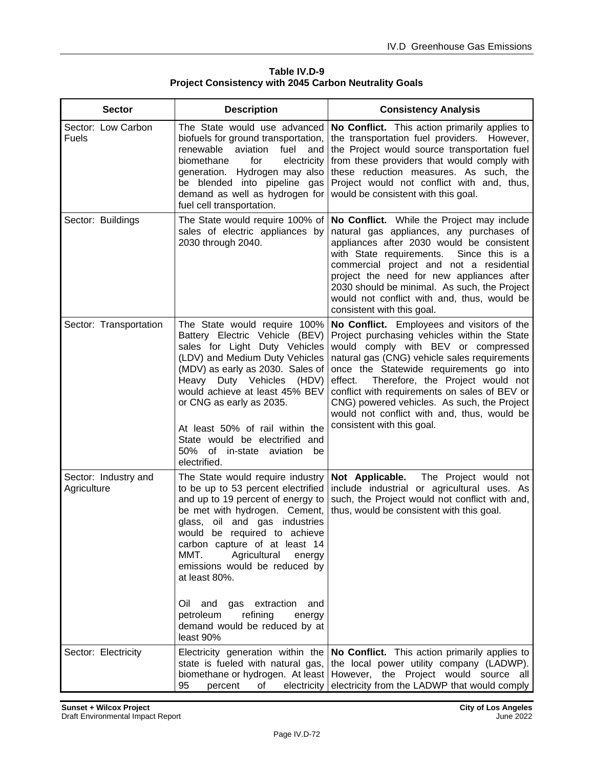| Table IV.D-9                                                 |  |  |
|--------------------------------------------------------------|--|--|
| <b>Project Consistency with 2045 Carbon Neutrality Goals</b> |  |  |

| <b>Sector</b>                       | <b>Description</b>                                                                                                                                                                                                                                                                                                                                                                                                                                            | <b>Consistency Analysis</b>                                                                                                                                                                                                                                                                                                                                                                                                                              |
|-------------------------------------|---------------------------------------------------------------------------------------------------------------------------------------------------------------------------------------------------------------------------------------------------------------------------------------------------------------------------------------------------------------------------------------------------------------------------------------------------------------|----------------------------------------------------------------------------------------------------------------------------------------------------------------------------------------------------------------------------------------------------------------------------------------------------------------------------------------------------------------------------------------------------------------------------------------------------------|
| Sector: Low Carbon<br><b>Fuels</b>  | The State would use advanced<br>biofuels for ground transportation,<br>renewable<br>aviation<br>fuel<br>and<br>biomethane<br>electricity<br>for<br>generation. Hydrogen may also<br>be blended into pipeline gas<br>demand as well as hydrogen for<br>fuel cell transportation.                                                                                                                                                                               | No Conflict. This action primarily applies to<br>the transportation fuel providers. However,<br>the Project would source transportation fuel<br>from these providers that would comply with<br>these reduction measures. As such, the<br>Project would not conflict with and, thus,<br>would be consistent with this goal.                                                                                                                               |
| Sector: Buildings                   | The State would require 100% of<br>sales of electric appliances by<br>2030 through 2040.                                                                                                                                                                                                                                                                                                                                                                      | No Conflict. While the Project may include<br>natural gas appliances, any purchases of<br>appliances after 2030 would be consistent<br>with State requirements.<br>Since this is a<br>commercial project and not a residential<br>project the need for new appliances after<br>2030 should be minimal. As such, the Project<br>would not conflict with and, thus, would be<br>consistent with this goal.                                                 |
| Sector: Transportation              | The State would require 100%<br>Battery Electric Vehicle (BEV)<br>sales for Light Duty Vehicles<br>(LDV) and Medium Duty Vehicles<br>(MDV) as early as 2030. Sales of<br>Heavy Duty Vehicles<br>(HDV)<br>would achieve at least 45% BEV<br>or CNG as early as 2035.<br>At least 50% of rail within the<br>State would be electrified and<br>50%<br>of in-state aviation<br>be<br>electrified.                                                                 | No Conflict. Employees and visitors of the<br>Project purchasing vehicles within the State<br>would comply with BEV or compressed<br>natural gas (CNG) vehicle sales requirements<br>once the Statewide requirements go into<br>Therefore, the Project would not<br>effect.<br>conflict with requirements on sales of BEV or<br>CNG) powered vehicles. As such, the Project<br>would not conflict with and, thus, would be<br>consistent with this goal. |
| Sector: Industry and<br>Agriculture | The State would require industry<br>to be up to 53 percent electrified<br>and up to 19 percent of energy to<br>be met with hydrogen. Cement,<br>glass, oil and gas industries<br>would be required to achieve<br>carbon capture of at least 14<br>MMT.<br>Agricultural<br>energy<br>emissions would be reduced by<br>at least 80%.<br>Oil<br>and<br>gas<br>extraction<br>and<br>petroleum<br>refining<br>energy<br>demand would be reduced by at<br>least 90% | Not Applicable.<br>The Project would not<br>include industrial or agricultural uses. As<br>such, the Project would not conflict with and,<br>thus, would be consistent with this goal.                                                                                                                                                                                                                                                                   |
| Sector: Electricity                 | Electricity generation within the<br>state is fueled with natural gas,<br>biomethane or hydrogen. At least<br>95<br>percent<br>electricity<br>of                                                                                                                                                                                                                                                                                                              | No Conflict. This action primarily applies to<br>the local power utility company (LADWP).<br>However, the Project would source all<br>electricity from the LADWP that would comply                                                                                                                                                                                                                                                                       |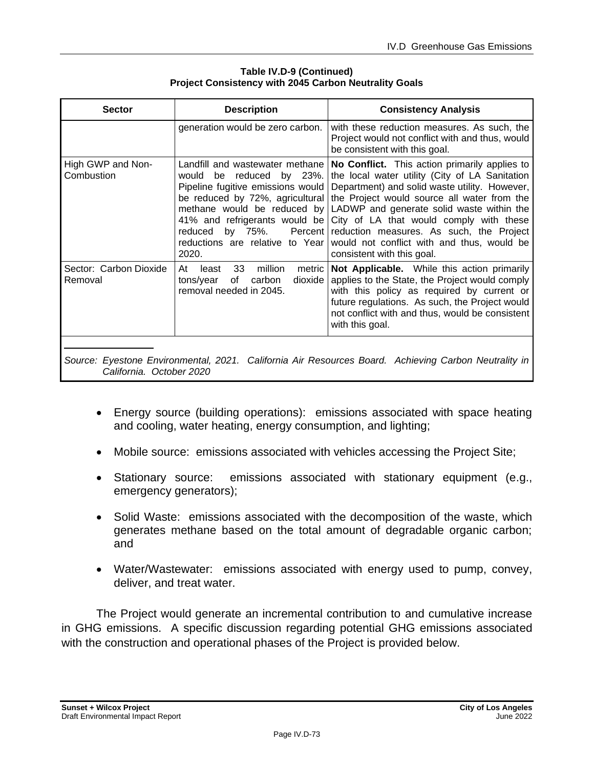| <b>Sector</b>                                                                                                                    | <b>Description</b>                                                                                                                                                                                                                                                                     | <b>Consistency Analysis</b>                                                                                                                                                                                                                                                                                                                                                                                     |  |  |
|----------------------------------------------------------------------------------------------------------------------------------|----------------------------------------------------------------------------------------------------------------------------------------------------------------------------------------------------------------------------------------------------------------------------------------|-----------------------------------------------------------------------------------------------------------------------------------------------------------------------------------------------------------------------------------------------------------------------------------------------------------------------------------------------------------------------------------------------------------------|--|--|
|                                                                                                                                  | generation would be zero carbon.                                                                                                                                                                                                                                                       | with these reduction measures. As such, the<br>Project would not conflict with and thus, would<br>be consistent with this goal.                                                                                                                                                                                                                                                                                 |  |  |
| High GWP and Non-<br>Combustion                                                                                                  | Landfill and wastewater methane<br>reduced by 23%.<br>would<br>be<br>Pipeline fugitive emissions would<br>be reduced by 72%, agricultural<br>methane would be reduced by<br>41% and refrigerants would be<br>reduced<br>by 75%.<br>Percent<br>reductions are relative to Year<br>2020. | No Conflict. This action primarily applies to<br>the local water utility (City of LA Sanitation<br>Department) and solid waste utility. However,<br>the Project would source all water from the<br>LADWP and generate solid waste within the<br>City of LA that would comply with these<br>reduction measures. As such, the Project<br>would not conflict with and thus, would be<br>consistent with this goal. |  |  |
| Sector: Carbon Dioxide<br>Removal                                                                                                | 33<br>million<br>At<br>metric<br>least<br>of<br>dioxide<br>tons/year<br>carbon<br>removal needed in 2045.                                                                                                                                                                              | Not Applicable. While this action primarily<br>applies to the State, the Project would comply<br>with this policy as required by current or<br>future regulations. As such, the Project would<br>not conflict with and thus, would be consistent<br>with this goal.                                                                                                                                             |  |  |
| Source: Eyestone Environmental, 2021. California Air Resources Board. Achieving Carbon Neutrality in<br>California. October 2020 |                                                                                                                                                                                                                                                                                        |                                                                                                                                                                                                                                                                                                                                                                                                                 |  |  |

**Table IV.D-9 (Continued) Project Consistency with 2045 Carbon Neutrality Goals**

- Energy source (building operations): emissions associated with space heating and cooling, water heating, energy consumption, and lighting;
- Mobile source: emissions associated with vehicles accessing the Project Site;
- Stationary source: emissions associated with stationary equipment (e.g., emergency generators);
- Solid Waste: emissions associated with the decomposition of the waste, which generates methane based on the total amount of degradable organic carbon; and
- Water/Wastewater: emissions associated with energy used to pump, convey, deliver, and treat water.

The Project would generate an incremental contribution to and cumulative increase in GHG emissions. A specific discussion regarding potential GHG emissions associated with the construction and operational phases of the Project is provided below.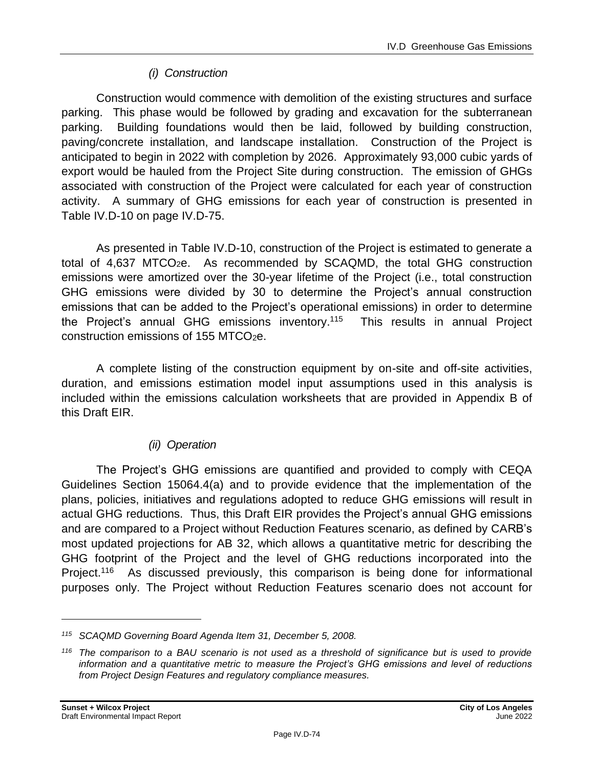### *(i) Construction*

Construction would commence with demolition of the existing structures and surface parking. This phase would be followed by grading and excavation for the subterranean parking. Building foundations would then be laid, followed by building construction, paving/concrete installation, and landscape installation. Construction of the Project is anticipated to begin in 2022 with completion by 2026. Approximately 93,000 cubic yards of export would be hauled from the Project Site during construction. The emission of GHGs associated with construction of the Project were calculated for each year of construction activity. A summary of GHG emissions for each year of construction is presented in Table IV.D-10 on page [IV.D-75.](#page-74-0)

As presented in Table IV.D-10, construction of the Project is estimated to generate a total of 4,637 MTCO2e. As recommended by SCAQMD, the total GHG construction emissions were amortized over the 30-year lifetime of the Project (i.e., total construction GHG emissions were divided by 30 to determine the Project's annual construction emissions that can be added to the Project's operational emissions) in order to determine the Project's annual GHG emissions inventory.<sup>115</sup> This results in annual Project construction emissions of 155 MTCO<sub>2</sub>e.

A complete listing of the construction equipment by on-site and off-site activities, duration, and emissions estimation model input assumptions used in this analysis is included within the emissions calculation worksheets that are provided in Appendix B of this Draft EIR.

#### *(ii) Operation*

The Project's GHG emissions are quantified and provided to comply with CEQA Guidelines Section 15064.4(a) and to provide evidence that the implementation of the plans, policies, initiatives and regulations adopted to reduce GHG emissions will result in actual GHG reductions. Thus, this Draft EIR provides the Project's annual GHG emissions and are compared to a Project without Reduction Features scenario, as defined by CARB's most updated projections for AB 32, which allows a quantitative metric for describing the GHG footprint of the Project and the level of GHG reductions incorporated into the Project.<sup>116</sup> As discussed previously, this comparison is being done for informational purposes only. The Project without Reduction Features scenario does not account for

*<sup>115</sup> SCAQMD Governing Board Agenda Item 31, December 5, 2008.*

*<sup>116</sup> The comparison to a BAU scenario is not used as a threshold of significance but is used to provide information and a quantitative metric to measure the Project's GHG emissions and level of reductions from Project Design Features and regulatory compliance measures.*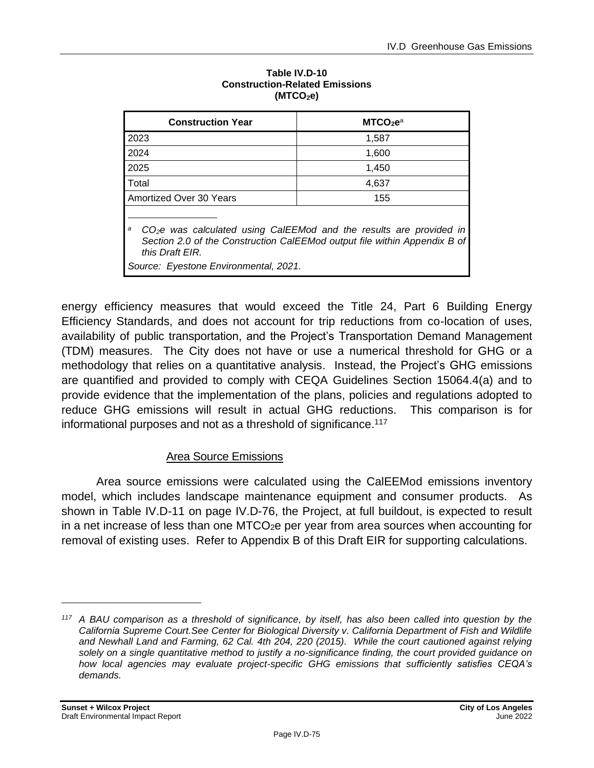<span id="page-74-0"></span>

| <b>Construction Year</b>                                                                                                                                                             | MTCO <sub>2</sub> e <sup>a</sup> |  |  |  |
|--------------------------------------------------------------------------------------------------------------------------------------------------------------------------------------|----------------------------------|--|--|--|
| 2023                                                                                                                                                                                 | 1,587                            |  |  |  |
| 2024                                                                                                                                                                                 | 1,600                            |  |  |  |
| 2025                                                                                                                                                                                 | 1,450                            |  |  |  |
| Total                                                                                                                                                                                | 4,637                            |  |  |  |
| <b>Amortized Over 30 Years</b>                                                                                                                                                       | 155                              |  |  |  |
| a<br>CO <sub>2</sub> e was calculated using CalEEMod and the results are provided in<br>Section 2.0 of the Construction CalEEMod output file within Appendix B of<br>this Draft EIR. |                                  |  |  |  |
| Source: Eyestone Environmental, 2021.                                                                                                                                                |                                  |  |  |  |

#### **Table IV.D-10 Construction-Related Emissions (MTCO2e)**

energy efficiency measures that would exceed the Title 24, Part 6 Building Energy Efficiency Standards, and does not account for trip reductions from co-location of uses, availability of public transportation, and the Project's Transportation Demand Management (TDM) measures. The City does not have or use a numerical threshold for GHG or a methodology that relies on a quantitative analysis. Instead, the Project's GHG emissions are quantified and provided to comply with CEQA Guidelines Section 15064.4(a) and to provide evidence that the implementation of the plans, policies and regulations adopted to reduce GHG emissions will result in actual GHG reductions. This comparison is for informational purposes and not as a threshold of significance. 117

#### Area Source Emissions

Area source emissions were calculated using the CalEEMod emissions inventory model, which includes landscape maintenance equipment and consumer products. As shown in Table IV.D-11 on page [IV.D-76,](#page-75-0) the Project, at full buildout, is expected to result in a net increase of less than one  $MTCO<sub>2</sub>e$  per year from area sources when accounting for removal of existing uses. Refer to Appendix B of this Draft EIR for supporting calculations.

*<sup>117</sup> A BAU comparison as a threshold of significance, by itself, has also been called into question by the California Supreme Court.See Center for Biological Diversity v. California Department of Fish and Wildlife and Newhall Land and Farming, 62 Cal. 4th 204, 220 (2015). While the court cautioned against relying solely on a single quantitative method to justify a no-significance finding, the court provided guidance on how local agencies may evaluate project-specific GHG emissions that sufficiently satisfies CEQA's demands.*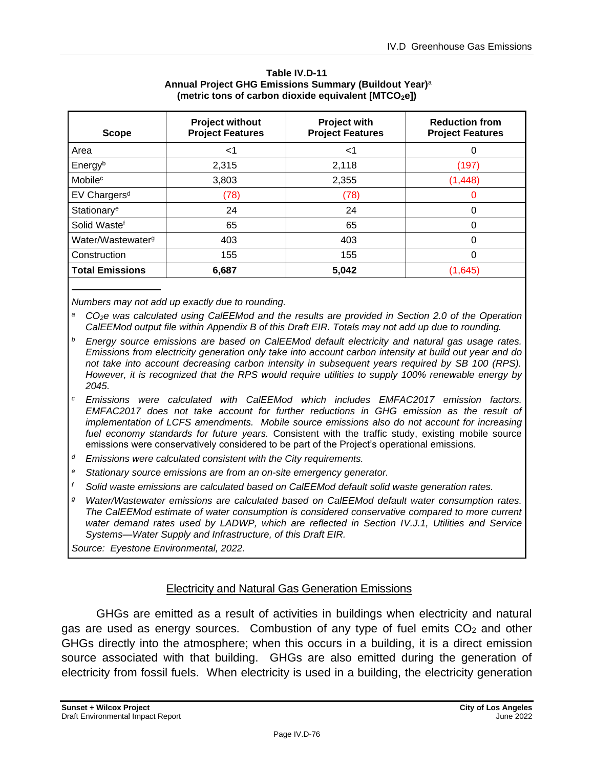<span id="page-75-0"></span>

| <b>Scope</b>                  | <b>Project without</b><br><b>Project Features</b> | Project with<br><b>Project Features</b> | <b>Reduction from</b><br><b>Project Features</b> |
|-------------------------------|---------------------------------------------------|-----------------------------------------|--------------------------------------------------|
| Area                          | ا>                                                | <1                                      | 0                                                |
| Energyb                       | 2,315                                             | 2,118                                   | (197)                                            |
| Mobile <sup>c</sup>           | 3,803                                             | 2,355                                   | (1, 448)                                         |
| EV Chargers <sup>d</sup>      | (78)                                              | (78)                                    | 0                                                |
| Stationary <sup>e</sup>       | 24                                                | 24                                      | 0                                                |
| Solid Wastef                  | 65                                                | 65                                      | 0                                                |
| Water/Wastewater <sup>g</sup> | 403                                               | 403                                     | 0                                                |
| Construction                  | 155                                               | 155                                     | 0                                                |
| <b>Total Emissions</b>        | 6,687                                             | 5,042                                   | (1,645)                                          |

| Table IV.D-11                                                     |
|-------------------------------------------------------------------|
| Annual Project GHG Emissions Summary (Buildout Year) <sup>a</sup> |
| (metric tons of carbon dioxide equivalent [MTCO <sub>2</sub> e])  |

*Numbers may not add up exactly due to rounding.*

*<sup>a</sup>CO2e was calculated using CalEEMod and the results are provided in Section 2.0 of the Operation CalEEMod output file within Appendix B of this Draft EIR. Totals may not add up due to rounding.*

- *<sup>b</sup> Energy source emissions are based on CalEEMod default electricity and natural gas usage rates. Emissions from electricity generation only take into account carbon intensity at build out year and do not take into account decreasing carbon intensity in subsequent years required by SB 100 (RPS). However, it is recognized that the RPS would require utilities to supply 100% renewable energy by 2045.*
- *<sup>c</sup> Emissions were calculated with CalEEMod which includes EMFAC2017 emission factors. EMFAC2017 does not take account for further reductions in GHG emission as the result of implementation of LCFS amendments. Mobile source emissions also do not account for increasing fuel economy standards for future years.* Consistent with the traffic study, existing mobile source emissions were conservatively considered to be part of the Project's operational emissions.
- *<sup>d</sup> Emissions were calculated consistent with the City requirements.*
- *<sup>e</sup> Stationary source emissions are from an on-site emergency generator.*
- *<sup>f</sup> Solid waste emissions are calculated based on CalEEMod default solid waste generation rates.*
- *<sup>g</sup> Water/Wastewater emissions are calculated based on CalEEMod default water consumption rates. The CalEEMod estimate of water consumption is considered conservative compared to more current water demand rates used by LADWP, which are reflected in Section IV.J.1, Utilities and Service Systems—Water Supply and Infrastructure, of this Draft EIR.*

*Source: Eyestone Environmental, 2022.*

#### Electricity and Natural Gas Generation Emissions

GHGs are emitted as a result of activities in buildings when electricity and natural gas are used as energy sources. Combustion of any type of fuel emits  $CO<sub>2</sub>$  and other GHGs directly into the atmosphere; when this occurs in a building, it is a direct emission source associated with that building. GHGs are also emitted during the generation of electricity from fossil fuels. When electricity is used in a building, the electricity generation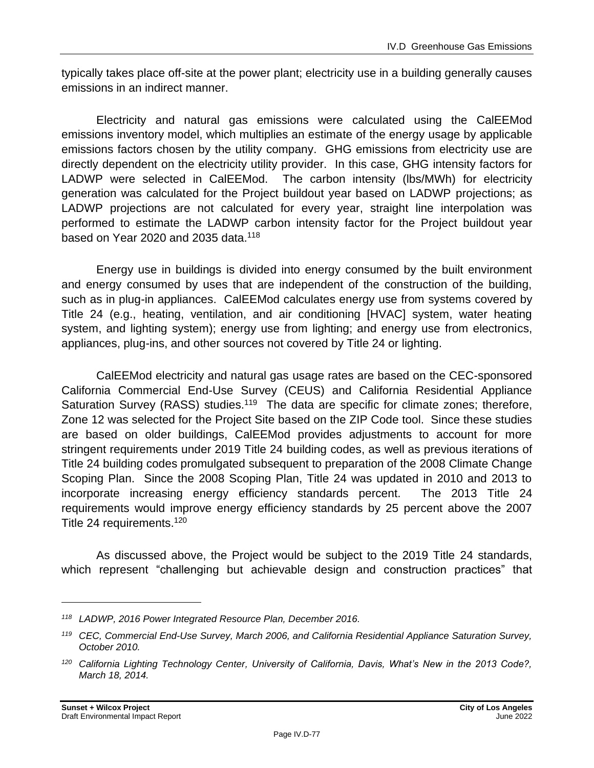typically takes place off-site at the power plant; electricity use in a building generally causes emissions in an indirect manner.

Electricity and natural gas emissions were calculated using the CalEEMod emissions inventory model, which multiplies an estimate of the energy usage by applicable emissions factors chosen by the utility company. GHG emissions from electricity use are directly dependent on the electricity utility provider. In this case, GHG intensity factors for LADWP were selected in CalEEMod. The carbon intensity (lbs/MWh) for electricity generation was calculated for the Project buildout year based on LADWP projections; as LADWP projections are not calculated for every year, straight line interpolation was performed to estimate the LADWP carbon intensity factor for the Project buildout year based on Year 2020 and 2035 data.<sup>118</sup>

Energy use in buildings is divided into energy consumed by the built environment and energy consumed by uses that are independent of the construction of the building, such as in plug-in appliances. CalEEMod calculates energy use from systems covered by Title 24 (e.g., heating, ventilation, and air conditioning [HVAC] system, water heating system, and lighting system); energy use from lighting; and energy use from electronics, appliances, plug-ins, and other sources not covered by Title 24 or lighting.

CalEEMod electricity and natural gas usage rates are based on the CEC-sponsored California Commercial End-Use Survey (CEUS) and California Residential Appliance Saturation Survey (RASS) studies.<sup>119</sup> The data are specific for climate zones; therefore, Zone 12 was selected for the Project Site based on the ZIP Code tool. Since these studies are based on older buildings, CalEEMod provides adjustments to account for more stringent requirements under 2019 Title 24 building codes, as well as previous iterations of Title 24 building codes promulgated subsequent to preparation of the 2008 Climate Change Scoping Plan. Since the 2008 Scoping Plan, Title 24 was updated in 2010 and 2013 to incorporate increasing energy efficiency standards percent. The 2013 Title 24 requirements would improve energy efficiency standards by 25 percent above the 2007 Title 24 requirements.<sup>120</sup>

As discussed above, the Project would be subject to the 2019 Title 24 standards, which represent "challenging but achievable design and construction practices" that

*<sup>118</sup> LADWP, 2016 Power Integrated Resource Plan, December 2016.*

*<sup>119</sup> CEC, Commercial End-Use Survey, March 2006, and California Residential Appliance Saturation Survey, October 2010.*

*<sup>120</sup> California Lighting Technology Center, University of California, Davis, What's New in the 2013 Code?, March 18, 2014.*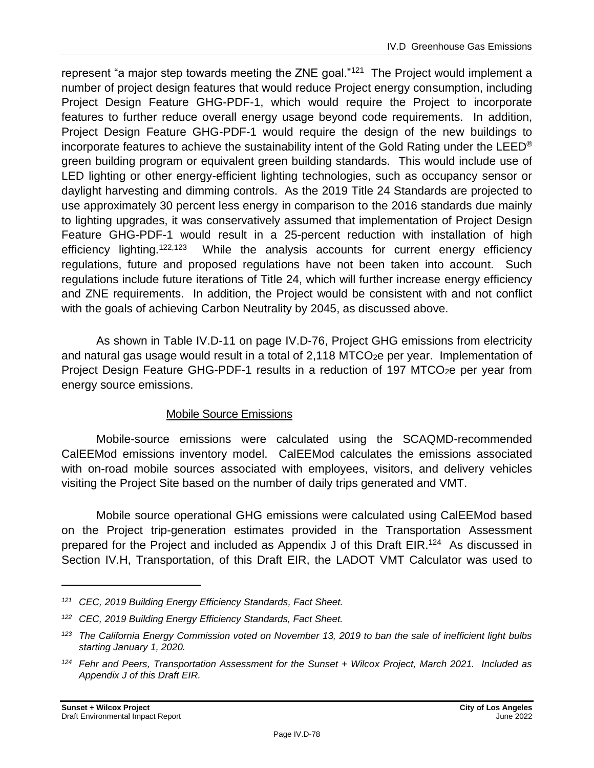represent "a major step towards meeting the ZNE goal."<sup>121</sup> The Project would implement a number of project design features that would reduce Project energy consumption, including Project Design Feature GHG-PDF-1, which would require the Project to incorporate features to further reduce overall energy usage beyond code requirements. In addition, Project Design Feature GHG-PDF-1 would require the design of the new buildings to incorporate features to achieve the sustainability intent of the Gold Rating under the LEED<sup>®</sup> green building program or equivalent green building standards. This would include use of LED lighting or other energy-efficient lighting technologies, such as occupancy sensor or daylight harvesting and dimming controls. As the 2019 Title 24 Standards are projected to use approximately 30 percent less energy in comparison to the 2016 standards due mainly to lighting upgrades, it was conservatively assumed that implementation of Project Design Feature GHG-PDF-1 would result in a 25-percent reduction with installation of high efficiency lighting.<sup>122,123</sup> While the analysis accounts for current energy efficiency regulations, future and proposed regulations have not been taken into account. Such regulations include future iterations of Title 24, which will further increase energy efficiency and ZNE requirements. In addition, the Project would be consistent with and not conflict with the goals of achieving Carbon Neutrality by 2045, as discussed above.

As shown in Table IV.D-11 on page [IV.D-76,](#page-75-0) Project GHG emissions from electricity and natural gas usage would result in a total of  $2.118 MTCO<sub>2</sub>e$  per year. Implementation of Project Design Feature GHG-PDF-1 results in a reduction of 197 MTCO<sub>2</sub>e per year from energy source emissions.

#### Mobile Source Emissions

Mobile-source emissions were calculated using the SCAQMD-recommended CalEEMod emissions inventory model. CalEEMod calculates the emissions associated with on-road mobile sources associated with employees, visitors, and delivery vehicles visiting the Project Site based on the number of daily trips generated and VMT.

Mobile source operational GHG emissions were calculated using CalEEMod based on the Project trip-generation estimates provided in the Transportation Assessment prepared for the Project and included as Appendix J of this Draft EIR.<sup>124</sup> As discussed in Section IV.H, Transportation, of this Draft EIR, the LADOT VMT Calculator was used to

*<sup>121</sup> CEC, 2019 Building Energy Efficiency Standards, Fact Sheet.*

*<sup>122</sup> CEC, 2019 Building Energy Efficiency Standards, Fact Sheet.*

*<sup>123</sup> The California Energy Commission voted on November 13, 2019 to ban the sale of inefficient light bulbs starting January 1, 2020.*

*<sup>124</sup> Fehr and Peers, Transportation Assessment for the Sunset + Wilcox Project, March 2021. Included as Appendix J of this Draft EIR.*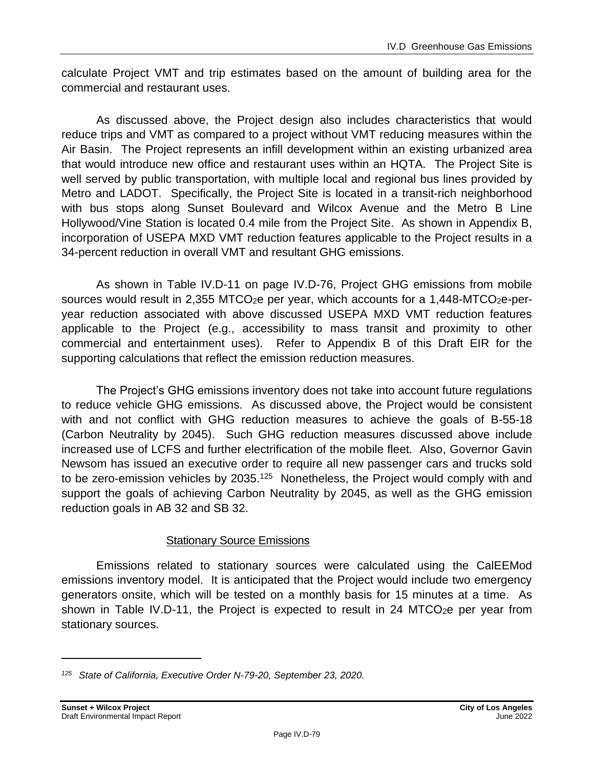calculate Project VMT and trip estimates based on the amount of building area for the commercial and restaurant uses.

As discussed above, the Project design also includes characteristics that would reduce trips and VMT as compared to a project without VMT reducing measures within the Air Basin. The Project represents an infill development within an existing urbanized area that would introduce new office and restaurant uses within an HQTA. The Project Site is well served by public transportation, with multiple local and regional bus lines provided by Metro and LADOT. Specifically, the Project Site is located in a transit-rich neighborhood with bus stops along Sunset Boulevard and Wilcox Avenue and the Metro B Line Hollywood/Vine Station is located 0.4 mile from the Project Site. As shown in Appendix B, incorporation of USEPA MXD VMT reduction features applicable to the Project results in a 34-percent reduction in overall VMT and resultant GHG emissions.

As shown in Table IV.D-11 on page [IV.D-76,](#page-75-0) Project GHG emissions from mobile sources would result in 2,355 MTCO<sub>2</sub>e per year, which accounts for a 1,448-MTCO<sub>2</sub>e-peryear reduction associated with above discussed USEPA MXD VMT reduction features applicable to the Project (e.g., accessibility to mass transit and proximity to other commercial and entertainment uses). Refer to Appendix B of this Draft EIR for the supporting calculations that reflect the emission reduction measures.

The Project's GHG emissions inventory does not take into account future regulations to reduce vehicle GHG emissions. As discussed above, the Project would be consistent with and not conflict with GHG reduction measures to achieve the goals of B-55-18 (Carbon Neutrality by 2045). Such GHG reduction measures discussed above include increased use of LCFS and further electrification of the mobile fleet. Also, Governor Gavin Newsom has issued an executive order to require all new passenger cars and trucks sold to be zero-emission vehicles by  $2035.<sup>125</sup>$  Nonetheless, the Project would comply with and support the goals of achieving Carbon Neutrality by 2045, as well as the GHG emission reduction goals in AB 32 and SB 32.

#### Stationary Source Emissions

Emissions related to stationary sources were calculated using the CalEEMod emissions inventory model. It is anticipated that the Project would include two emergency generators onsite, which will be tested on a monthly basis for 15 minutes at a time. As shown in Table IV.D-11, the Project is expected to result in 24 MTCO<sub>2</sub>e per year from stationary sources.

*<sup>125</sup> State of California, Executive Order N-79-20, September 23, 2020.*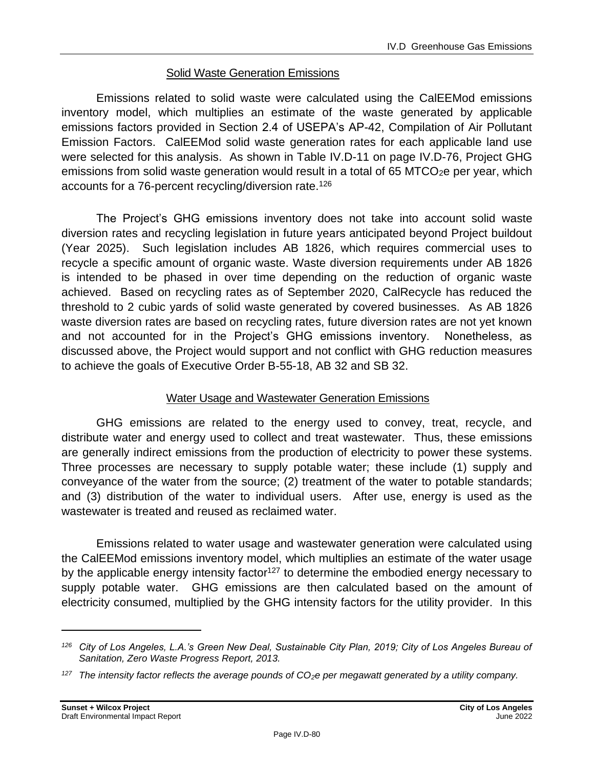#### Solid Waste Generation Emissions

Emissions related to solid waste were calculated using the CalEEMod emissions inventory model, which multiplies an estimate of the waste generated by applicable emissions factors provided in Section 2.4 of USEPA's AP-42, Compilation of Air Pollutant Emission Factors. CalEEMod solid waste generation rates for each applicable land use were selected for this analysis. As shown in Table IV.D-11 on page [IV.D-76,](#page-75-0) Project GHG emissions from solid waste generation would result in a total of  $65$  MTCO<sub>2</sub>e per year, which accounts for a 76-percent recycling/diversion rate.<sup>126</sup>

The Project's GHG emissions inventory does not take into account solid waste diversion rates and recycling legislation in future years anticipated beyond Project buildout (Year 2025). Such legislation includes AB 1826, which requires commercial uses to recycle a specific amount of organic waste. Waste diversion requirements under AB 1826 is intended to be phased in over time depending on the reduction of organic waste achieved. Based on recycling rates as of September 2020, CalRecycle has reduced the threshold to 2 cubic yards of solid waste generated by covered businesses. As AB 1826 waste diversion rates are based on recycling rates, future diversion rates are not yet known and not accounted for in the Project's GHG emissions inventory. Nonetheless, as discussed above, the Project would support and not conflict with GHG reduction measures to achieve the goals of Executive Order B-55-18, AB 32 and SB 32.

#### Water Usage and Wastewater Generation Emissions

GHG emissions are related to the energy used to convey, treat, recycle, and distribute water and energy used to collect and treat wastewater. Thus, these emissions are generally indirect emissions from the production of electricity to power these systems. Three processes are necessary to supply potable water; these include (1) supply and conveyance of the water from the source; (2) treatment of the water to potable standards; and (3) distribution of the water to individual users. After use, energy is used as the wastewater is treated and reused as reclaimed water.

Emissions related to water usage and wastewater generation were calculated using the CalEEMod emissions inventory model, which multiplies an estimate of the water usage by the applicable energy intensity factor<sup>127</sup> to determine the embodied energy necessary to supply potable water. GHG emissions are then calculated based on the amount of electricity consumed, multiplied by the GHG intensity factors for the utility provider. In this

*<sup>126</sup> City of Los Angeles, L.A.'s Green New Deal, Sustainable City Plan, 2019; City of Los Angeles Bureau of Sanitation, Zero Waste Progress Report, 2013.*

*<sup>127</sup> The intensity factor reflects the average pounds of CO2e per megawatt generated by a utility company.*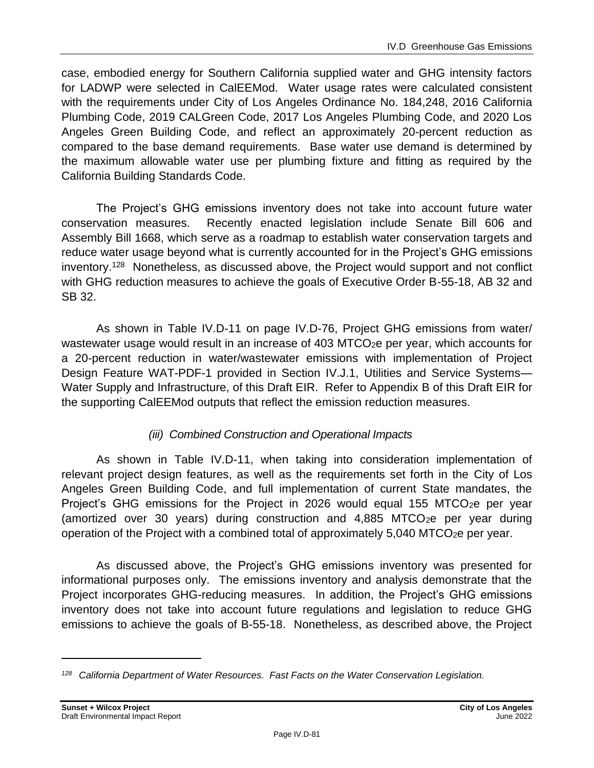case, embodied energy for Southern California supplied water and GHG intensity factors for LADWP were selected in CalEEMod. Water usage rates were calculated consistent with the requirements under City of Los Angeles Ordinance No. 184,248, 2016 California Plumbing Code, 2019 CALGreen Code, 2017 Los Angeles Plumbing Code, and 2020 Los Angeles Green Building Code, and reflect an approximately 20-percent reduction as compared to the base demand requirements. Base water use demand is determined by the maximum allowable water use per plumbing fixture and fitting as required by the California Building Standards Code.

The Project's GHG emissions inventory does not take into account future water conservation measures. Recently enacted legislation include Senate Bill 606 and Assembly Bill 1668, which serve as a roadmap to establish water conservation targets and reduce water usage beyond what is currently accounted for in the Project's GHG emissions inventory.<sup>128</sup> Nonetheless, as discussed above, the Project would support and not conflict with GHG reduction measures to achieve the goals of Executive Order B-55-18, AB 32 and SB 32.

As shown in Table IV.D-11 on page IV.D-76, Project GHG emissions from water/ wastewater usage would result in an increase of 403 MTCO<sub>2</sub>e per year, which accounts for a 20-percent reduction in water/wastewater emissions with implementation of Project Design Feature WAT-PDF-1 provided in Section IV.J.1, Utilities and Service Systems— Water Supply and Infrastructure, of this Draft EIR. Refer to Appendix B of this Draft EIR for the supporting CalEEMod outputs that reflect the emission reduction measures.

#### *(iii) Combined Construction and Operational Impacts*

As shown in Table IV.D-11, when taking into consideration implementation of relevant project design features, as well as the requirements set forth in the City of Los Angeles Green Building Code, and full implementation of current State mandates, the Project's GHG emissions for the Project in 2026 would equal 155 MTCO<sub>2</sub>e per year (amortized over 30 years) during construction and  $4,885$  MTCO<sub>2</sub>e per year during operation of the Project with a combined total of approximately  $5,040$  MTCO<sub>2</sub>e per year.

As discussed above, the Project's GHG emissions inventory was presented for informational purposes only. The emissions inventory and analysis demonstrate that the Project incorporates GHG-reducing measures. In addition, the Project's GHG emissions inventory does not take into account future regulations and legislation to reduce GHG emissions to achieve the goals of B-55-18. Nonetheless, as described above, the Project

*<sup>128</sup> California Department of Water Resources. Fast Facts on the Water Conservation Legislation.*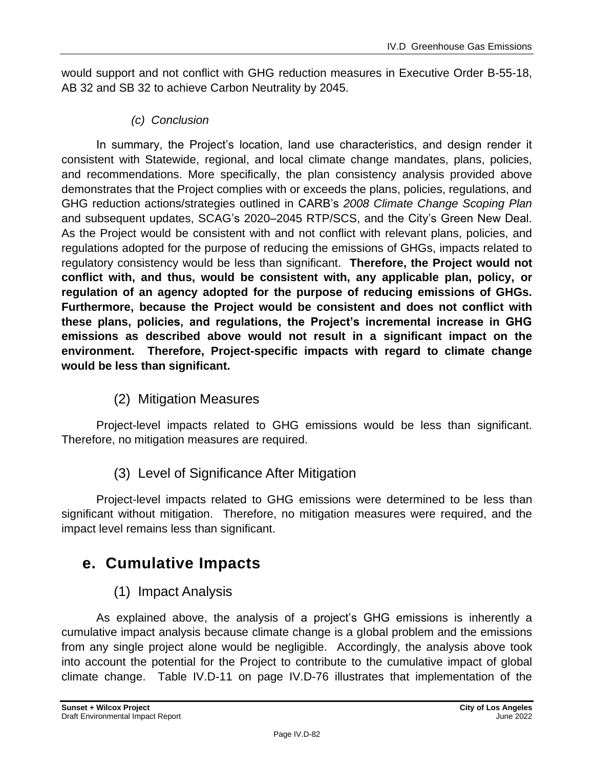would support and not conflict with GHG reduction measures in Executive Order B-55-18, AB 32 and SB 32 to achieve Carbon Neutrality by 2045.

#### *(c) Conclusion*

In summary, the Project's location, land use characteristics, and design render it consistent with Statewide, regional, and local climate change mandates, plans, policies, and recommendations. More specifically, the plan consistency analysis provided above demonstrates that the Project complies with or exceeds the plans, policies, regulations, and GHG reduction actions/strategies outlined in CARB's *2008 Climate Change Scoping Plan* and subsequent updates, SCAG's 2020–2045 RTP/SCS, and the City's Green New Deal. As the Project would be consistent with and not conflict with relevant plans, policies, and regulations adopted for the purpose of reducing the emissions of GHGs, impacts related to regulatory consistency would be less than significant. **Therefore, the Project would not conflict with, and thus, would be consistent with, any applicable plan, policy, or regulation of an agency adopted for the purpose of reducing emissions of GHGs. Furthermore, because the Project would be consistent and does not conflict with these plans, policies, and regulations, the Project's incremental increase in GHG emissions as described above would not result in a significant impact on the environment. Therefore, Project-specific impacts with regard to climate change would be less than significant.**

(2) Mitigation Measures

Project-level impacts related to GHG emissions would be less than significant. Therefore, no mitigation measures are required.

(3) Level of Significance After Mitigation

Project-level impacts related to GHG emissions were determined to be less than significant without mitigation. Therefore, no mitigation measures were required, and the impact level remains less than significant.

# **e. Cumulative Impacts**

# (1) Impact Analysis

As explained above, the analysis of a project's GHG emissions is inherently a cumulative impact analysis because climate change is a global problem and the emissions from any single project alone would be negligible. Accordingly, the analysis above took into account the potential for the Project to contribute to the cumulative impact of global climate change. Table IV.D-11 on page IV.D-76 illustrates that implementation of the